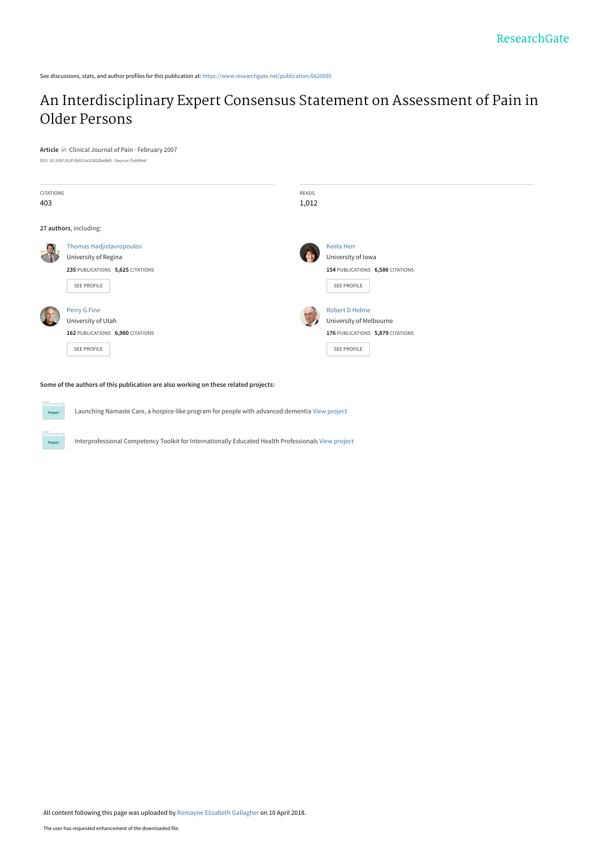See discussions, stats, and author profiles for this publication at: https://www.researchgate.net/publication/6620095

# An Interdisciplinary Expert Consensus Statement on Assessment of Pain in Older Persons

**Article** in Clinical Journal of Pain · February 2007 DOI: 10.1097/AJP.0b013e31802be869 · Source: PubMed

**Project** 

 $P_{\text{rel}}$ 

| <b>CITATIONS</b><br>403 |                                                                                                            | READS<br>1,012 |                                                                                                     |
|-------------------------|------------------------------------------------------------------------------------------------------------|----------------|-----------------------------------------------------------------------------------------------------|
|                         | 27 authors, including:                                                                                     |                |                                                                                                     |
|                         | <b>Thomas Hadjistavropoulos</b><br>University of Regina<br>235 PUBLICATIONS 5,625 CITATIONS<br>SEE PROFILE |                | <b>Keela Herr</b><br>University of Iowa<br>154 PUBLICATIONS 6,586 CITATIONS<br>SEE PROFILE          |
|                         | Perry G Fine<br>University of Utah<br>162 PUBLICATIONS 6,980 CITATIONS<br>SEE PROFILE                      |                | <b>Robert D Helme</b><br>University of Melbourne<br>176 PUBLICATIONS 5,879 CITATIONS<br>SEE PROFILE |

#### **Some of the authors of this publication are also working on these related projects:**

Launching Namaste Care, a hospice-like program for people with advanced dementia View project

Interprofessional Competency Toolkit for Internationally Educated Health Professionals View project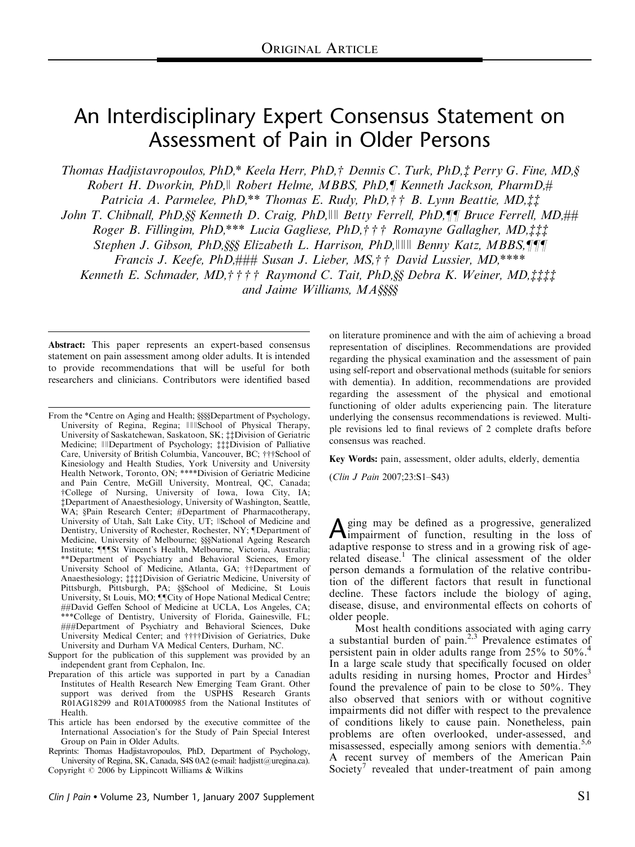# An Interdisciplinary Expert Consensus Statement on Assessment of Pain in Older Persons

Thomas Hadjistavropoulos, PhD,\* Keela Herr, PhD,† Dennis C. Turk, PhD, $\ddagger$  Perry G. Fine, MD, $\oint$ Robert H. Dworkin, PhD, Robert Helme, MBBS, PhD,  $\P$  Kenneth Jackson, PharmD,  $\#$ Patricia A. Parmelee, PhD,\*\* Thomas E. Rudy, PhD, $\ddot{\tau}$  † B. Lynn Beattie, MD, $\ddot{\tau}\ddot{\tau}$ John T. Chibnall, PhD, §§ Kenneth D. Craig, PhD, || Betty Ferrell, PhD, ¶¶ Bruce Ferrell, MD, ## Roger B. Fillingim, PhD,\*\*\* Lucia Gagliese, PhD, $\ddot{\tau}$   $\ddot{\tau}$  Romayne Gallagher, MD, $\ddot{\tau}\ddot{\tau}$ Stephen J. Gibson, PhD, SSS Elizabeth L. Harrison, PhD, || || || Benny Katz, MBBS,  $\P$ *[*] Francis J. Keefe, PhD,  $\# \#$  Susan J. Lieber, MS,  $\dag \dag$  David Lussier, MD,\*\*\*\* Kenneth E. Schmader, MD,  $\ddagger$   $\ddagger$   $\ddagger$   $\ddagger$  Raymond C. Tait, PhD,  $\frac{8}{5}$  Debra K. Weiner, MD,  $\ddagger$   $\ddagger$   $\ddagger$ and Jaime Williams,  $MA$ §§§§

Abstract: This paper represents an expert-based consensus statement on pain assessment among older adults. It is intended to provide recommendations that will be useful for both researchers and clinicians. Contributors were identified based

- From the \*Centre on Aging and Health; §§§§Department of Psychology, University of Regina, Regina; IIIISchool of Physical Therapy, University of Saskatchewan, Saskatoon, SK; #Division of Geriatric Medicine; IllDepartment of Psychology;  $\ddagger\ddagger\ddagger$ Division of Palliative Care, University of British Columbia, Vancouver, BC; †††School of Care, University of British Columbia, Vancouver, BC; †††School of<br>Kinesiology and Health Studies, York University and University Health Network, Toronto, ON; \*\*\*\*Division of Geriatric Medicine and Pain Centre, McGill University, Montreal, QC, Canada; †College of Nursing, University of Iowa, Iowa City, IA;<br>‡Department of Anaesthesiology, University of Washington, Seattle, WA; §Pain Research Center; #Department of Pharmacotherapy,<br>University of Utah, Salt Lake City, UT; ||School of Medicine and Dentistry, University of Rochester, Rochester, NY; <sup>[</sup>Department of Medicine, University of Melbourne; §§§National Ageing Research Institute; **IISt Vincent's Health, Melbourne, Victoria, Australia;** \*\*Department of Psychiatry and Behavioral Sciences, Emory University School of Medicine, Atlanta, GA; ††Department of Anaesthesiology;  $\ddagger \ddagger \ddagger \text{1}$ Division of Geriatric Medicine, University of Pittsburgh, Pittsburgh, PA; §§School of Medicine, St Louis University, St Louis, MO;  $\P$ City of Hope National Medical Centre; ##David Geffen School of Medicine at UCLA, Los Angeles, CA; \*\*\*College of Dentistry, University of Florida, Gainesville, FL; ###Department of Psychiatry and Behavioral Sciences, Duke University Medical Center; and ††††Division of Geriatrics, Duke University and Durham VA Medical Centers, Durham, NC.
- Support for the publication of this supplement was provided by an independent grant from Cephalon, Inc.
- Preparation of this article was supported in part by a Canadian Institutes of Health Research New Emerging Team Grant. Other support was derived from the USPHS Research Grants R01AG18299 and R01AT000985 from the National Institutes of Health.
- This article has been endorsed by the executive committee of the International Association's for the Study of Pain Special Interest Group on Pain in Older Adults.
- Reprints: Thomas Hadjistavropoulos, PhD, Department of Psychology, University of Regina, SK, Canada, S4S 0A2 (e-mail: hadjistt@uregina.ca).

on literature prominence and with the aim of achieving a broad representation of disciplines. Recommendations are provided regarding the physical examination and the assessment of pain using self-report and observational methods (suitable for seniors with dementia). In addition, recommendations are provided regarding the assessment of the physical and emotional functioning of older adults experiencing pain. The literature underlying the consensus recommendations is reviewed. Multiple revisions led to final reviews of 2 complete drafts before consensus was reached.

Key Words: pain, assessment, older adults, elderly, dementia

(Clin J Pain 2007;23:S1–S43)

Aging may be defined as a progressive, generalized<br>impairment of function, resulting in the loss of adaptive response to stress and in a growing risk of agerelated disease.<sup>1</sup> The clinical assessment of the older person demands a formulation of the relative contribution of the different factors that result in functional decline. These factors include the biology of aging, disease, disuse, and environmental effects on cohorts of older people.

Most health conditions associated with aging carry a substantial burden of pain.<sup>2,3</sup> Prevalence estimates of persistent pain in older adults range from  $25\%$  to  $50\%$ . In a large scale study that specifically focused on older adults residing in nursing homes, Proctor and Hirdes<sup>3</sup> found the prevalence of pain to be close to 50%. They also observed that seniors with or without cognitive impairments did not differ with respect to the prevalence of conditions likely to cause pain. Nonetheless, pain problems are often overlooked, under-assessed, and misassessed, especially among seniors with dementia.<sup>5,6</sup> A recent survey of members of the American Pain Copyright  $\degree$  2006 by Lippincott Williams & Wilkins Society<sup>7</sup> revealed that under-treatment of pain among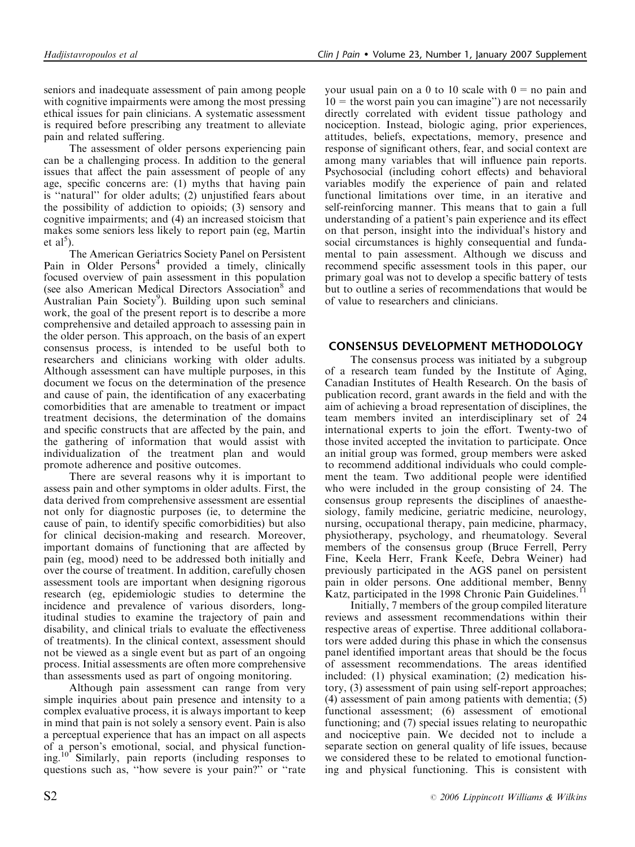seniors and inadequate assessment of pain among people with cognitive impairments were among the most pressing ethical issues for pain clinicians. A systematic assessment is required before prescribing any treatment to alleviate pain and related suffering.

The assessment of older persons experiencing pain can be a challenging process. In addition to the general issues that affect the pain assessment of people of any age, specific concerns are: (1) myths that having pain is ''natural'' for older adults; (2) unjustified fears about the possibility of addiction to opioids; (3) sensory and cognitive impairments; and (4) an increased stoicism that makes some seniors less likely to report pain (eg, Martin et al<sup>5</sup>).

The American Geriatrics Society Panel on Persistent Pain in Older Persons<sup>4</sup> provided a timely, clinically focused overview of pain assessment in this population (see also American Medical Directors Association<sup>8</sup> and Australian Pain Society<sup>9</sup>). Building upon such seminal work, the goal of the present report is to describe a more comprehensive and detailed approach to assessing pain in the older person. This approach, on the basis of an expert consensus process, is intended to be useful both to researchers and clinicians working with older adults. Although assessment can have multiple purposes, in this document we focus on the determination of the presence and cause of pain, the identification of any exacerbating comorbidities that are amenable to treatment or impact treatment decisions, the determination of the domains and specific constructs that are affected by the pain, and the gathering of information that would assist with individualization of the treatment plan and would promote adherence and positive outcomes.

There are several reasons why it is important to assess pain and other symptoms in older adults. First, the data derived from comprehensive assessment are essential not only for diagnostic purposes (ie, to determine the cause of pain, to identify specific comorbidities) but also for clinical decision-making and research. Moreover, important domains of functioning that are affected by pain (eg, mood) need to be addressed both initially and over the course of treatment. In addition, carefully chosen assessment tools are important when designing rigorous research (eg, epidemiologic studies to determine the incidence and prevalence of various disorders, longitudinal studies to examine the trajectory of pain and disability, and clinical trials to evaluate the effectiveness of treatments). In the clinical context, assessment should not be viewed as a single event but as part of an ongoing process. Initial assessments are often more comprehensive than assessments used as part of ongoing monitoring.

Although pain assessment can range from very simple inquiries about pain presence and intensity to a complex evaluative process, it is always important to keep in mind that pain is not solely a sensory event. Pain is also a perceptual experience that has an impact on all aspects of a person's emotional, social, and physical functioning.<sup>10</sup> Similarly, pain reports (including responses to questions such as, "how severe is your pain?" or "rate your usual pain on a 0 to 10 scale with  $0 =$  no pain and  $10 =$  the worst pain you can imagine") are not necessarily directly correlated with evident tissue pathology and nociception. Instead, biologic aging, prior experiences, attitudes, beliefs, expectations, memory, presence and response of significant others, fear, and social context are among many variables that will influence pain reports. Psychosocial (including cohort effects) and behavioral variables modify the experience of pain and related functional limitations over time, in an iterative and self-reinforcing manner. This means that to gain a full understanding of a patient's pain experience and its effect on that person, insight into the individual's history and social circumstances is highly consequential and fundamental to pain assessment. Although we discuss and recommend specific assessment tools in this paper, our primary goal was not to develop a specific battery of tests but to outline a series of recommendations that would be of value to researchers and clinicians.

# CONSENSUS DEVELOPMENT METHODOLOGY

The consensus process was initiated by a subgroup of a research team funded by the Institute of Aging, Canadian Institutes of Health Research. On the basis of publication record, grant awards in the field and with the aim of achieving a broad representation of disciplines, the team members invited an interdisciplinary set of 24 international experts to join the effort. Twenty-two of those invited accepted the invitation to participate. Once an initial group was formed, group members were asked to recommend additional individuals who could complement the team. Two additional people were identified who were included in the group consisting of 24. The consensus group represents the disciplines of anaesthesiology, family medicine, geriatric medicine, neurology, nursing, occupational therapy, pain medicine, pharmacy, physiotherapy, psychology, and rheumatology. Several members of the consensus group (Bruce Ferrell, Perry Fine, Keela Herr, Frank Keefe, Debra Weiner) had previously participated in the AGS panel on persistent pain in older persons. One additional member, Benny Katz, participated in the 1998 Chronic Pain Guidelines.<sup>11</sup>

Initially, 7 members of the group compiled literature reviews and assessment recommendations within their respective areas of expertise. Three additional collaborators were added during this phase in which the consensus panel identified important areas that should be the focus of assessment recommendations. The areas identified included: (1) physical examination; (2) medication history, (3) assessment of pain using self-report approaches; (4) assessment of pain among patients with dementia; (5) functional assessment; (6) assessment of emotional functioning; and (7) special issues relating to neuropathic and nociceptive pain. We decided not to include a separate section on general quality of life issues, because we considered these to be related to emotional functioning and physical functioning. This is consistent with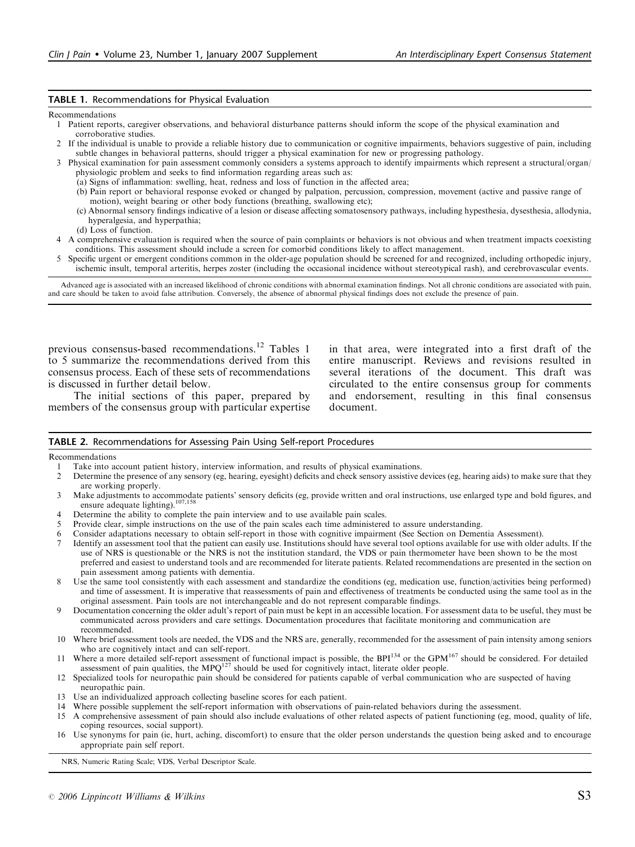#### TABLE 1. Recommendations for Physical Evaluation

Recommendations

- 1 Patient reports, caregiver observations, and behavioral disturbance patterns should inform the scope of the physical examination and corroborative studies.
- 2 If the individual is unable to provide a reliable history due to communication or cognitive impairments, behaviors suggestive of pain, including subtle changes in behavioral patterns, should trigger a physical examination for new or progressing pathology.
- 3 Physical examination for pain assessment commonly considers a systems approach to identify impairments which represent a structural/organ/ physiologic problem and seeks to find information regarding areas such as:
	- (a) Signs of inflammation: swelling, heat, redness and loss of function in the affected area;
	- (b) Pain report or behavioral response evoked or changed by palpation, percussion, compression, movement (active and passive range of motion), weight bearing or other body functions (breathing, swallowing etc);
	- (c) Abnormal sensory findings indicative of a lesion or disease affecting somatosensory pathways, including hypesthesia, dysesthesia, allodynia, hyperalgesia, and hyperpathia;
	- (d) Loss of function.
- 4 A comprehensive evaluation is required when the source of pain complaints or behaviors is not obvious and when treatment impacts coexisting conditions. This assessment should include a screen for comorbid conditions likely to affect management.
- 5 Specific urgent or emergent conditions common in the older-age population should be screened for and recognized, including orthopedic injury, ischemic insult, temporal arteritis, herpes zoster (including the occasional incidence without stereotypical rash), and cerebrovascular events.

Advanced age is associated with an increased likelihood of chronic conditions with abnormal examination findings. Not all chronic conditions are associated with pain, and care should be taken to avoid false attribution. Conversely, the absence of abnormal physical findings does not exclude the presence of pain.

previous consensus-based recommendations.<sup>12</sup> Tables 1 to 5 summarize the recommendations derived from this consensus process. Each of these sets of recommendations is discussed in further detail below.

The initial sections of this paper, prepared by members of the consensus group with particular expertise in that area, were integrated into a first draft of the entire manuscript. Reviews and revisions resulted in several iterations of the document. This draft was circulated to the entire consensus group for comments and endorsement, resulting in this final consensus document.

#### TABLE 2. Recommendations for Assessing Pain Using Self-report Procedures

Recommendations

- 1 Take into account patient history, interview information, and results of physical examinations.<br>2 Determine the presence of any sensory (eg hearing evesight) deficits and check sensory assistive d
- 2 Determine the presence of any sensory (eg, hearing, eyesight) deficits and check sensory assistive devices (eg, hearing aids) to make sure that they are working properly.
- 3 Make adjustments to accommodate patients' sensory deficits (eg, provide written and oral instructions, use enlarged type and bold figures, and ensure adequate lighting).<sup>107,158</sup>
- 4 Determine the ability to complete the pain interview and to use available pain scales.
- 5 Provide clear, simple instructions on the use of the pain scales each time administered to assure understanding.
- 6 Consider adaptations necessary to obtain self-report in those with cognitive impairment (See Section on Dementia Assessment).
- 7 Identify an assessment tool that the patient can easily use. Institutions should have several tool options available for use with older adults. If the use of NRS is questionable or the NRS is not the institution standard, the VDS or pain thermometer have been shown to be the most preferred and easiest to understand tools and are recommended for literate patients. Related recommendations are presented in the section on pain assessment among patients with dementia.
- 8 Use the same tool consistently with each assessment and standardize the conditions (eg, medication use, function/activities being performed) and time of assessment. It is imperative that reassessments of pain and effectiveness of treatments be conducted using the same tool as in the original assessment. Pain tools are not interchangeable and do not represent comparable findings.
- 9 Documentation concerning the older adult's report of pain must be kept in an accessible location. For assessment data to be useful, they must be communicated across providers and care settings. Documentation procedures that facilitate monitoring and communication are recommended.
- 10 Where brief assessment tools are needed, the VDS and the NRS are, generally, recommended for the assessment of pain intensity among seniors who are cognitively intact and can self-report.
- 11 Where a more detailed self-report assessment of functional impact is possible, the BPI<sup>134</sup> or the GPM<sup>167</sup> should be considered. For detailed assessment of pain qualities, the  $MPQ^{127}$  should be used for cognitively intact, literate older people.
- 12 Specialized tools for neuropathic pain should be considered for patients capable of verbal communication who are suspected of having neuropathic pain.
- 13 Use an individualized approach collecting baseline scores for each patient.
- 14 Where possible supplement the self-report information with observations of pain-related behaviors during the assessment.
- 15 A comprehensive assessment of pain should also include evaluations of other related aspects of patient functioning (eg, mood, quality of life, coping resources, social support).
- 16 Use synonyms for pain (ie, hurt, aching, discomfort) to ensure that the older person understands the question being asked and to encourage appropriate pain self report.

NRS, Numeric Rating Scale; VDS, Verbal Descriptor Scale.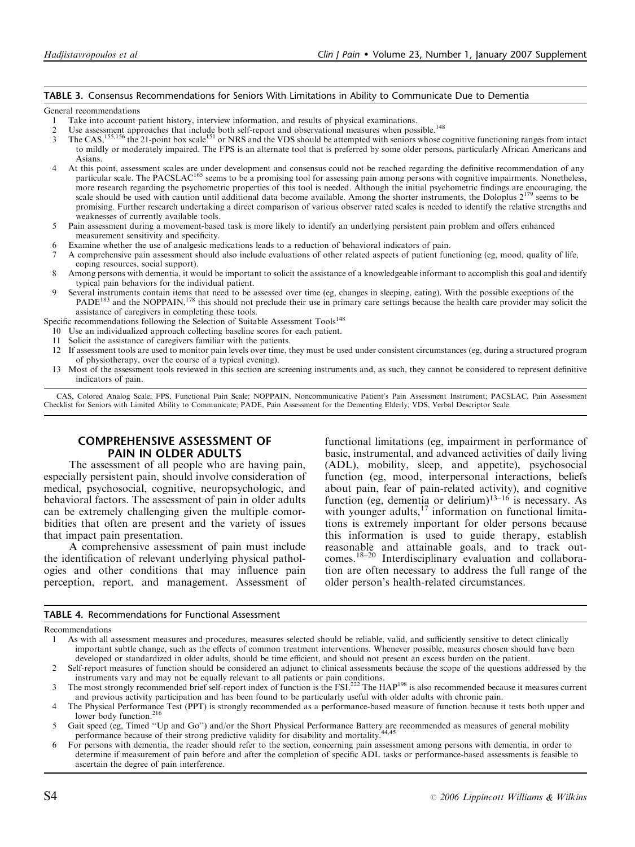#### TABLE 3. Consensus Recommendations for Seniors With Limitations in Ability to Communicate Due to Dementia

General recommendations

- 1 Take into account patient history, interview information, and results of physical examinations.<br>2 Use assessment approaches that include both self-report and observational measures when poss
- 2 Use assessment approaches that include both self-report and observational measures when possible.<sup>148</sup>
- 3 The CAS,<sup>155,156</sup> the 21-point box scale<sup>151</sup> or NRS and the VDS should be attempted with seniors whose cognitive functioning ranges from intact to mildly or moderately impaired. The FPS is an alternate tool that is preferred by some older persons, particularly African Americans and Asians.
- 4 At this point, assessment scales are under development and consensus could not be reached regarding the definitive recommendation of any particular scale. The PACSLAC<sup>165</sup> seems to be a promising tool for assessing pain more research regarding the psychometric properties of this tool is needed. Although the initial psychometric findings are encouraging, the scale should be used with caution until additional data become available. Among the shorter instruments, the Doloplus  $2^{179}$  seems to be promising. Further research undertaking a direct comparison of various observer rated scales is needed to identify the relative strengths and weaknesses of currently available tools.
- 5 Pain assessment during a movement-based task is more likely to identify an underlying persistent pain problem and offers enhanced measurement sensitivity and specificity.
- 6 Examine whether the use of analgesic medications leads to a reduction of behavioral indicators of pain.
- 7 A comprehensive pain assessment should also include evaluations of other related aspects of patient functioning (eg, mood, quality of life, coping resources, social support).
- 8 Among persons with dementia, it would be important to solicit the assistance of a knowledgeable informant to accomplish this goal and identify typical pain behaviors for the individual patient.
- 9 Several instruments contain items that need to be assessed over time (eg, changes in sleeping, eating). With the possible exceptions of the PADE<sup>183</sup> and the NOPPAIN,<sup>178</sup> this should not preclude their use in primary ca assistance of caregivers in completing these tools.

Specific recommendations following the Selection of Suitable Assessment Tools<sup>148</sup>

- 10 Use an individualized approach collecting baseline scores for each patient.
- 11 Solicit the assistance of caregivers familiar with the patients.
- 12 If assessment tools are used to monitor pain levels over time, they must be used under consistent circumstances (eg, during a structured program of physiotherapy, over the course of a typical evening).
- 13 Most of the assessment tools reviewed in this section are screening instruments and, as such, they cannot be considered to represent definitive indicators of pain.

CAS, Colored Analog Scale; FPS, Functional Pain Scale; NOPPAIN, Noncommunicative Patient's Pain Assessment Instrument; PACSLAC, Pain Assessment Checklist for Seniors with Limited Ability to Communicate; PADE, Pain Assessment for the Dementing Elderly; VDS, Verbal Descriptor Scale.

## COMPREHENSIVE ASSESSMENT OF PAIN IN OLDER ADULTS

The assessment of all people who are having pain, especially persistent pain, should involve consideration of medical, psychosocial, cognitive, neuropsychologic, and behavioral factors. The assessment of pain in older adults can be extremely challenging given the multiple comorbidities that often are present and the variety of issues that impact pain presentation.

A comprehensive assessment of pain must include the identification of relevant underlying physical pathologies and other conditions that may influence pain perception, report, and management. Assessment of functional limitations (eg, impairment in performance of basic, instrumental, and advanced activities of daily living (ADL), mobility, sleep, and appetite), psychosocial function (eg, mood, interpersonal interactions, beliefs about pain, fear of pain-related activity), and cognitive function (eg, dementia or delirium) $13-16$  is necessary. As with younger adults, $17$  information on functional limitations is extremely important for older persons because this information is used to guide therapy, establish reasonable and attainable goals, and to track outcomes.<sup>18–20</sup> Interdisciplinary evaluation and collaboration are often necessary to address the full range of the older person's health-related circumstances.

#### TABLE 4. Recommendations for Functional Assessment

Recommendations

1 As with all assessment measures and procedures, measures selected should be reliable, valid, and sufficiently sensitive to detect clinically important subtle change, such as the effects of common treatment interventions. Whenever possible, measures chosen should have been developed or standardized in older adults, should be time efficient, and should not present an excess burden on the patient.

2 Self-report measures of function should be considered an adjunct to clinical assessments because the scope of the questions addressed by the instruments vary and may not be equally relevant to all patients or pain conditions.

3 The most strongly recommended brief self-report index of function is the FSI.<sup>222</sup> The HAP<sup>198</sup> is also recommended because it measures current and previous activity participation and has been found to be particularly useful with older adults with chronic pain.

4 The Physical Performance Test (PPT) is strongly recommended as a performance-based measure of function because it tests both upper and lower body function.<sup>216</sup>

<sup>5</sup> Gait speed (eg, Timed ''Up and Go'') and/or the Short Physical Performance Battery are recommended as measures of general mobility performance because of their strong predictive validity for disability and mortality.<sup>44,45</sup>

<sup>6</sup> For persons with dementia, the reader should refer to the section, concerning pain assessment among persons with dementia, in order to determine if measurement of pain before and after the completion of specific ADL tasks or performance-based assessments is feasible to ascertain the degree of pain interference.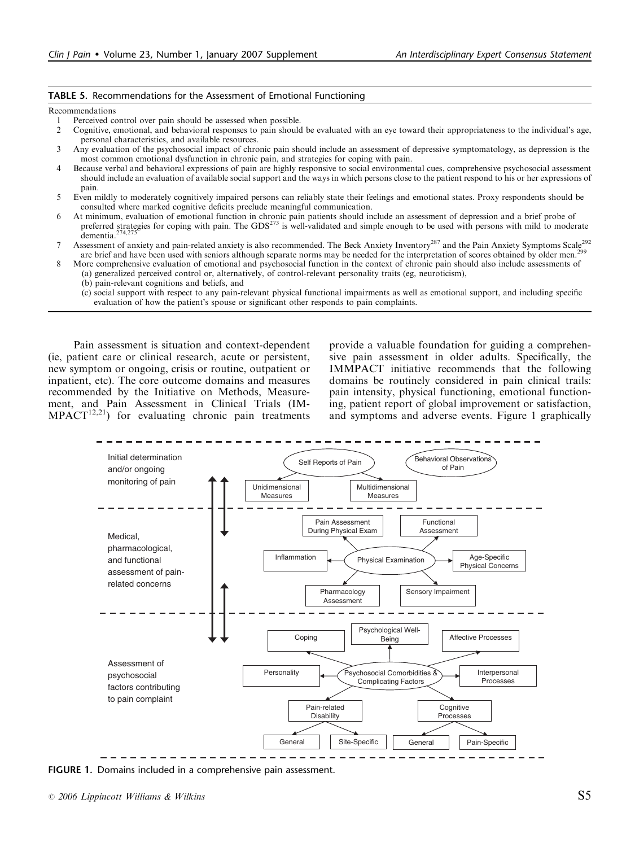#### TABLE 5. Recommendations for the Assessment of Emotional Functioning

Recommendations

- 1 Perceived control over pain should be assessed when possible.<br>2 Cognitive, emotional, and behavioral responses to pain should
- 2 Cognitive, emotional, and behavioral responses to pain should be evaluated with an eye toward their appropriateness to the individual's age, personal characteristics, and available resources.
- 3 Any evaluation of the psychosocial impact of chronic pain should include an assessment of depressive symptomatology, as depression is the most common emotional dysfunction in chronic pain, and strategies for coping with pain.
- 4 Because verbal and behavioral expressions of pain are highly responsive to social environmental cues, comprehensive psychosocial assessment should include an evaluation of available social support and the ways in which persons close to the patient respond to his or her expressions of pain.
- 5 Even mildly to moderately cognitively impaired persons can reliably state their feelings and emotional states. Proxy respondents should be consulted where marked cognitive deficits preclude meaningful communication.
- 6 At minimum, evaluation of emotional function in chronic pain patients should include an assessment of depression and a brief probe of preferred strategies for coping with pain. The  $GDS^{273}$  is well-validated and simple dementia. $274,27$
- 7 Assessment of anxiety and pain-related anxiety is also recommended. The Beck Anxiety Inventory<sup>287</sup> and the Pain Anxiety Symptoms Scale<sup>292</sup> are brief and have been used with seniors although separate norms may be needed for the interpretation of scores obtained by older men.<sup>2</sup>
- 8 More comprehensive evaluation of emotional and psychosocial function in the context of chronic pain should also include assessments of (a) generalized perceived control or, alternatively, of control-relevant personality traits (eg, neuroticism),
	- (b) pain-relevant cognitions and beliefs, and
	- (c) social support with respect to any pain-relevant physical functional impairments as well as emotional support, and including specific evaluation of how the patient's spouse or significant other responds to pain complaints.

Pain assessment is situation and context-dependent (ie, patient care or clinical research, acute or persistent, new symptom or ongoing, crisis or routine, outpatient or inpatient, etc). The core outcome domains and measures recommended by the Initiative on Methods, Measurement, and Pain Assessment in Clinical Trials (IM- $MPACT^{12,21}$  for evaluating chronic pain treatments provide a valuable foundation for guiding a comprehensive pain assessment in older adults. Specifically, the IMMPACT initiative recommends that the following domains be routinely considered in pain clinical trails: pain intensity, physical functioning, emotional functioning, patient report of global improvement or satisfaction, and symptoms and adverse events. Figure 1 graphically



FIGURE 1. Domains included in a comprehensive pain assessment.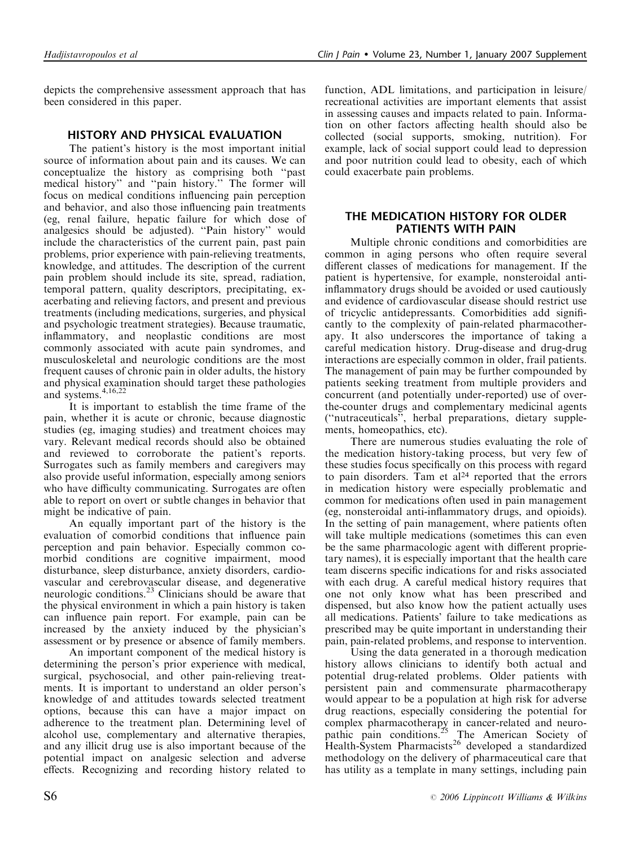depicts the comprehensive assessment approach that has been considered in this paper.

## HISTORY AND PHYSICAL EVALUATION

The patient's history is the most important initial source of information about pain and its causes. We can conceptualize the history as comprising both ''past medical history'' and ''pain history.'' The former will focus on medical conditions influencing pain perception and behavior, and also those influencing pain treatments (eg, renal failure, hepatic failure for which dose of analgesics should be adjusted). ''Pain history'' would include the characteristics of the current pain, past pain problems, prior experience with pain-relieving treatments, knowledge, and attitudes. The description of the current pain problem should include its site, spread, radiation, temporal pattern, quality descriptors, precipitating, exacerbating and relieving factors, and present and previous treatments (including medications, surgeries, and physical and psychologic treatment strategies). Because traumatic, inflammatory, and neoplastic conditions are most commonly associated with acute pain syndromes, and musculoskeletal and neurologic conditions are the most frequent causes of chronic pain in older adults, the history and physical examination should target these pathologies and systems.4,16,22

It is important to establish the time frame of the pain, whether it is acute or chronic, because diagnostic studies (eg, imaging studies) and treatment choices may vary. Relevant medical records should also be obtained and reviewed to corroborate the patient's reports. Surrogates such as family members and caregivers may also provide useful information, especially among seniors who have difficulty communicating. Surrogates are often able to report on overt or subtle changes in behavior that might be indicative of pain.

An equally important part of the history is the evaluation of comorbid conditions that influence pain perception and pain behavior. Especially common comorbid conditions are cognitive impairment, mood disturbance, sleep disturbance, anxiety disorders, cardiovascular and cerebrovascular disease, and degenerative neurologic conditions.<sup>23</sup> Clinicians should be aware that the physical environment in which a pain history is taken can influence pain report. For example, pain can be increased by the anxiety induced by the physician's assessment or by presence or absence of family members.

An important component of the medical history is determining the person's prior experience with medical, surgical, psychosocial, and other pain-relieving treatments. It is important to understand an older person's knowledge of and attitudes towards selected treatment options, because this can have a major impact on adherence to the treatment plan. Determining level of alcohol use, complementary and alternative therapies, and any illicit drug use is also important because of the potential impact on analgesic selection and adverse effects. Recognizing and recording history related to

function, ADL limitations, and participation in leisure/ recreational activities are important elements that assist in assessing causes and impacts related to pain. Information on other factors affecting health should also be collected (social supports, smoking, nutrition). For example, lack of social support could lead to depression and poor nutrition could lead to obesity, each of which could exacerbate pain problems.

## THE MEDICATION HISTORY FOR OLDER PATIENTS WITH PAIN

Multiple chronic conditions and comorbidities are common in aging persons who often require several different classes of medications for management. If the patient is hypertensive, for example, nonsteroidal antiinflammatory drugs should be avoided or used cautiously and evidence of cardiovascular disease should restrict use of tricyclic antidepressants. Comorbidities add significantly to the complexity of pain-related pharmacotherapy. It also underscores the importance of taking a careful medication history. Drug-disease and drug-drug interactions are especially common in older, frail patients. The management of pain may be further compounded by patients seeking treatment from multiple providers and concurrent (and potentially under-reported) use of overthe-counter drugs and complementary medicinal agents (''nutraceuticals'', herbal preparations, dietary supplements, homeopathics, etc).

There are numerous studies evaluating the role of the medication history-taking process, but very few of these studies focus specifically on this process with regard to pain disorders. Tam et al<sup>24</sup> reported that the errors in medication history were especially problematic and common for medications often used in pain management (eg, nonsteroidal anti-inflammatory drugs, and opioids). In the setting of pain management, where patients often will take multiple medications (sometimes this can even be the same pharmacologic agent with different proprietary names), it is especially important that the health care team discerns specific indications for and risks associated with each drug. A careful medical history requires that one not only know what has been prescribed and dispensed, but also know how the patient actually uses all medications. Patients' failure to take medications as prescribed may be quite important in understanding their pain, pain-related problems, and response to intervention.

Using the data generated in a thorough medication history allows clinicians to identify both actual and potential drug-related problems. Older patients with persistent pain and commensurate pharmacotherapy would appear to be a population at high risk for adverse drug reactions, especially considering the potential for complex pharmacotherapy in cancer-related and neuropathic pain conditions.<sup>25</sup> The American Society of Health-System Pharmacists<sup>26</sup> developed a standardized methodology on the delivery of pharmaceutical care that has utility as a template in many settings, including pain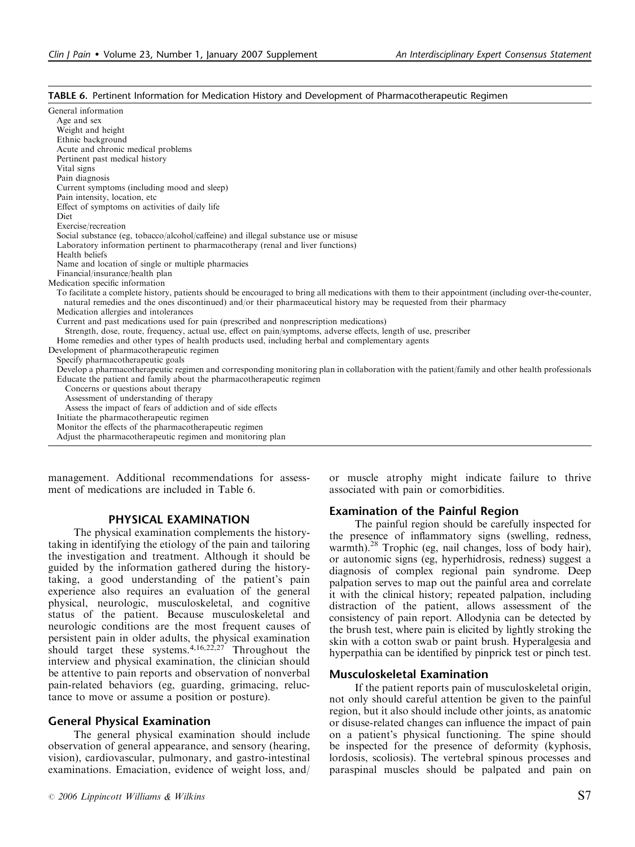TABLE 6. Pertinent Information for Medication History and Development of Pharmacotherapeutic Regimen

General information Age and sex Weight and height Ethnic background Acute and chronic medical problems Pertinent past medical history Vital signs Pain diagnosis Current symptoms (including mood and sleep) Pain intensity, location, etc Effect of symptoms on activities of daily life **Diet** Exercise/recreation Social substance (eg, tobacco/alcohol/caffeine) and illegal substance use or misuse Laboratory information pertinent to pharmacotherapy (renal and liver functions) Health beliefs Name and location of single or multiple pharmacies Financial/insurance/health plan Medication specific information To facilitate a complete history, patients should be encouraged to bring all medications with them to their appointment (including over-the-counter, natural remedies and the ones discontinued) and/or their pharmaceutical history may be requested from their pharmacy Medication allergies and intolerances Current and past medications used for pain (prescribed and nonprescription medications) Strength, dose, route, frequency, actual use, effect on pain/symptoms, adverse effects, length of use, prescriber Home remedies and other types of health products used, including herbal and complementary agents Development of pharmacotherapeutic regimen Specify pharmacotherapeutic goals Develop a pharmacotherapeutic regimen and corresponding monitoring plan in collaboration with the patient/family and other health professionals Educate the patient and family about the pharmacotherapeutic regimen Concerns or questions about therapy Assessment of understanding of therapy Assess the impact of fears of addiction and of side effects Initiate the pharmacotherapeutic regimen Monitor the effects of the pharmacotherapeutic regimen Adjust the pharmacotherapeutic regimen and monitoring plan

management. Additional recommendations for assessment of medications are included in Table 6.

#### PHYSICAL EXAMINATION

The physical examination complements the historytaking in identifying the etiology of the pain and tailoring the investigation and treatment. Although it should be guided by the information gathered during the historytaking, a good understanding of the patient's pain experience also requires an evaluation of the general physical, neurologic, musculoskeletal, and cognitive status of the patient. Because musculoskeletal and neurologic conditions are the most frequent causes of persistent pain in older adults, the physical examination should target these systems.4,16,22,27 Throughout the interview and physical examination, the clinician should be attentive to pain reports and observation of nonverbal pain-related behaviors (eg, guarding, grimacing, reluctance to move or assume a position or posture).

## General Physical Examination

The general physical examination should include observation of general appearance, and sensory (hearing, vision), cardiovascular, pulmonary, and gastro-intestinal examinations. Emaciation, evidence of weight loss, and/

 $\degree$  2006 Lippincott Williams & Wilkins  $\degree$  S7

or muscle atrophy might indicate failure to thrive associated with pain or comorbidities.

#### Examination of the Painful Region

The painful region should be carefully inspected for the presence of inflammatory signs (swelling, redness, warmth).<sup>28</sup> Trophic (eg, nail changes, loss of body hair), or autonomic signs (eg, hyperhidrosis, redness) suggest a diagnosis of complex regional pain syndrome. Deep palpation serves to map out the painful area and correlate it with the clinical history; repeated palpation, including distraction of the patient, allows assessment of the consistency of pain report. Allodynia can be detected by the brush test, where pain is elicited by lightly stroking the skin with a cotton swab or paint brush. Hyperalgesia and hyperpathia can be identified by pinprick test or pinch test.

#### Musculoskeletal Examination

If the patient reports pain of musculoskeletal origin, not only should careful attention be given to the painful region, but it also should include other joints, as anatomic or disuse-related changes can influence the impact of pain on a patient's physical functioning. The spine should be inspected for the presence of deformity (kyphosis, lordosis, scoliosis). The vertebral spinous processes and paraspinal muscles should be palpated and pain on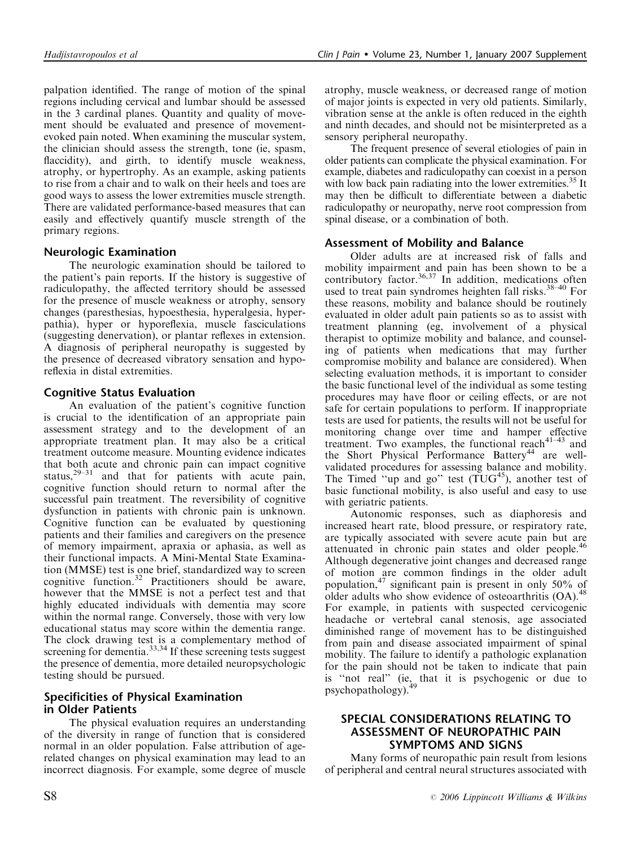palpation identified. The range of motion of the spinal regions including cervical and lumbar should be assessed in the 3 cardinal planes. Quantity and quality of movement should be evaluated and presence of movementevoked pain noted. When examining the muscular system, the clinician should assess the strength, tone (ie, spasm, flaccidity), and girth, to identify muscle weakness, atrophy, or hypertrophy. As an example, asking patients to rise from a chair and to walk on their heels and toes are good ways to assess the lower extremities muscle strength. There are validated performance-based measures that can easily and effectively quantify muscle strength of the primary regions.

## Neurologic Examination

The neurologic examination should be tailored to the patient's pain reports. If the history is suggestive of radiculopathy, the affected territory should be assessed for the presence of muscle weakness or atrophy, sensory changes (paresthesias, hypoesthesia, hyperalgesia, hyperpathia), hyper or hyporeflexia, muscle fasciculations (suggesting denervation), or plantar reflexes in extension. A diagnosis of peripheral neuropathy is suggested by the presence of decreased vibratory sensation and hyporeflexia in distal extremities.

## Cognitive Status Evaluation

An evaluation of the patient's cognitive function is crucial to the identification of an appropriate pain assessment strategy and to the development of an appropriate treatment plan. It may also be a critical treatment outcome measure. Mounting evidence indicates that both acute and chronic pain can impact cognitive status,<sup>29-31</sup> and that for patients with acute pain, cognitive function should return to normal after the successful pain treatment. The reversibility of cognitive dysfunction in patients with chronic pain is unknown. Cognitive function can be evaluated by questioning patients and their families and caregivers on the presence of memory impairment, apraxia or aphasia, as well as their functional impacts. A Mini-Mental State Examination (MMSE) test is one brief, standardized way to screen cognitive function.<sup>32</sup> Practitioners should be aware, however that the MMSE is not a perfect test and that highly educated individuals with dementia may score within the normal range. Conversely, those with very low educational status may score within the dementia range. The clock drawing test is a complementary method of screening for dementia. $33,34$  If these screening tests suggest the presence of dementia, more detailed neuropsychologic testing should be pursued.

# Specificities of Physical Examination in Older Patients

The physical evaluation requires an understanding of the diversity in range of function that is considered normal in an older population. False attribution of agerelated changes on physical examination may lead to an incorrect diagnosis. For example, some degree of muscle atrophy, muscle weakness, or decreased range of motion of major joints is expected in very old patients. Similarly, vibration sense at the ankle is often reduced in the eighth and ninth decades, and should not be misinterpreted as a sensory peripheral neuropathy.

The frequent presence of several etiologies of pain in older patients can complicate the physical examination. For example, diabetes and radiculopathy can coexist in a person with low back pain radiating into the lower extremities.<sup>35</sup> It may then be difficult to differentiate between a diabetic radiculopathy or neuropathy, nerve root compression from spinal disease, or a combination of both.

## Assessment of Mobility and Balance

Older adults are at increased risk of falls and mobility impairment and pain has been shown to be a contributory factor.<sup>36,37</sup> In addition, medications often used to treat pain syndromes heighten fall risks.<sup>38–40</sup> For these reasons, mobility and balance should be routinely evaluated in older adult pain patients so as to assist with treatment planning (eg, involvement of a physical therapist to optimize mobility and balance, and counseling of patients when medications that may further compromise mobility and balance are considered). When selecting evaluation methods, it is important to consider the basic functional level of the individual as some testing procedures may have floor or ceiling effects, or are not safe for certain populations to perform. If inappropriate tests are used for patients, the results will not be useful for monitoring change over time and hamper effective treatment. Two examples, the functional reach $41-43$  and the Short Physical Performance Battery<sup>44</sup> are wellvalidated procedures for assessing balance and mobility. The Timed "up and go" test  $(TUG<sup>45</sup>)$ , another test of basic functional mobility, is also useful and easy to use with geriatric patients.

Autonomic responses, such as diaphoresis and increased heart rate, blood pressure, or respiratory rate, are typically associated with severe acute pain but are attenuated in chronic pain states and older people.<sup>46</sup> Although degenerative joint changes and decreased range of motion are common findings in the older adult population,<sup>47</sup> significant pain is present in only 50% of older adults who show evidence of osteoarthritis (OA).<sup>48</sup> For example, in patients with suspected cervicogenic headache or vertebral canal stenosis, age associated diminished range of movement has to be distinguished from pain and disease associated impairment of spinal mobility. The failure to identify a pathologic explanation for the pain should not be taken to indicate that pain is "not real" (ie, that it is psychogenic or due to psychopathology).<sup>49</sup>

## SPECIAL CONSIDERATIONS RELATING TO ASSESSMENT OF NEUROPATHIC PAIN SYMPTOMS AND SIGNS

Many forms of neuropathic pain result from lesions of peripheral and central neural structures associated with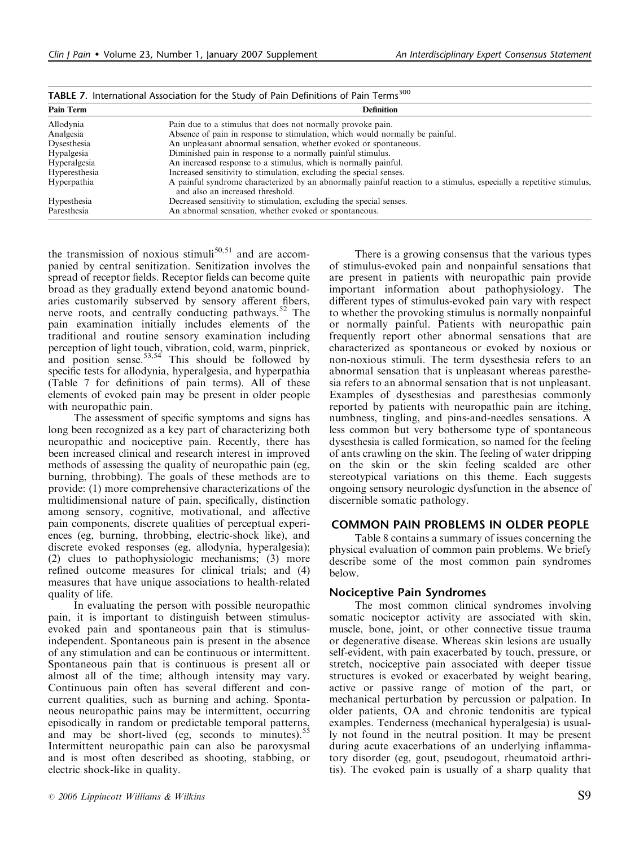|                  | <b>TABLE 7.</b> International Association for the Study of Pain Definitions of Pain Terms <sup>300</sup>                                                |  |  |  |  |
|------------------|---------------------------------------------------------------------------------------------------------------------------------------------------------|--|--|--|--|
| <b>Pain Term</b> | <b>Definition</b>                                                                                                                                       |  |  |  |  |
| Allodynia        | Pain due to a stimulus that does not normally provoke pain.                                                                                             |  |  |  |  |
| Analgesia        | Absence of pain in response to stimulation, which would normally be painful.                                                                            |  |  |  |  |
| Dysesthesia      | An unpleasant abnormal sensation, whether evoked or spontaneous.                                                                                        |  |  |  |  |
| Hypalgesia       | Diminished pain in response to a normally painful stimulus.                                                                                             |  |  |  |  |
| Hyperalgesia     | An increased response to a stimulus, which is normally painful.                                                                                         |  |  |  |  |
| Hyperesthesia    | Increased sensitivity to stimulation, excluding the special senses.                                                                                     |  |  |  |  |
| Hyperpathia      | A painful syndrome characterized by an abnormally painful reaction to a stimulus, especially a repetitive stimulus,<br>and also an increased threshold. |  |  |  |  |
| Hypesthesia      | Decreased sensitivity to stimulation, excluding the special senses.                                                                                     |  |  |  |  |
| Paresthesia      | An abnormal sensation, whether evoked or spontaneous.                                                                                                   |  |  |  |  |

|  | TABLE 7. International Association for the Study of Pain Definitions of Pain Terms <sup>300</sup> |  |  |  |  |  |  |  |
|--|---------------------------------------------------------------------------------------------------|--|--|--|--|--|--|--|
|--|---------------------------------------------------------------------------------------------------|--|--|--|--|--|--|--|

the transmission of noxious stimuli<sup>50,51</sup> and are accompanied by central senitization. Senitization involves the spread of receptor fields. Receptor fields can become quite broad as they gradually extend beyond anatomic boundaries customarily subserved by sensory afferent fibers, nerve roots, and centrally conducting pathways.<sup>52</sup> The pain examination initially includes elements of the traditional and routine sensory examination including perception of light touch, vibration, cold, warm, pinprick, and position sense.<sup>53,54</sup> This should be followed by specific tests for allodynia, hyperalgesia, and hyperpathia (Table 7 for definitions of pain terms). All of these elements of evoked pain may be present in older people with neuropathic pain.

The assessment of specific symptoms and signs has long been recognized as a key part of characterizing both neuropathic and nociceptive pain. Recently, there has been increased clinical and research interest in improved methods of assessing the quality of neuropathic pain (eg, burning, throbbing). The goals of these methods are to provide: (1) more comprehensive characterizations of the multidimensional nature of pain, specifically, distinction among sensory, cognitive, motivational, and affective pain components, discrete qualities of perceptual experiences (eg, burning, throbbing, electric-shock like), and discrete evoked responses (eg, allodynia, hyperalgesia); (2) clues to pathophysiologic mechanisms; (3) more refined outcome measures for clinical trials; and (4) measures that have unique associations to health-related quality of life.

In evaluating the person with possible neuropathic pain, it is important to distinguish between stimulusevoked pain and spontaneous pain that is stimulusindependent. Spontaneous pain is present in the absence of any stimulation and can be continuous or intermittent. Spontaneous pain that is continuous is present all or almost all of the time; although intensity may vary. Continuous pain often has several different and concurrent qualities, such as burning and aching. Spontaneous neuropathic pains may be intermittent, occurring episodically in random or predictable temporal patterns, and may be short-lived (eg, seconds to minutes). $\cdot$ Intermittent neuropathic pain can also be paroxysmal and is most often described as shooting, stabbing, or electric shock-like in quality.

There is a growing consensus that the various types of stimulus-evoked pain and nonpainful sensations that are present in patients with neuropathic pain provide important information about pathophysiology. The different types of stimulus-evoked pain vary with respect to whether the provoking stimulus is normally nonpainful or normally painful. Patients with neuropathic pain frequently report other abnormal sensations that are characterized as spontaneous or evoked by noxious or non-noxious stimuli. The term dysesthesia refers to an abnormal sensation that is unpleasant whereas paresthesia refers to an abnormal sensation that is not unpleasant. Examples of dysesthesias and paresthesias commonly reported by patients with neuropathic pain are itching, numbness, tingling, and pins-and-needles sensations. A less common but very bothersome type of spontaneous dysesthesia is called formication, so named for the feeling of ants crawling on the skin. The feeling of water dripping on the skin or the skin feeling scalded are other stereotypical variations on this theme. Each suggests ongoing sensory neurologic dysfunction in the absence of discernible somatic pathology.

#### COMMON PAIN PROBLEMS IN OLDER PEOPLE

Table 8 contains a summary of issues concerning the physical evaluation of common pain problems. We briefy describe some of the most common pain syndromes below.

#### Nociceptive Pain Syndromes

The most common clinical syndromes involving somatic nociceptor activity are associated with skin, muscle, bone, joint, or other connective tissue trauma or degenerative disease. Whereas skin lesions are usually self-evident, with pain exacerbated by touch, pressure, or stretch, nociceptive pain associated with deeper tissue structures is evoked or exacerbated by weight bearing, active or passive range of motion of the part, or mechanical perturbation by percussion or palpation. In older patients, OA and chronic tendonitis are typical examples. Tenderness (mechanical hyperalgesia) is usually not found in the neutral position. It may be present during acute exacerbations of an underlying inflammatory disorder (eg, gout, pseudogout, rheumatoid arthritis). The evoked pain is usually of a sharp quality that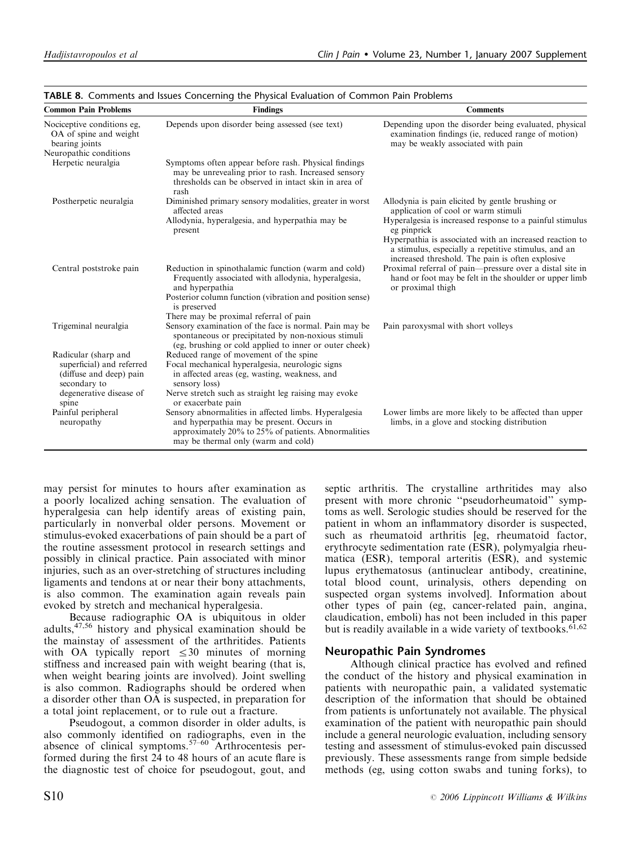| <b>Common Pain Problems</b>                                                                                                      | <b>Findings</b>                                                                                                                                                                                                                                     | <b>Comments</b>                                                                                                                                                                                                                                                                                                                           |
|----------------------------------------------------------------------------------------------------------------------------------|-----------------------------------------------------------------------------------------------------------------------------------------------------------------------------------------------------------------------------------------------------|-------------------------------------------------------------------------------------------------------------------------------------------------------------------------------------------------------------------------------------------------------------------------------------------------------------------------------------------|
| Nociceptive conditions eg,<br>OA of spine and weight<br>bearing joints<br>Neuropathic conditions                                 | Depends upon disorder being assessed (see text)                                                                                                                                                                                                     | Depending upon the disorder being evaluated, physical<br>examination findings (ie, reduced range of motion)<br>may be weakly associated with pain                                                                                                                                                                                         |
| Herpetic neuralgia                                                                                                               | Symptoms often appear before rash. Physical findings<br>may be unrevealing prior to rash. Increased sensory<br>thresholds can be observed in intact skin in area of<br>rash                                                                         |                                                                                                                                                                                                                                                                                                                                           |
| Postherpetic neuralgia                                                                                                           | Diminished primary sensory modalities, greater in worst<br>affected areas<br>Allodynia, hyperalgesia, and hyperpathia may be<br>present                                                                                                             | Allodynia is pain elicited by gentle brushing or<br>application of cool or warm stimuli<br>Hyperalgesia is increased response to a painful stimulus<br>eg pinprick<br>Hyperpathia is associated with an increased reaction to<br>a stimulus, especially a repetitive stimulus, and an<br>increased threshold. The pain is often explosive |
| Central poststroke pain                                                                                                          | Reduction in spinothalamic function (warm and cold)<br>Frequently associated with allodynia, hyperalgesia,<br>and hyperpathia<br>Posterior column function (vibration and position sense)<br>is preserved<br>There may be proximal referral of pain | Proximal referral of pain-pressure over a distal site in<br>hand or foot may be felt in the shoulder or upper limb<br>or proximal thigh                                                                                                                                                                                                   |
| Trigeminal neuralgia                                                                                                             | Sensory examination of the face is normal. Pain may be<br>spontaneous or precipitated by non-noxious stimuli<br>(eg, brushing or cold applied to inner or outer cheek)                                                                              | Pain paroxysmal with short volleys                                                                                                                                                                                                                                                                                                        |
| Radicular (sharp and<br>superficial) and referred<br>(diffuse and deep) pain<br>secondary to<br>degenerative disease of<br>spine | Reduced range of movement of the spine<br>Focal mechanical hyperalgesia, neurologic signs<br>in affected areas (eg, wasting, weakness, and<br>sensory loss)<br>Nerve stretch such as straight leg raising may evoke<br>or exacerbate pain           |                                                                                                                                                                                                                                                                                                                                           |
| Painful peripheral<br>neuropathy                                                                                                 | Sensory abnormalities in affected limbs. Hyperalgesia<br>and hyperpathia may be present. Occurs in<br>approximately 20% to 25% of patients. Abnormalities<br>may be thermal only (warm and cold)                                                    | Lower limbs are more likely to be affected than upper<br>limbs, in a glove and stocking distribution                                                                                                                                                                                                                                      |

| TABLE 8. Comments and Issues Concerning the Physical Evaluation of Common Pain Problems |  |  |  |  |  |  |  |
|-----------------------------------------------------------------------------------------|--|--|--|--|--|--|--|
|-----------------------------------------------------------------------------------------|--|--|--|--|--|--|--|

may persist for minutes to hours after examination as a poorly localized aching sensation. The evaluation of hyperalgesia can help identify areas of existing pain, particularly in nonverbal older persons. Movement or stimulus-evoked exacerbations of pain should be a part of the routine assessment protocol in research settings and possibly in clinical practice. Pain associated with minor injuries, such as an over-stretching of structures including ligaments and tendons at or near their bony attachments, is also common. The examination again reveals pain evoked by stretch and mechanical hyperalgesia.

Because radiographic OA is ubiquitous in older adults,47,56 history and physical examination should be the mainstay of assessment of the arthritides. Patients with OA typically report  $\leq 30$  minutes of morning stiffness and increased pain with weight bearing (that is, when weight bearing joints are involved). Joint swelling is also common. Radiographs should be ordered when a disorder other than OA is suspected, in preparation for a total joint replacement, or to rule out a fracture.

Pseudogout, a common disorder in older adults, is also commonly identified on radiographs, even in the absence of clinical symptoms. $57-60$  Arthrocentesis performed during the first 24 to 48 hours of an acute flare is the diagnostic test of choice for pseudogout, gout, and

septic arthritis. The crystalline arthritides may also present with more chronic ''pseudorheumatoid'' symptoms as well. Serologic studies should be reserved for the patient in whom an inflammatory disorder is suspected, such as rheumatoid arthritis [eg, rheumatoid factor, erythrocyte sedimentation rate (ESR), polymyalgia rheumatica (ESR), temporal arteritis (ESR), and systemic lupus erythematosus (antinuclear antibody, creatinine, total blood count, urinalysis, others depending on suspected organ systems involved]. Information about other types of pain (eg, cancer-related pain, angina, claudication, emboli) has not been included in this paper but is readily available in a wide variety of textbooks.<sup>61,62</sup>

## Neuropathic Pain Syndromes

Although clinical practice has evolved and refined the conduct of the history and physical examination in patients with neuropathic pain, a validated systematic description of the information that should be obtained from patients is unfortunately not available. The physical examination of the patient with neuropathic pain should include a general neurologic evaluation, including sensory testing and assessment of stimulus-evoked pain discussed previously. These assessments range from simple bedside methods (eg, using cotton swabs and tuning forks), to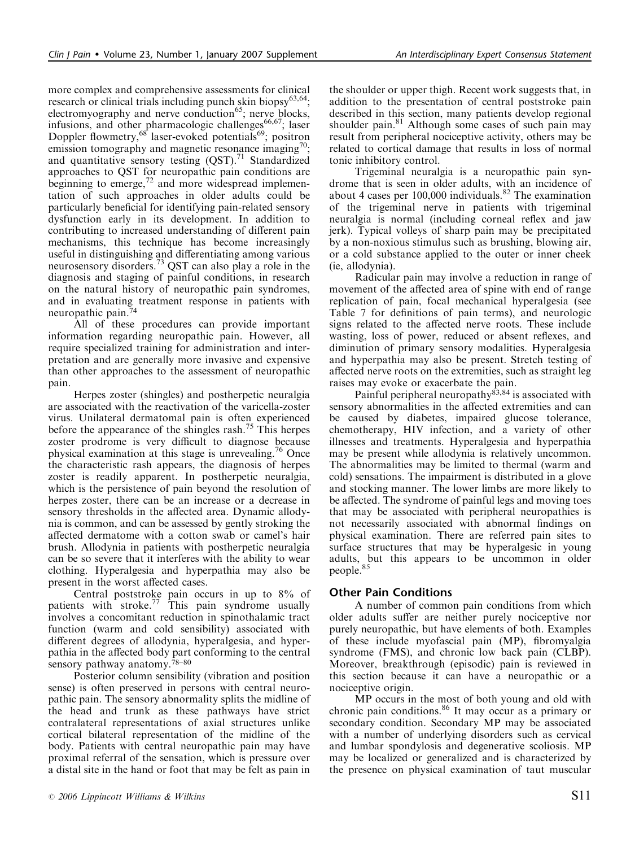more complex and comprehensive assessments for clinical research or clinical trials including punch skin biopsy $^{63,64}$ ; electromyography and nerve conduction<sup>65</sup>; nerve blocks, infusions, and other pharmacologic challenges<sup>66,67</sup>; laser Doppler flowmetry,<sup>68</sup> laser-evoked potentials<sup>69</sup>; positron emission tomography and magnetic resonance imaging<sup>70</sup>; and quantitative sensory testing  $(OST)$ <sup>71</sup> Standardized approaches to QST for neuropathic pain conditions are beginning to emerge, $72$  and more widespread implementation of such approaches in older adults could be particularly beneficial for identifying pain-related sensory dysfunction early in its development. In addition to contributing to increased understanding of different pain mechanisms, this technique has become increasingly useful in distinguishing and differentiating among various neurosensory disorders.<sup>73</sup> QST can also play a role in the diagnosis and staging of painful conditions, in research on the natural history of neuropathic pain syndromes, and in evaluating treatment response in patients with neuropathic pain.<sup>74</sup>

All of these procedures can provide important information regarding neuropathic pain. However, all require specialized training for administration and interpretation and are generally more invasive and expensive than other approaches to the assessment of neuropathic pain.

Herpes zoster (shingles) and postherpetic neuralgia are associated with the reactivation of the varicella-zoster virus. Unilateral dermatomal pain is often experienced before the appearance of the shingles rash.<sup>75</sup> This herpes zoster prodrome is very difficult to diagnose because physical examination at this stage is unrevealing.<sup>76</sup> Once the characteristic rash appears, the diagnosis of herpes zoster is readily apparent. In postherpetic neuralgia, which is the persistence of pain beyond the resolution of herpes zoster, there can be an increase or a decrease in sensory thresholds in the affected area. Dynamic allodynia is common, and can be assessed by gently stroking the affected dermatome with a cotton swab or camel's hair brush. Allodynia in patients with postherpetic neuralgia can be so severe that it interferes with the ability to wear clothing. Hyperalgesia and hyperpathia may also be present in the worst affected cases.

Central poststroke pain occurs in up to  $8\%$  of patients with stroke.<sup>77</sup> This pain syndrome usually involves a concomitant reduction in spinothalamic tract function (warm and cold sensibility) associated with different degrees of allodynia, hyperalgesia, and hyperpathia in the affected body part conforming to the central sensory pathway anatomy.<sup>78-80</sup>

Posterior column sensibility (vibration and position sense) is often preserved in persons with central neuropathic pain. The sensory abnormality splits the midline of the head and trunk as these pathways have strict contralateral representations of axial structures unlike cortical bilateral representation of the midline of the body. Patients with central neuropathic pain may have proximal referral of the sensation, which is pressure over a distal site in the hand or foot that may be felt as pain in

the shoulder or upper thigh. Recent work suggests that, in addition to the presentation of central poststroke pain described in this section, many patients develop regional shoulder pain.<sup>81</sup> Although some cases of such pain may result from peripheral nociceptive activity, others may be related to cortical damage that results in loss of normal tonic inhibitory control.

Trigeminal neuralgia is a neuropathic pain syndrome that is seen in older adults, with an incidence of about 4 cases per  $100,000$  individuals.<sup>82</sup> The examination of the trigeminal nerve in patients with trigeminal neuralgia is normal (including corneal reflex and jaw jerk). Typical volleys of sharp pain may be precipitated by a non-noxious stimulus such as brushing, blowing air, or a cold substance applied to the outer or inner cheek (ie, allodynia).

Radicular pain may involve a reduction in range of movement of the affected area of spine with end of range replication of pain, focal mechanical hyperalgesia (see Table 7 for definitions of pain terms), and neurologic signs related to the affected nerve roots. These include wasting, loss of power, reduced or absent reflexes, and diminution of primary sensory modalities. Hyperalgesia and hyperpathia may also be present. Stretch testing of affected nerve roots on the extremities, such as straight leg raises may evoke or exacerbate the pain.

Painful peripheral neuropathy $^{83,84}$  is associated with sensory abnormalities in the affected extremities and can be caused by diabetes, impaired glucose tolerance, chemotherapy, HIV infection, and a variety of other illnesses and treatments. Hyperalgesia and hyperpathia may be present while allodynia is relatively uncommon. The abnormalities may be limited to thermal (warm and cold) sensations. The impairment is distributed in a glove and stocking manner. The lower limbs are more likely to be affected. The syndrome of painful legs and moving toes that may be associated with peripheral neuropathies is not necessarily associated with abnormal findings on physical examination. There are referred pain sites to surface structures that may be hyperalgesic in young adults, but this appears to be uncommon in older people.<sup>85</sup>

## Other Pain Conditions

A number of common pain conditions from which older adults suffer are neither purely nociceptive nor purely neuropathic, but have elements of both. Examples of these include myofascial pain (MP), fibromyalgia syndrome (FMS), and chronic low back pain (CLBP). Moreover, breakthrough (episodic) pain is reviewed in this section because it can have a neuropathic or a nociceptive origin.

MP occurs in the most of both young and old with chronic pain conditions.<sup>86</sup> It may occur as a primary or secondary condition. Secondary MP may be associated with a number of underlying disorders such as cervical and lumbar spondylosis and degenerative scoliosis. MP may be localized or generalized and is characterized by the presence on physical examination of taut muscular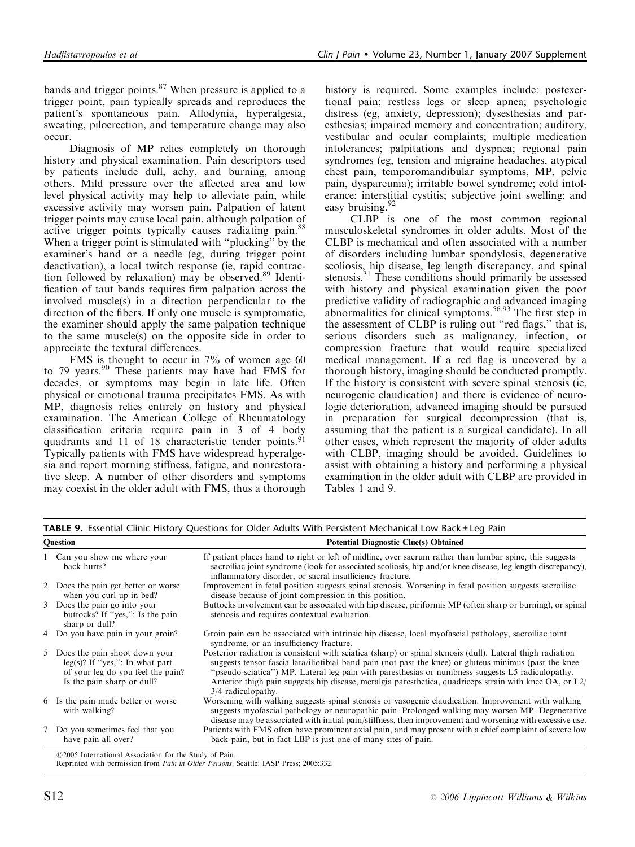bands and trigger points. $87$  When pressure is applied to a trigger point, pain typically spreads and reproduces the patient's spontaneous pain. Allodynia, hyperalgesia, sweating, piloerection, and temperature change may also occur.

Diagnosis of MP relies completely on thorough history and physical examination. Pain descriptors used by patients include dull, achy, and burning, among others. Mild pressure over the affected area and low level physical activity may help to alleviate pain, while excessive activity may worsen pain. Palpation of latent trigger points may cause local pain, although palpation of active trigger points typically causes radiating pain.<sup>88</sup> When a trigger point is stimulated with ''plucking'' by the examiner's hand or a needle (eg, during trigger point deactivation), a local twitch response (ie, rapid contraction followed by relaxation) may be observed.<sup>89</sup> Identification of taut bands requires firm palpation across the involved muscle(s) in a direction perpendicular to the direction of the fibers. If only one muscle is symptomatic, the examiner should apply the same palpation technique to the same muscle(s) on the opposite side in order to appreciate the textural differences.

FMS is thought to occur in 7% of women age 60 to 79 years.<sup>90</sup> These patients may have had FMS for decades, or symptoms may begin in late life. Often physical or emotional trauma precipitates FMS. As with MP, diagnosis relies entirely on history and physical examination. The American College of Rheumatology classification criteria require pain in 3 of 4 body quadrants and 11 of 18 characteristic tender points.<sup>91</sup> Typically patients with FMS have widespread hyperalgesia and report morning stiffness, fatigue, and nonrestorative sleep. A number of other disorders and symptoms may coexist in the older adult with FMS, thus a thorough

history is required. Some examples include: postexertional pain; restless legs or sleep apnea; psychologic distress (eg, anxiety, depression); dysesthesias and paresthesias; impaired memory and concentration; auditory, vestibular and ocular complaints; multiple medication intolerances; palpitations and dyspnea; regional pain syndromes (eg, tension and migraine headaches, atypical chest pain, temporomandibular symptoms, MP, pelvic pain, dyspareunia); irritable bowel syndrome; cold intolerance; interstitial cystitis; subjective joint swelling; and easy bruising.<sup>92</sup>

CLBP is one of the most common regional musculoskeletal syndromes in older adults. Most of the CLBP is mechanical and often associated with a number of disorders including lumbar spondylosis, degenerative scoliosis, hip disease, leg length discrepancy, and spinal stenosis.<sup>31</sup> These conditions should primarily be assessed with history and physical examination given the poor predictive validity of radiographic and advanced imaging abnormalities for clinical symptoms.<sup>56,93</sup> The first step in the assessment of CLBP is ruling out ''red flags,'' that is, serious disorders such as malignancy, infection, or compression fracture that would require specialized medical management. If a red flag is uncovered by a thorough history, imaging should be conducted promptly. If the history is consistent with severe spinal stenosis (ie, neurogenic claudication) and there is evidence of neurologic deterioration, advanced imaging should be pursued in preparation for surgical decompression (that is, assuming that the patient is a surgical candidate). In all other cases, which represent the majority of older adults with CLBP, imaging should be avoided. Guidelines to assist with obtaining a history and performing a physical examination in the older adult with CLBP are provided in Tables 1 and 9.

|                                                                                                                                                                                                                                                                                                                                                                                                                                                                                     | TABLE 9. Essential Clinic History Questions for Older Adults With Persistent Mechanical Low Back±Leg Pain                                                                                                                                                                                                                                                                                                                                                   |
|-------------------------------------------------------------------------------------------------------------------------------------------------------------------------------------------------------------------------------------------------------------------------------------------------------------------------------------------------------------------------------------------------------------------------------------------------------------------------------------|-------------------------------------------------------------------------------------------------------------------------------------------------------------------------------------------------------------------------------------------------------------------------------------------------------------------------------------------------------------------------------------------------------------------------------------------------------------|
| Question                                                                                                                                                                                                                                                                                                                                                                                                                                                                            | <b>Potential Diagnostic Clue(s) Obtained</b>                                                                                                                                                                                                                                                                                                                                                                                                                |
| 1 Can you show me where your<br>back hurts?                                                                                                                                                                                                                                                                                                                                                                                                                                         | If patient places hand to right or left of midline, over sacrum rather than lumbar spine, this suggests<br>sacrolliac joint syndrome (look for associated scoliosis, hip and/or knee disease, leg length discrepancy),<br>inflammatory disorder, or sacral insufficiency fracture.                                                                                                                                                                          |
| 2 Does the pain get better or worse<br>when you curl up in bed?                                                                                                                                                                                                                                                                                                                                                                                                                     | Improvement in fetal position suggests spinal stenosis. Worsening in fetal position suggests sacroiliac<br>disease because of joint compression in this position.                                                                                                                                                                                                                                                                                           |
| 3 Does the pain go into your<br>buttocks? If "yes,": Is the pain<br>sharp or dull?                                                                                                                                                                                                                                                                                                                                                                                                  | Buttocks involvement can be associated with hip disease, piriformis MP (often sharp or burning), or spinal<br>stenosis and requires contextual evaluation.                                                                                                                                                                                                                                                                                                  |
| 4 Do you have pain in your groin?                                                                                                                                                                                                                                                                                                                                                                                                                                                   | Groin pain can be associated with intrinsic hip disease, local myofascial pathology, sacroiliac joint<br>syndrome, or an insufficiency fracture.                                                                                                                                                                                                                                                                                                            |
| 5 Does the pain shoot down your<br>$leg(s)$ ? If "yes,": In what part<br>of your leg do you feel the pain?<br>Is the pain sharp or dull?                                                                                                                                                                                                                                                                                                                                            | Posterior radiation is consistent with sciatica (sharp) or spinal stenosis (dull). Lateral thigh radiation<br>suggests tensor fascia lata/iliotibial band pain (not past the knee) or gluteus minimus (past the knee<br>"pseudo-sciatica") MP. Lateral leg pain with paresthesias or numbness suggests L5 radiculopathy.<br>Anterior thigh pain suggests hip disease, meralgia paresthetica, quadriceps strain with knee OA, or L2/<br>$3/4$ radiculopathy. |
| 6 Is the pain made better or worse<br>with walking?                                                                                                                                                                                                                                                                                                                                                                                                                                 | Worsening with walking suggests spinal stenosis or vasogenic claudication. Improvement with walking<br>suggests myofascial pathology or neuropathic pain. Prolonged walking may worsen MP. Degenerative<br>disease may be associated with initial pain/stiffness, then improvement and worsening with excessive use.                                                                                                                                        |
| 7 Do you sometimes feel that you<br>have pain all over?                                                                                                                                                                                                                                                                                                                                                                                                                             | Patients with FMS often have prominent axial pain, and may present with a chief complaint of severe low<br>back pain, but in fact LBP is just one of many sites of pain.                                                                                                                                                                                                                                                                                    |
| $\otimes$ 3005 $\uparrow$ $\downarrow$ $\downarrow$ $\downarrow$ $\downarrow$ $\downarrow$ $\downarrow$ $\downarrow$ $\downarrow$ $\downarrow$ $\downarrow$ $\downarrow$ $\downarrow$ $\downarrow$ $\downarrow$ $\downarrow$ $\downarrow$ $\downarrow$ $\downarrow$ $\downarrow$ $\downarrow$ $\downarrow$ $\downarrow$ $\downarrow$ $\downarrow$ $\downarrow$ $\downarrow$ $\downarrow$ $\downarrow$ $\downarrow$ $\downarrow$ $\downarrow$ $\downarrow$ $\downarrow$ $\downarrow$ |                                                                                                                                                                                                                                                                                                                                                                                                                                                             |

2005 International Association for the Study of Pain. Reprinted with permission from Pain in Older Persons. Seattle: IASP Press; 2005:332.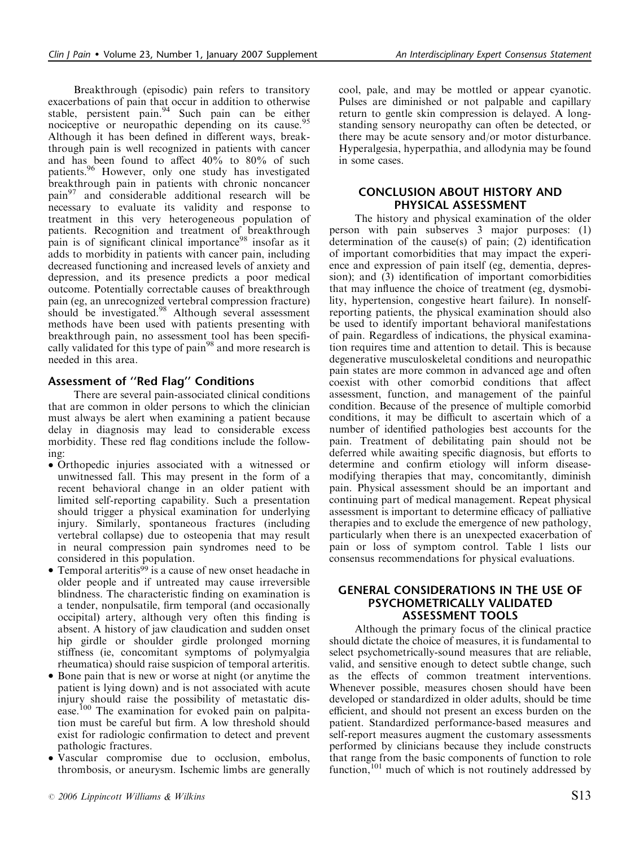Breakthrough (episodic) pain refers to transitory exacerbations of pain that occur in addition to otherwise stable, persistent pain. $94$  Such pain can be either nociceptive or neuropathic depending on its cause.<sup>95</sup> Although it has been defined in different ways, breakthrough pain is well recognized in patients with cancer and has been found to affect  $40\%$  to  $80\%$  of such patients.<sup>96</sup> However, only one study has investigated breakthrough pain in patients with chronic noncancer pain<sup>97</sup> and considerable additional research will be necessary to evaluate its validity and response to treatment in this very heterogeneous population of patients. Recognition and treatment of breakthrough pain is of significant clinical importance<sup>98</sup> insofar as it adds to morbidity in patients with cancer pain, including decreased functioning and increased levels of anxiety and depression, and its presence predicts a poor medical outcome. Potentially correctable causes of breakthrough pain (eg, an unrecognized vertebral compression fracture) should be investigated.<sup>98</sup> Although several assessment methods have been used with patients presenting with breakthrough pain, no assessment tool has been specifically validated for this type of pain<sup>98</sup> and more research is needed in this area.

# Assessment of ''Red Flag'' Conditions

There are several pain-associated clinical conditions that are common in older persons to which the clinician must always be alert when examining a patient because delay in diagnosis may lead to considerable excess morbidity. These red flag conditions include the following:

- Orthopedic injuries associated with a witnessed or unwitnessed fall. This may present in the form of a recent behavioral change in an older patient with limited self-reporting capability. Such a presentation should trigger a physical examination for underlying injury. Similarly, spontaneous fractures (including vertebral collapse) due to osteopenia that may result in neural compression pain syndromes need to be considered in this population.
- Temporal arteritis<sup>99</sup> is a cause of new onset headache in older people and if untreated may cause irreversible blindness. The characteristic finding on examination is a tender, nonpulsatile, firm temporal (and occasionally occipital) artery, although very often this finding is absent. A history of jaw claudication and sudden onset hip girdle or shoulder girdle prolonged morning stiffness (ie, concomitant symptoms of polymyalgia rheumatica) should raise suspicion of temporal arteritis.
- Bone pain that is new or worse at night (or anytime the patient is lying down) and is not associated with acute injury should raise the possibility of metastatic disease.<sup>100</sup> The examination for evoked pain on palpitation must be careful but firm. A low threshold should exist for radiologic confirmation to detect and prevent pathologic fractures.
- $\bullet$  Vascular compromise due to occlusion, embolus, thrombosis, or aneurysm. Ischemic limbs are generally

cool, pale, and may be mottled or appear cyanotic. Pulses are diminished or not palpable and capillary return to gentle skin compression is delayed. A longstanding sensory neuropathy can often be detected, or there may be acute sensory and/or motor disturbance. Hyperalgesia, hyperpathia, and allodynia may be found in some cases.

## CONCLUSION ABOUT HISTORY AND PHYSICAL ASSESSMENT

The history and physical examination of the older person with pain subserves 3 major purposes: (1) determination of the cause(s) of pain; (2) identification of important comorbidities that may impact the experience and expression of pain itself (eg, dementia, depression); and (3) identification of important comorbidities that may influence the choice of treatment (eg, dysmobility, hypertension, congestive heart failure). In nonselfreporting patients, the physical examination should also be used to identify important behavioral manifestations of pain. Regardless of indications, the physical examination requires time and attention to detail. This is because degenerative musculoskeletal conditions and neuropathic pain states are more common in advanced age and often coexist with other comorbid conditions that affect assessment, function, and management of the painful condition. Because of the presence of multiple comorbid conditions, it may be difficult to ascertain which of a number of identified pathologies best accounts for the pain. Treatment of debilitating pain should not be deferred while awaiting specific diagnosis, but efforts to determine and confirm etiology will inform diseasemodifying therapies that may, concomitantly, diminish pain. Physical assessment should be an important and continuing part of medical management. Repeat physical assessment is important to determine efficacy of palliative therapies and to exclude the emergence of new pathology, particularly when there is an unexpected exacerbation of pain or loss of symptom control. Table 1 lists our consensus recommendations for physical evaluations.

## GENERAL CONSIDERATIONS IN THE USE OF PSYCHOMETRICALLY VALIDATED ASSESSMENT TOOLS

Although the primary focus of the clinical practice should dictate the choice of measures, it is fundamental to select psychometrically-sound measures that are reliable, valid, and sensitive enough to detect subtle change, such as the effects of common treatment interventions. Whenever possible, measures chosen should have been developed or standardized in older adults, should be time efficient, and should not present an excess burden on the patient. Standardized performance-based measures and self-report measures augment the customary assessments performed by clinicians because they include constructs that range from the basic components of function to role function,<sup>101</sup> much of which is not routinely addressed by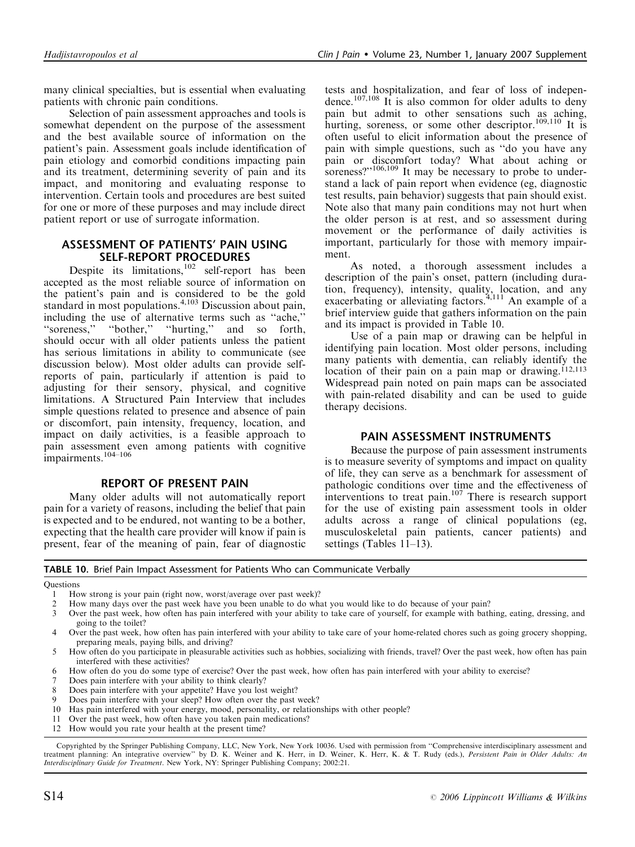many clinical specialties, but is essential when evaluating patients with chronic pain conditions.

Selection of pain assessment approaches and tools is somewhat dependent on the purpose of the assessment and the best available source of information on the patient's pain. Assessment goals include identification of pain etiology and comorbid conditions impacting pain and its treatment, determining severity of pain and its impact, and monitoring and evaluating response to intervention. Certain tools and procedures are best suited for one or more of these purposes and may include direct patient report or use of surrogate information.

## ASSESSMENT OF PATIENTS' PAIN USING SELF-REPORT PROCEDURES

Despite its limitations,  $102$  self-report has been accepted as the most reliable source of information on the patient's pain and is considered to be the gold standard in most populations.<sup>4,103</sup> Discussion about pain, including the use of alternative terms such as ''ache,'' "soreness," "bother," "hurting," and so forth, should occur with all older patients unless the patient has serious limitations in ability to communicate (see discussion below). Most older adults can provide selfreports of pain, particularly if attention is paid to adjusting for their sensory, physical, and cognitive limitations. A Structured Pain Interview that includes simple questions related to presence and absence of pain or discomfort, pain intensity, frequency, location, and impact on daily activities, is a feasible approach to pain assessment even among patients with cognitive impairments.<sup>104–106</sup>

#### REPORT OF PRESENT PAIN

Many older adults will not automatically report pain for a variety of reasons, including the belief that pain is expected and to be endured, not wanting to be a bother, expecting that the health care provider will know if pain is present, fear of the meaning of pain, fear of diagnostic tests and hospitalization, and fear of loss of independence.<sup>107,108</sup> It is also common for older adults to deny pain but admit to other sensations such as aching, hurting, soreness, or some other descriptor.<sup>109,110</sup> It is often useful to elicit information about the presence of pain with simple questions, such as ''do you have any pain or discomfort today? What about aching or soreness?"<sup>106,109</sup> It may be necessary to probe to understand a lack of pain report when evidence (eg, diagnostic test results, pain behavior) suggests that pain should exist. Note also that many pain conditions may not hurt when the older person is at rest, and so assessment during movement or the performance of daily activities is important, particularly for those with memory impairment.

As noted, a thorough assessment includes a description of the pain's onset, pattern (including duration, frequency), intensity, quality, location, and any exacerbating or alleviating factors.<sup>4,111</sup> An example of a brief interview guide that gathers information on the pain and its impact is provided in Table 10.

Use of a pain map or drawing can be helpful in identifying pain location. Most older persons, including many patients with dementia, can reliably identify the location of their pain on a pain map or drawing.<sup>112,113</sup> Widespread pain noted on pain maps can be associated with pain-related disability and can be used to guide therapy decisions.

## PAIN ASSESSMENT INSTRUMENTS

Because the purpose of pain assessment instruments is to measure severity of symptoms and impact on quality of life, they can serve as a benchmark for assessment of pathologic conditions over time and the effectiveness of paintergie conditions over the and the encenveness of interventions to treat pain.<sup>107</sup> There is research support for the use of existing pain assessment tools in older adults across a range of clinical populations (eg, musculoskeletal pain patients, cancer patients) and settings (Tables 11–13).

#### TABLE 10. Brief Pain Impact Assessment for Patients Who can Communicate Verbally

**Questions** 

- 1 How strong is your pain (right now, worst/average over past week)?
- 2 How many days over the past week have you been unable to do what you would like to do because of your pain?<br>2 Over the past week how often has pain interfered with your ability to take care of yourself for example with b
- Over the past week, how often has pain interfered with your ability to take care of yourself, for example with bathing, eating, dressing, and going to the toilet?
- 4 Over the past week, how often has pain interfered with your ability to take care of your home-related chores such as going grocery shopping, preparing meals, paying bills, and driving?
- 5 How often do you participate in pleasurable activities such as hobbies, socializing with friends, travel? Over the past week, how often has pain interfered with these activities?
- 6 How often do you do some type of exercise? Over the past week, how often has pain interfered with your ability to exercise?
- Does pain interfere with your ability to think clearly?
- 8 Does pain interfere with your appetite? Have you lost weight?
- Does pain interfere with your sleep? How often over the past week?
- 10 Has pain interfered with your energy, mood, personality, or relationships with other people?
- 11 Over the past week, how often have you taken pain medications?
- 12 How would you rate your health at the present time?

Copyrighted by the Springer Publishing Company, LLC, New York, New York 10036. Used with permission from ''Comprehensive interdisciplinary assessment and treatment planning: An integrative overview" by D. K. Weiner and K. Herr, in D. Weiner, K. Herr, K. & T. Rudy (eds.), *Persistent Pain in Older Adults: An*<br>Interdisciplinary Guide for Treatment. New York, NY: Springer Publ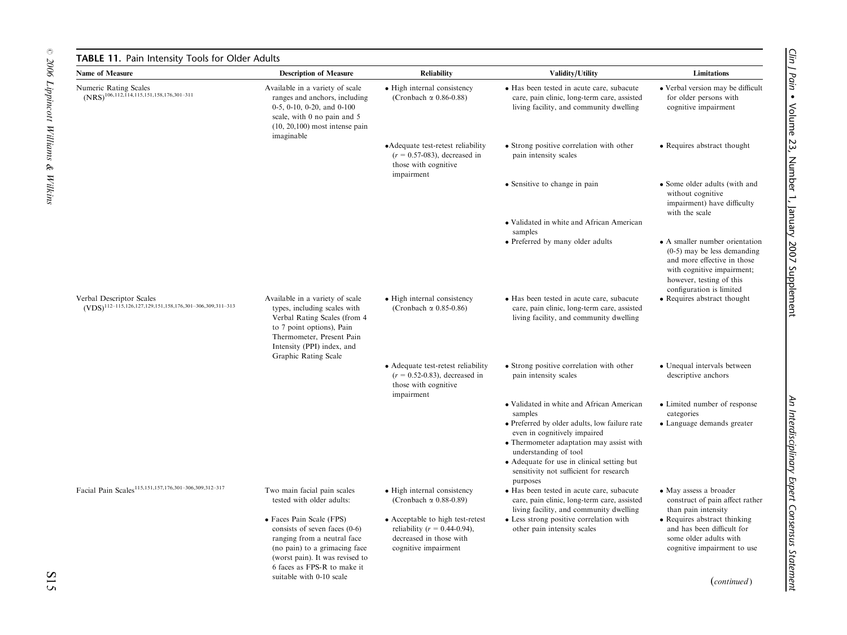| <b>Name of Measure</b>                                                        | <b>Description of Measure</b>                                                                                                                                                               | <b>Reliability</b>                                                                                          | Validity/Utility                                                                                                                    | <b>Limitations</b>                                                             |
|-------------------------------------------------------------------------------|---------------------------------------------------------------------------------------------------------------------------------------------------------------------------------------------|-------------------------------------------------------------------------------------------------------------|-------------------------------------------------------------------------------------------------------------------------------------|--------------------------------------------------------------------------------|
| <b>Numeric Rating Scales</b><br>$(NRS)^{106,112,114,115,151,158,176,301-311}$ | Available in a variety of scale<br>ranges and anchors, including<br>$0-5$ , $0-10$ , $0-20$ , and $0-100$<br>scale, with 0 no pain and 5<br>$(10, 20, 100)$ most intense pain<br>imaginable | • High internal consistency<br>(Cronbach $\alpha$ 0.86-0.88)                                                | • Has been tested in acute care, subacute<br>care, pain clinic, long-term care, assisted<br>living facility, and community dwelling | • Verbal version may<br>for older persons w<br>cognitive impairme              |
|                                                                               |                                                                                                                                                                                             | • Adequate test-retest reliability<br>$(r = 0.57-083)$ , decreased in<br>those with cognitive<br>impairment | • Strong positive correlation with other<br>pain intensity scales                                                                   | • Requires abstract t                                                          |
|                                                                               |                                                                                                                                                                                             |                                                                                                             | • Sensitive to change in pain                                                                                                       | • Some older adults<br>without cognitive<br>impairment) have<br>with the scale |
|                                                                               |                                                                                                                                                                                             |                                                                                                             | • Validated in white and African American<br>samples                                                                                |                                                                                |

- - Strong positive correlation with other pain intensity scales
	- ican
- - Preferred by older adults, low failure rate even in cognitively impaired
- understanding of tool
- sensitivity not sufficient for research
- - Has been tested in acute care, subacute care, pain clinic, long-term care, assisted living facility, and community dwelling
- May assess <sup>a</sup> broader construct of pain affect rather than pain intensity

- Verbal version may be difficult for older persons with cognitive impairment

• Requires abstract thought

 Some older adults (with and without cognitive impairment) have difficulty

 A smaller number orientation(0-5) may be less demanding and more effective in those with cognitive impairment; however, testing of this configuration is limited

• Requires abstract thought

• Unequal intervals between descriptive anchors

• Limited number of response

- Language demands greater

categories

• Requires abstract thinking and has been difficult forsome older adults with cognitive impairment to use

(continued )

An Interdisciplinary Expert Consensus Statement

An Interdisciplinary Expert Consensus Statement

|                                                                                           |                                                                                                                                                                                                                         |                                                                                                                           | • Sensitive to change in pain                                                                                                                                                                                                                                                                                   |  |
|-------------------------------------------------------------------------------------------|-------------------------------------------------------------------------------------------------------------------------------------------------------------------------------------------------------------------------|---------------------------------------------------------------------------------------------------------------------------|-----------------------------------------------------------------------------------------------------------------------------------------------------------------------------------------------------------------------------------------------------------------------------------------------------------------|--|
|                                                                                           |                                                                                                                                                                                                                         |                                                                                                                           | • Validated in white and African American<br>samples<br>• Preferred by many older adults                                                                                                                                                                                                                        |  |
| Verbal Descriptor Scales<br>$(VDS)^{112-115,126,127,129,151,158,176,301-306,309,311-313}$ | Available in a variety of scale<br>types, including scales with<br>Verbal Rating Scales (from 4<br>to 7 point options), Pain<br>Thermometer, Present Pain<br>Intensity (PPI) index, and                                 | • High internal consistency<br>(Cronbach $\alpha$ 0.85-0.86)                                                              | • Has been tested in acute care, subacute<br>care, pain clinic, long-term care, assisted<br>living facility, and community dwelling                                                                                                                                                                             |  |
|                                                                                           | Graphic Rating Scale                                                                                                                                                                                                    | • Adequate test-retest reliability<br>$(r = 0.52 - 0.83)$ , decreased in<br>those with cognitive<br>impairment            | • Strong positive correlation with other<br>pain intensity scales                                                                                                                                                                                                                                               |  |
|                                                                                           |                                                                                                                                                                                                                         |                                                                                                                           | • Validated in white and African American<br>samples<br>· Preferred by older adults, low failure rate<br>even in cognitively impaired<br>• Thermometer adaptation may assist with<br>understanding of tool<br>• Adequate for use in clinical setting but<br>sensitivity not sufficient for research<br>purposes |  |
| Facial Pain Scales <sup>115,151,157,176,301-306,309,312-317</sup>                         | Two main facial pain scales<br>tested with older adults:                                                                                                                                                                | • High internal consistency<br>(Cronbach α 0.88-0.89)                                                                     | • Has been tested in acute care, subacute<br>care, pain clinic, long-term care, assisted<br>living facility, and community dwelling                                                                                                                                                                             |  |
|                                                                                           | • Faces Pain Scale (FPS)<br>consists of seven faces (0-6)<br>ranging from a neutral face<br>(no pain) to a grimacing face<br>(worst pain). It was revised to<br>6 faces as FPS-R to make it<br>suitable with 0-10 scale | • Acceptable to high test-retest<br>reliability ( $r = 0.44 - 0.94$ ),<br>decreased in those with<br>cognitive impairment | • Less strong positive correlation with<br>other pain intensity scales                                                                                                                                                                                                                                          |  |
|                                                                                           |                                                                                                                                                                                                                         |                                                                                                                           |                                                                                                                                                                                                                                                                                                                 |  |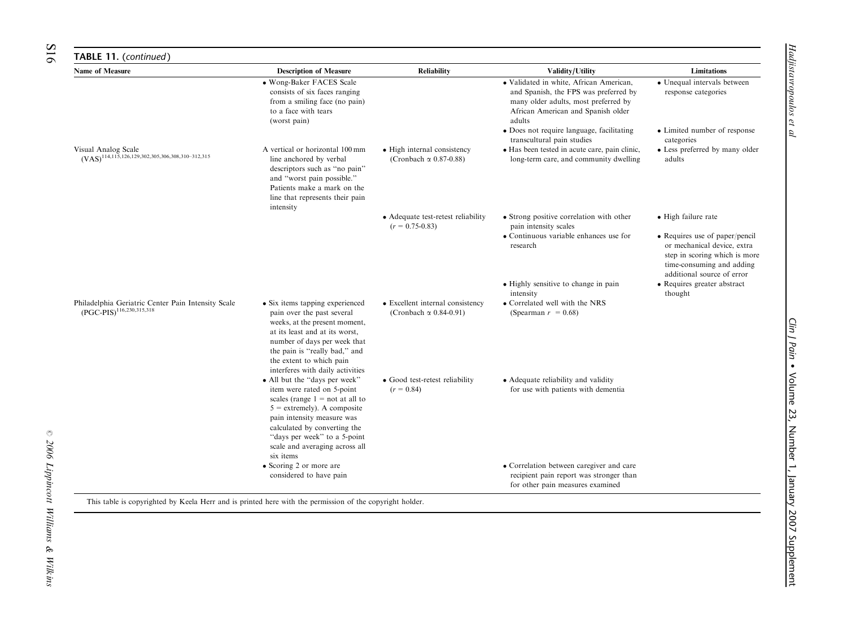# TABLE 11. (continued)

| <b>Name of Measure</b>                                                                     | <b>Description of Measure</b>                                                                                                                                                                                                                                                  | <b>Reliability</b>                                                | <b>Validity/Utility</b>                                                                                                                                                  | Limitations                                                                                                                                                       |
|--------------------------------------------------------------------------------------------|--------------------------------------------------------------------------------------------------------------------------------------------------------------------------------------------------------------------------------------------------------------------------------|-------------------------------------------------------------------|--------------------------------------------------------------------------------------------------------------------------------------------------------------------------|-------------------------------------------------------------------------------------------------------------------------------------------------------------------|
|                                                                                            | · Wong-Baker FACES Scale<br>consists of six faces ranging<br>from a smiling face (no pain)<br>to a face with tears<br>(worst pain)                                                                                                                                             |                                                                   | · Validated in white, African American,<br>and Spanish, the FPS was preferred by<br>many older adults, most preferred by<br>African American and Spanish older<br>adults | • Unequal intervals between<br>response categories                                                                                                                |
|                                                                                            |                                                                                                                                                                                                                                                                                |                                                                   | • Does not require language, facilitating<br>transcultural pain studies                                                                                                  | • Limited number of response<br>categories                                                                                                                        |
| Visual Analog Scale<br>$(VAS)^{114,115,126,129,302,305,306,308,310-312,315}$               | A vertical or horizontal 100 mm<br>line anchored by verbal<br>descriptors such as "no pain"<br>and "worst pain possible."<br>Patients make a mark on the<br>line that represents their pain<br>intensity                                                                       | • High internal consistency<br>(Cronbach $\alpha$ 0.87-0.88)      | • Has been tested in acute care, pain clinic,<br>long-term care, and community dwelling                                                                                  | • Less preferred by many older<br>adults                                                                                                                          |
|                                                                                            |                                                                                                                                                                                                                                                                                | • Adequate test-retest reliability<br>$(r = 0.75 - 0.83)$         | • Strong positive correlation with other<br>pain intensity scales                                                                                                        | • High failure rate                                                                                                                                               |
|                                                                                            |                                                                                                                                                                                                                                                                                |                                                                   | • Continuous variable enhances use for<br>research                                                                                                                       | $\bullet$ Requires use of paper/pencil<br>or mechanical device, extra<br>step in scoring which is more<br>time-consuming and adding<br>additional source of error |
|                                                                                            |                                                                                                                                                                                                                                                                                |                                                                   | • Highly sensitive to change in pain<br>intensity                                                                                                                        | • Requires greater abstract<br>thought                                                                                                                            |
| Philadelphia Geriatric Center Pain Intensity Scale<br>(PGC-PIS) <sup>116,230,315,318</sup> | • Six items tapping experienced<br>pain over the past several<br>weeks, at the present moment,<br>at its least and at its worst,<br>number of days per week that<br>the pain is "really bad," and<br>the extent to which pain<br>interferes with daily activities              | • Excellent internal consistency<br>(Cronbach $\alpha$ 0.84-0.91) | • Correlated well with the NRS<br>(Spearman $r = 0.68$ )                                                                                                                 |                                                                                                                                                                   |
|                                                                                            | • All but the "days per week"<br>item were rated on 5-point<br>scales (range $1 = not$ at all to<br>$5 =$ extremely). A composite<br>pain intensity measure was<br>calculated by converting the<br>"days per week" to a 5-point<br>scale and averaging across all<br>six items | • Good test-retest reliability<br>$(r = 0.84)$                    | • Adequate reliability and validity<br>for use with patients with dementia                                                                                               |                                                                                                                                                                   |
|                                                                                            | • Scoring 2 or more are<br>considered to have pain                                                                                                                                                                                                                             |                                                                   | • Correlation between caregiver and care<br>recipient pain report was stronger than<br>for other pain measures examined                                                  |                                                                                                                                                                   |

This table is copyrighted by Keela Herr and is printed here with the permission of the copyright holder.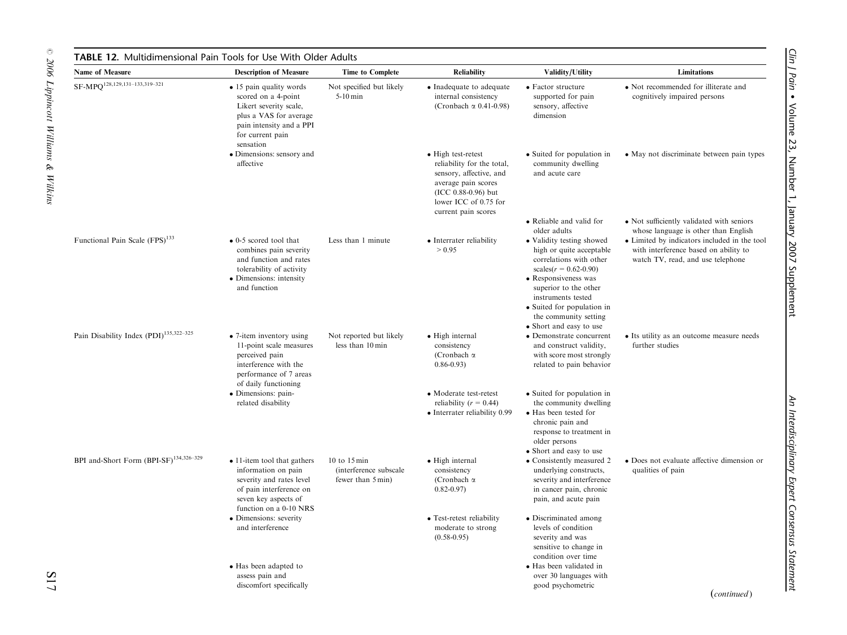$\odot$  2006 Lippincott Williams & Wilkins 2006 Lippincott Williams & Wilkins

| <b>Name of Measure</b>                             | <b>Description of Measure</b>                                                                                                                                   | <b>Time to Complete</b>                                     | <b>Reliability</b>                                                                                                                                                        | Validity/Utility                                                                                                                                                                                       | <b>Limitations</b>                                                                                                                                                 |
|----------------------------------------------------|-----------------------------------------------------------------------------------------------------------------------------------------------------------------|-------------------------------------------------------------|---------------------------------------------------------------------------------------------------------------------------------------------------------------------------|--------------------------------------------------------------------------------------------------------------------------------------------------------------------------------------------------------|--------------------------------------------------------------------------------------------------------------------------------------------------------------------|
| SF-MPQ <sup>128,129,131-133,319-321</sup>          | • 15 pain quality words<br>scored on a 4-point<br>Likert severity scale,<br>plus a VAS for average<br>pain intensity and a PPI<br>for current pain<br>sensation | Not specified but likely<br>$5-10$ min                      | • Inadequate to adequate<br>internal consistency<br>(Cronbach $\alpha$ 0.41-0.98)                                                                                         | • Factor structure<br>supported for pain<br>sensory, affective<br>dimension                                                                                                                            | • Not recommended for illiterate and<br>cognitively impaired persons                                                                                               |
|                                                    | • Dimensions: sensory and<br>affective                                                                                                                          |                                                             | • High test-retest<br>reliability for the total,<br>sensory, affective, and<br>average pain scores<br>(ICC 0.88-0.96) but<br>lower ICC of 0.75 for<br>current pain scores | • Suited for population in<br>community dwelling<br>and acute care                                                                                                                                     | • May not discriminate between pain types                                                                                                                          |
|                                                    |                                                                                                                                                                 |                                                             |                                                                                                                                                                           | • Reliable and valid for                                                                                                                                                                               | • Not sufficiently validated with seniors                                                                                                                          |
| Functional Pain Scale (FPS) <sup>133</sup>         | • 0-5 scored tool that<br>combines pain severity<br>and function and rates<br>tolerability of activity<br>• Dimensions: intensity<br>and function               | Less than 1 minute                                          | • Interrater reliability<br>> 0.95                                                                                                                                        | older adults<br>• Validity testing showed<br>high or quite acceptable<br>correlations with other<br>scales( $r = 0.62 - 0.90$ )<br>• Responsiveness was<br>superior to the other<br>instruments tested | whose language is other than English<br>• Limited by indicators included in the tool<br>with interference based on ability to<br>watch TV, read, and use telephone |
|                                                    |                                                                                                                                                                 |                                                             |                                                                                                                                                                           | • Suited for population in<br>the community setting<br>• Short and easy to use                                                                                                                         |                                                                                                                                                                    |
| Pain Disability Index (PDI) <sup>135,322-325</sup> | • 7-item inventory using<br>11-point scale measures<br>perceived pain<br>interference with the<br>performance of 7 areas<br>of daily functioning                | Not reported but likely<br>less than 10 min                 | • High internal<br>consistency<br>(Cronbach $\alpha$<br>$0.86 - 0.93$                                                                                                     | • Demonstrate concurrent<br>and construct validity,<br>with score most strongly<br>related to pain behavior                                                                                            | • Its utility as an outcome measure needs<br>further studies                                                                                                       |
|                                                    | • Dimensions: pain-<br>related disability                                                                                                                       |                                                             | • Moderate test-retest<br>reliability ( $r = 0.44$ )<br>• Interrater reliability 0.99                                                                                     | • Suited for population in<br>the community dwelling<br>• Has been tested for<br>chronic pain and<br>response to treatment in<br>older persons<br>• Short and easy to use                              |                                                                                                                                                                    |
| BPI and-Short Form (BPI-SF) <sup>134,326-329</sup> | • 11-item tool that gathers<br>information on pain<br>severity and rates level<br>of pain interference on<br>seven key aspects of<br>function on a 0-10 NRS     | 10 to 15 min<br>(interference subscale<br>fewer than 5 min) | • High internal<br>consistency<br>(Cronbach $\alpha$<br>$0.82 - 0.97$                                                                                                     | • Consistently measured 2<br>underlying constructs,<br>severity and interference<br>in cancer pain, chronic<br>pain, and acute pain                                                                    | • Does not evaluate affective dimension or<br>qualities of pain                                                                                                    |
|                                                    | • Dimensions: severity<br>and interference                                                                                                                      |                                                             | • Test-retest reliability<br>moderate to strong<br>$(0.58 - 0.95)$                                                                                                        | • Discriminated among<br>levels of condition<br>severity and was<br>sensitive to change in<br>condition over time                                                                                      |                                                                                                                                                                    |
|                                                    | • Has been adapted to<br>assess pain and                                                                                                                        |                                                             |                                                                                                                                                                           | • Has been validated in<br>over 30 languages with                                                                                                                                                      |                                                                                                                                                                    |
|                                                    | discomfort specifically                                                                                                                                         |                                                             |                                                                                                                                                                           | good psychometric                                                                                                                                                                                      | (continued)                                                                                                                                                        |
|                                                    |                                                                                                                                                                 |                                                             |                                                                                                                                                                           |                                                                                                                                                                                                        |                                                                                                                                                                    |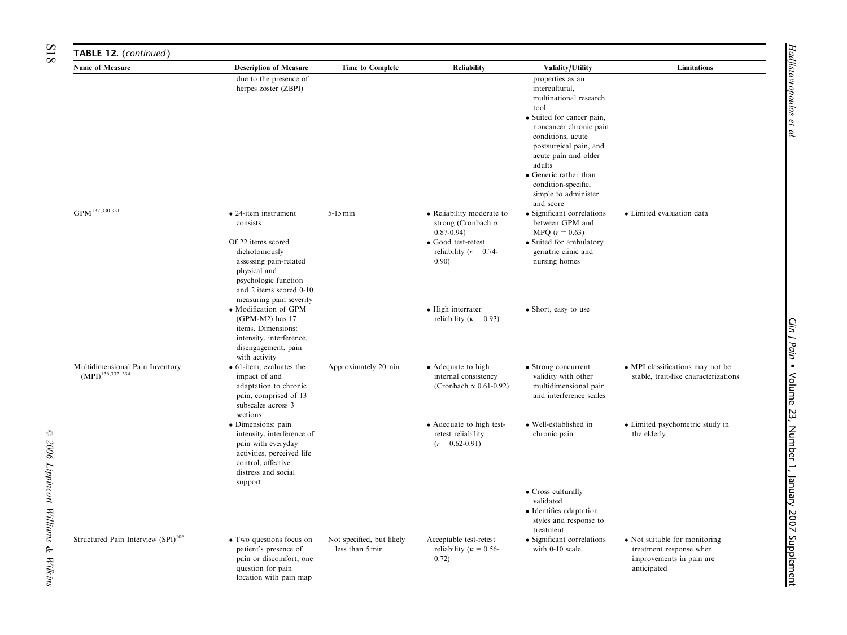| <b>Name of Measure</b>                                   | <b>Description of Measure</b>                                                                                                                                | <b>Time to Complete</b>                      | <b>Reliability</b>                                                          | <b>Validity/Utility</b>                                                                                                                                                                                                                                                              | <b>Limitations</b>                                                                                  |
|----------------------------------------------------------|--------------------------------------------------------------------------------------------------------------------------------------------------------------|----------------------------------------------|-----------------------------------------------------------------------------|--------------------------------------------------------------------------------------------------------------------------------------------------------------------------------------------------------------------------------------------------------------------------------------|-----------------------------------------------------------------------------------------------------|
|                                                          | due to the presence of<br>herpes zoster (ZBPI)                                                                                                               |                                              |                                                                             | properties as an<br>intercultural,<br>multinational research<br>tool<br>• Suited for cancer pain,<br>noncancer chronic pain<br>conditions, acute<br>postsurgical pain, and<br>acute pain and older<br>adults<br>• Generic rather than<br>condition-specific,<br>simple to administer |                                                                                                     |
| GPM <sup>137,330,331</sup>                               | $\bullet$ 24-item instrument<br>consists                                                                                                                     | $5-15$ min                                   | • Reliability moderate to<br>strong (Cronbach $\alpha$<br>$0.87 - 0.94$     | and score<br>• Significant correlations<br>between GPM and<br>MPQ $(r = 0.63)$                                                                                                                                                                                                       | • Limited evaluation data                                                                           |
|                                                          | Of 22 items scored<br>dichotomously<br>assessing pain-related<br>physical and<br>psychologic function<br>and 2 items scored 0-10<br>measuring pain severity  |                                              | • Good test-retest<br>reliability ( $r = 0.74$ -<br>0.90)                   | • Suited for ambulatory<br>geriatric clinic and<br>nursing homes                                                                                                                                                                                                                     |                                                                                                     |
|                                                          | • Modification of GPM<br>(GPM-M2) has 17<br>items. Dimensions:<br>intensity, interference,<br>disengagement, pain<br>with activity                           |                                              | • High interrater<br>reliability ( $\kappa = 0.93$ )                        | • Short, easy to use                                                                                                                                                                                                                                                                 |                                                                                                     |
| Multidimensional Pain Inventory<br>$(MPI)^{136,332-334}$ | • 61-item, evaluates the<br>impact of and<br>adaptation to chronic<br>pain, comprised of 13<br>subscales across 3<br>sections                                | Approximately 20 min                         | • Adequate to high<br>internal consistency<br>(Cronbach $\alpha$ 0.61-0.92) | • Strong concurrent<br>validity with other<br>multidimensional pain<br>and interference scales                                                                                                                                                                                       | • MPI classifications may not be<br>stable, trait-like characterizations                            |
|                                                          | • Dimensions: pain<br>intensity, interference of<br>pain with everyday<br>activities, perceived life<br>control. affective<br>distress and social<br>support |                                              | • Adequate to high test-<br>retest reliability<br>$(r = 0.62 - 0.91)$       | · Well-established in<br>chronic pain                                                                                                                                                                                                                                                | • Limited psychometric study in<br>the elderly                                                      |
|                                                          |                                                                                                                                                              |                                              |                                                                             | • Cross culturally<br>validated<br>• Identifies adaptation<br>styles and response to<br>treatment                                                                                                                                                                                    |                                                                                                     |
| Structured Pain Interview (SPI) <sup>106</sup>           | • Two questions focus on<br>patient's presence of<br>pain or discomfort, one<br>question for pain<br>location with pain map                                  | Not specified, but likely<br>less than 5 min | Acceptable test-retest<br>reliability ( $\kappa = 0.56$ -<br>0.72)          | • Significant correlations<br>with 0-10 scale                                                                                                                                                                                                                                        | • Not suitable for monitoring<br>treatment response when<br>improvements in pain are<br>anticipated |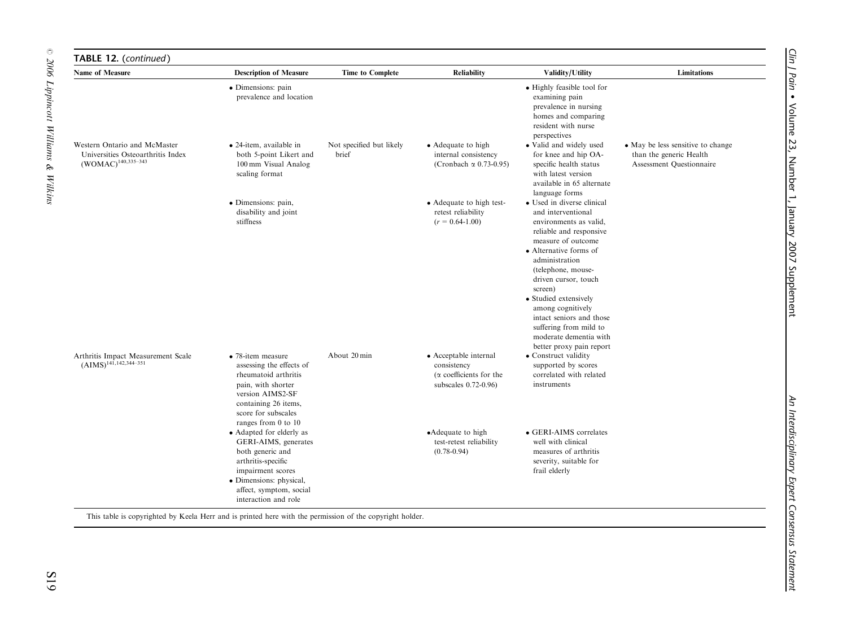| TABLE 12. (continued)                                                                        |                                                                                                                                                                                               |                                   |                                                                                                |                                                                                                                                                                                                                                                                                                                                                                                            |                                                                                          |
|----------------------------------------------------------------------------------------------|-----------------------------------------------------------------------------------------------------------------------------------------------------------------------------------------------|-----------------------------------|------------------------------------------------------------------------------------------------|--------------------------------------------------------------------------------------------------------------------------------------------------------------------------------------------------------------------------------------------------------------------------------------------------------------------------------------------------------------------------------------------|------------------------------------------------------------------------------------------|
| <b>Name of Measure</b>                                                                       | <b>Description of Measure</b>                                                                                                                                                                 | <b>Time to Complete</b>           | <b>Reliability</b>                                                                             | <b>Validity/Utility</b>                                                                                                                                                                                                                                                                                                                                                                    | <b>Limitations</b>                                                                       |
|                                                                                              | · Dimensions: pain<br>prevalence and location                                                                                                                                                 |                                   |                                                                                                | · Highly feasible tool for<br>examining pain<br>prevalence in nursing<br>homes and comparing<br>resident with nurse<br>perspectives                                                                                                                                                                                                                                                        |                                                                                          |
| Western Ontario and McMaster<br>Universities Osteoarthritis Index<br>$(WOMAC)^{140,335-343}$ | • 24-item, available in<br>both 5-point Likert and<br>100 mm Visual Analog<br>scaling format                                                                                                  | Not specified but likely<br>brief | • Adequate to high<br>internal consistency<br>(Cronbach $\alpha$ 0.73-0.95)                    | • Valid and widely used<br>for knee and hip OA-<br>specific health status<br>with latest version<br>available in 65 alternate<br>language forms                                                                                                                                                                                                                                            | • May be less sensitive to change<br>than the generic Health<br>Assessment Questionnaire |
|                                                                                              | · Dimensions: pain,<br>disability and joint<br>stiffness                                                                                                                                      |                                   | • Adequate to high test-<br>retest reliability<br>$(r = 0.64 - 1.00)$                          | • Used in diverse clinical<br>and interventional<br>environments as valid,<br>reliable and responsive<br>measure of outcome<br>• Alternative forms of<br>administration<br>(telephone, mouse-<br>driven cursor, touch<br>screen)<br>• Studied extensively<br>among cognitively<br>intact seniors and those<br>suffering from mild to<br>moderate dementia with<br>better proxy pain report |                                                                                          |
| Arthritis Impact Measurement Scale<br>$(AIMS)^{141,142,344-351}$                             | • 78-item measure<br>assessing the effects of<br>rheumatoid arthritis<br>pain, with shorter<br>version AIMS2-SF<br>containing 26 items,<br>score for subscales<br>ranges from 0 to 10         | About 20 min                      | • Acceptable internal<br>consistency<br>$(\alpha$ coefficients for the<br>subscales 0.72-0.96) | • Construct validity<br>supported by scores<br>correlated with related<br>instruments                                                                                                                                                                                                                                                                                                      |                                                                                          |
|                                                                                              | • Adapted for elderly as<br>GERI-AIMS, generates<br>both generic and<br>arthritis-specific<br>impairment scores<br>• Dimensions: physical,<br>affect, symptom, social<br>interaction and role |                                   | •Adequate to high<br>test-retest reliability<br>$(0.78 - 0.94)$                                | • GERI-AIMS correlates<br>well with clinical<br>measures of arthritis<br>severity, suitable for<br>frail elderly                                                                                                                                                                                                                                                                           |                                                                                          |

This table is copyrighted by Keela Herr and is printed here with the permission of the copyright holder.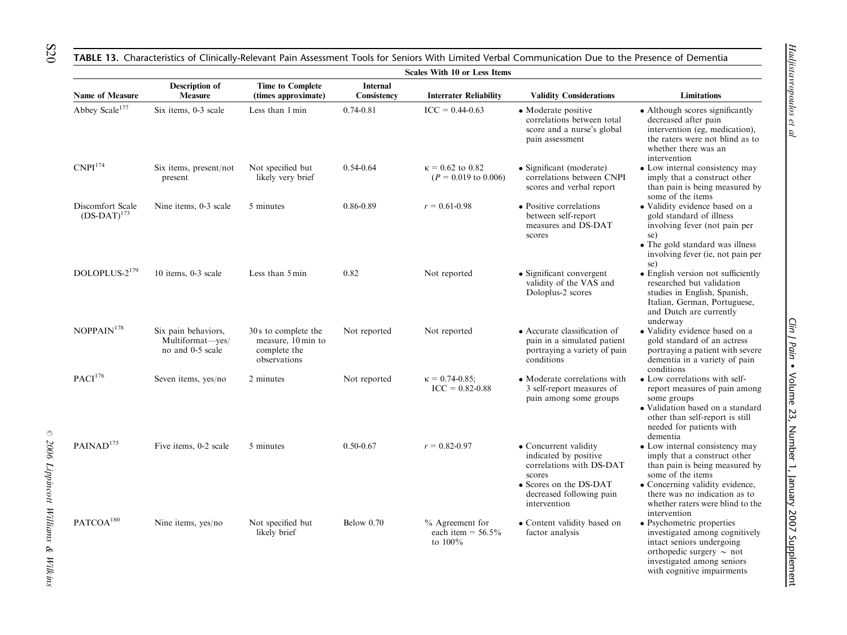S20

 $\odot$  2006 Lippincott Williams & Wilkins 2006 Lippincott Williams & Wilkins

TABLE 13. Characteristics of Clinically-Relevant Pain Assessment Tools for Seniors With Limited Verbal Communication Due to the Presence of Dementia

|                                      |                                                             |                                                                            |                         | <b>Scales With 10 or Less Items</b>                     |                                                                                                                                                            |                                                                                                                                                                                                                                               |
|--------------------------------------|-------------------------------------------------------------|----------------------------------------------------------------------------|-------------------------|---------------------------------------------------------|------------------------------------------------------------------------------------------------------------------------------------------------------------|-----------------------------------------------------------------------------------------------------------------------------------------------------------------------------------------------------------------------------------------------|
| Name of Measure                      | Description of<br><b>Measure</b>                            | <b>Time to Complete</b><br>(times approximate)                             | Internal<br>Consistency | <b>Interrater Reliability</b>                           | <b>Validity Considerations</b>                                                                                                                             | Limitations                                                                                                                                                                                                                                   |
| Abbey Scale <sup>177</sup>           | Six items, 0-3 scale                                        | Less than 1 min                                                            | $0.74 - 0.81$           | $ICC = 0.44 - 0.63$                                     | • Moderate positive<br>correlations between total<br>score and a nurse's global<br>pain assessment                                                         | • Although scores significantly<br>decreased after pain<br>intervention (eg, medication),<br>the raters were not blind as to<br>whether there was an<br>intervention                                                                          |
| $\mathbf{CNPI}^{174}$                | Six items, present/not<br>present                           | Not specified but<br>likely very brief                                     | $0.54 - 0.64$           | $\kappa = 0.62$ to 0.82<br>$(P = 0.019$ to 0.006)       | • Significant (moderate)<br>correlations between CNPI<br>scores and verbal report                                                                          | • Low internal consistency may<br>imply that a construct other<br>than pain is being measured by<br>some of the items                                                                                                                         |
| Discomfort Scale<br>$(DS-DAT)^{173}$ | Nine items, 0-3 scale                                       | 5 minutes                                                                  | 0.86-0.89               | $r = 0.61 - 0.98$                                       | • Positive correlations<br>between self-report<br>measures and DS-DAT<br>scores                                                                            | • Validity evidence based on a<br>gold standard of illness<br>involving fever (not pain per<br>se)<br>• The gold standard was illness<br>involving fever (ie, not pain per<br>se)                                                             |
| DOLOPLUS-2 <sup>179</sup>            | $10$ items, $0-3$ scale                                     | Less than 5 min                                                            | 0.82                    | Not reported                                            | • Significant convergent<br>validity of the VAS and<br>Doloplus-2 scores                                                                                   | • English version not sufficiently<br>researched but validation<br>studies in English, Spanish,<br>Italian, German, Portuguese,<br>and Dutch are currently<br>underway                                                                        |
| $\mbox{NOPPAIN}^{178}$               | Six pain behaviors,<br>Multiformat-yes/<br>no and 0-5 scale | 30 s to complete the<br>measure, 10 min to<br>complete the<br>observations | Not reported            | Not reported                                            | • Accurate classification of<br>pain in a simulated patient<br>portraying a variety of pain<br>conditions                                                  | · Validity evidence based on a<br>gold standard of an actress<br>portraying a patient with severe<br>dementia in a variety of pain<br>conditions                                                                                              |
| PACI <sup>176</sup>                  | Seven items, yes/no                                         | 2 minutes                                                                  | Not reported            | $\kappa = 0.74 - 0.85$ :<br>$ICC = 0.82 - 0.88$         | • Moderate correlations with<br>3 self-report measures of<br>pain among some groups                                                                        | • Low correlations with self-<br>report measures of pain among<br>some groups<br>• Validation based on a standard<br>other than self-report is still<br>needed for patients with<br>dementia                                                  |
| PAINAD <sup>175</sup>                | Five items, 0-2 scale                                       | 5 minutes                                                                  | $0.50 - 0.67$           | $r = 0.82 - 0.97$                                       | • Concurrent validity<br>indicated by positive<br>correlations with DS-DAT<br>scores<br>• Scores on the DS-DAT<br>decreased following pain<br>intervention | • Low internal consistency may<br>imply that a construct other<br>than pain is being measured by<br>some of the items<br>• Concerning validity evidence,<br>there was no indication as to<br>whether raters were blind to the<br>intervention |
| PATCOA <sup>180</sup>                | Nine items, yes/no                                          | Not specified but<br>likely brief                                          | Below 0.70              | $%$ Agreement for<br>each item = $56.5\%$<br>to $100\%$ | • Content validity based on<br>factor analysis                                                                                                             | • Psychometric properties<br>investigated among cognitively<br>intact seniors undergoing<br>orthopedic surgery $\sim$ not<br>investigated among seniors<br>with cognitive impairments                                                         |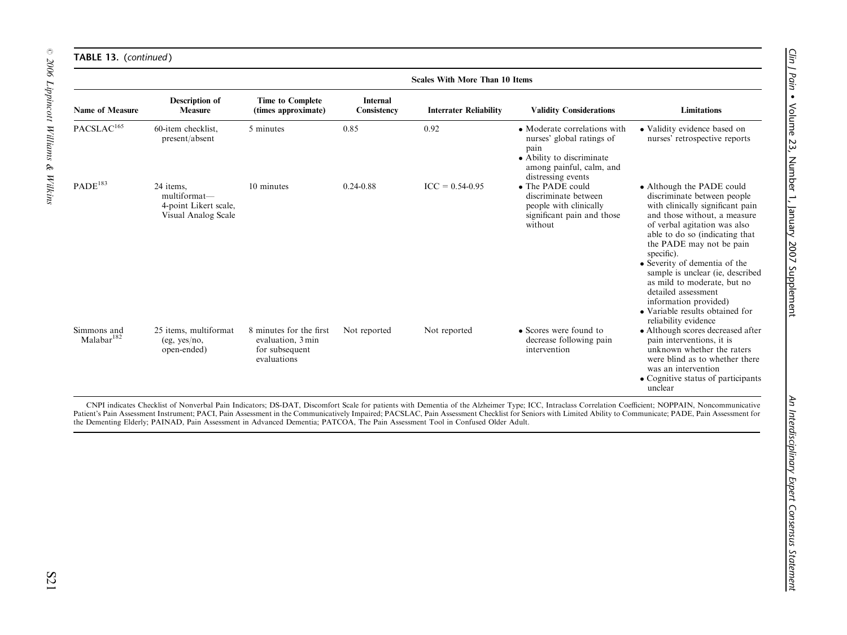| TABLE 13. (continued) |  |
|-----------------------|--|
|-----------------------|--|

|                                       | <b>Scales With More Than 10 Items</b>                                     |                                                                               |                                |                               |                                                                                                                                                  |                                                                                                                                                                                                                                                                                                                                                                                                                                                          |  |  |  |
|---------------------------------------|---------------------------------------------------------------------------|-------------------------------------------------------------------------------|--------------------------------|-------------------------------|--------------------------------------------------------------------------------------------------------------------------------------------------|----------------------------------------------------------------------------------------------------------------------------------------------------------------------------------------------------------------------------------------------------------------------------------------------------------------------------------------------------------------------------------------------------------------------------------------------------------|--|--|--|
| <b>Name of Measure</b>                | <b>Description of</b><br><b>Measure</b>                                   | <b>Time to Complete</b><br>(times approximate)                                | <b>Internal</b><br>Consistency | <b>Interrater Reliability</b> | <b>Validity Considerations</b>                                                                                                                   | <b>Limitations</b>                                                                                                                                                                                                                                                                                                                                                                                                                                       |  |  |  |
| PACSLAC <sup>165</sup>                | 60-item checklist,<br>present/absent                                      | 5 minutes                                                                     | 0.85                           | 0.92                          | • Moderate correlations with<br>nurses' global ratings of<br>pain<br>• Ability to discriminate<br>among painful, calm, and<br>distressing events | • Validity evidence based on<br>nurses' retrospective reports                                                                                                                                                                                                                                                                                                                                                                                            |  |  |  |
| $\text{PADE}^{183}$                   | 24 items.<br>multiformat—<br>4-point Likert scale,<br>Visual Analog Scale | 10 minutes                                                                    | $0.24 - 0.88$                  | $ICC = 0.54-0.95$             | • The PADE could<br>discriminate between<br>people with clinically<br>significant pain and those<br>without                                      | • Although the PADE could<br>discriminate between people<br>with clinically significant pain<br>and those without, a measure<br>of verbal agitation was also<br>able to do so (indicating that)<br>the PADE may not be pain<br>specific).<br>• Severity of dementia of the<br>sample is unclear (ie, described<br>as mild to moderate, but no<br>detailed assessment<br>information provided)<br>• Variable results obtained for<br>reliability evidence |  |  |  |
| Simmons and<br>Malabar <sup>182</sup> | 25 items, multiformat<br>(eg, yes/no,<br>open-ended)                      | 8 minutes for the first<br>evaluation, 3 min<br>for subsequent<br>evaluations | Not reported                   | Not reported                  | • Scores were found to<br>decrease following pain<br>intervention                                                                                | • Although scores decreased after<br>pain interventions, it is<br>unknown whether the raters<br>were blind as to whether there<br>was an intervention<br>• Cognitive status of participants<br>unclear                                                                                                                                                                                                                                                   |  |  |  |

CNPI indicates Checklist of Nonverbal Pain Indicators; DS-DAT, Discomfort Scale for patients with Dementia of the Alzheimer Type; ICC, Intraclass Correlation Coefficient; NOPPAIN, Noncommunicative Patient's Pain Assessment Instrument; PACI, Pain Assessment in the Communicatively Impaired; PACSLAC, Pain Assessment Checklist for Seniors with Limited Ability to Communicate; PADE, Pain Assessment for the Dementing Elderly; PAINAD, Pain Assessment in Advanced Dementia; PATCOA, The Pain Assessment Tool in Confused Older Adult.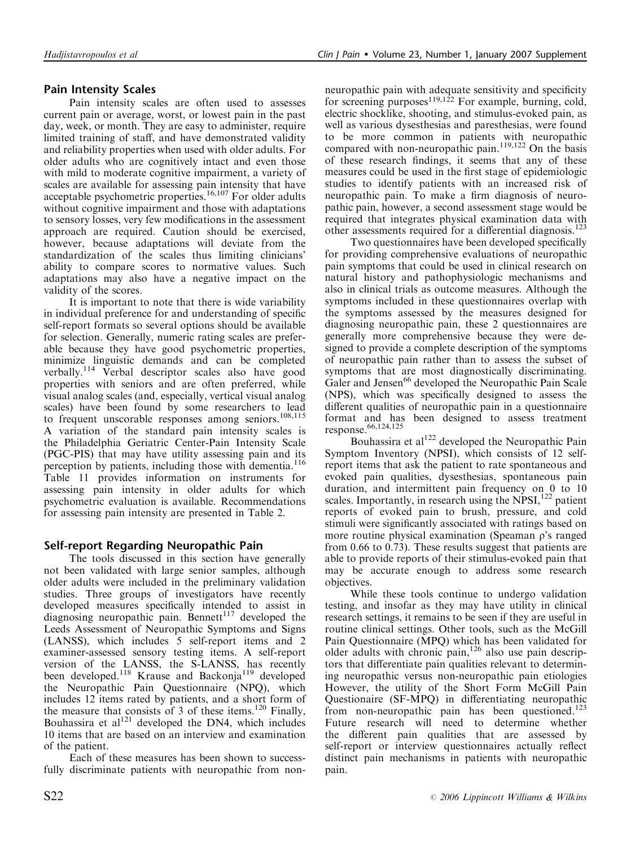# Pain Intensity Scales

Pain intensity scales are often used to assesses current pain or average, worst, or lowest pain in the past day, week, or month. They are easy to administer, require limited training of staff, and have demonstrated validity and reliability properties when used with older adults. For older adults who are cognitively intact and even those with mild to moderate cognitive impairment, a variety of scales are available for assessing pain intensity that have acceptable psychometric properties.<sup>16,107</sup> For older adults without cognitive impairment and those with adaptations to sensory losses, very few modifications in the assessment approach are required. Caution should be exercised, however, because adaptations will deviate from the standardization of the scales thus limiting clinicians' ability to compare scores to normative values. Such adaptations may also have a negative impact on the validity of the scores.

It is important to note that there is wide variability in individual preference for and understanding of specific self-report formats so several options should be available for selection. Generally, numeric rating scales are preferable because they have good psychometric properties, minimize linguistic demands and can be completed verbally.<sup>114</sup> Verbal descriptor scales also have good properties with seniors and are often preferred, while visual analog scales (and, especially, vertical visual analog scales) have been found by some researchers to lead to frequent unscorable responses among seniors.<sup>108,115</sup> A variation of the standard pain intensity scales is the Philadelphia Geriatric Center-Pain Intensity Scale (PGC-PIS) that may have utility assessing pain and its perception by patients, including those with dementia.<sup>116</sup> Table 11 provides information on instruments for assessing pain intensity in older adults for which psychometric evaluation is available. Recommendations for assessing pain intensity are presented in Table 2.

# Self-report Regarding Neuropathic Pain

The tools discussed in this section have generally not been validated with large senior samples, although older adults were included in the preliminary validation studies. Three groups of investigators have recently developed measures specifically intended to assist in diagnosing neuropathic pain. Bennett<sup>117</sup> developed the Leeds Assessment of Neuropathic Symptoms and Signs (LANSS), which includes 5 self-report items and 2 examiner-assessed sensory testing items. A self-report version of the LANSS, the S-LANSS, has recently been developed.<sup>118</sup> Krause and Backonja<sup>119</sup> developed the Neuropathic Pain Questionnaire (NPQ), which includes 12 items rated by patients, and a short form of the measure that consists of 3 of these items.<sup>120</sup> Finally, Bouhassira et  $al^{121}$  developed the DN4, which includes 10 items that are based on an interview and examination of the patient.

Each of these measures has been shown to successfully discriminate patients with neuropathic from nonneuropathic pain with adequate sensitivity and specificity for screening purposes<sup>119,122</sup> For example, burning, cold, electric shocklike, shooting, and stimulus-evoked pain, as well as various dysesthesias and paresthesias, were found to be more common in patients with neuropathic compared with non-neuropathic pain.<sup>119,122</sup> On the basis of these research findings, it seems that any of these measures could be used in the first stage of epidemiologic studies to identify patients with an increased risk of neuropathic pain. To make a firm diagnosis of neuropathic pain, however, a second assessment stage would be required that integrates physical examination data with other assessments required for a differential diagnosis.<sup>123</sup>

Two questionnaires have been developed specifically for providing comprehensive evaluations of neuropathic pain symptoms that could be used in clinical research on natural history and pathophysiologic mechanisms and also in clinical trials as outcome measures. Although the symptoms included in these questionnaires overlap with the symptoms assessed by the measures designed for diagnosing neuropathic pain, these 2 questionnaires are generally more comprehensive because they were designed to provide a complete description of the symptoms of neuropathic pain rather than to assess the subset of symptoms that are most diagnostically discriminating. Galer and Jensen<sup>66</sup> developed the Neuropathic Pain Scale (NPS), which was specifically designed to assess the different qualities of neuropathic pain in a questionnaire format and has been designed to assess treatment response.66,124,125

Bouhassira et al $122$  developed the Neuropathic Pain Symptom Inventory (NPSI), which consists of 12 selfreport items that ask the patient to rate spontaneous and evoked pain qualities, dysesthesias, spontaneous pain duration, and intermittent pain frequency on 0 to 10 scales. Importantly, in research using the NPSI,  $^{122}$  patient reports of evoked pain to brush, pressure, and cold stimuli were significantly associated with ratings based on more routine physical examination (Speaman  $\rho$ 's ranged from 0.66 to 0.73). These results suggest that patients are able to provide reports of their stimulus-evoked pain that may be accurate enough to address some research objectives.

While these tools continue to undergo validation testing, and insofar as they may have utility in clinical research settings, it remains to be seen if they are useful in routine clinical settings. Other tools, such as the McGill Pain Questionnaire (MPQ) which has been validated for older adults with chronic pain,<sup>126</sup> also use pain descriptors that differentiate pain qualities relevant to determining neuropathic versus non-neuropathic pain etiologies However, the utility of the Short Form McGill Pain Questionaire (SF-MPQ) in differentiating neuropathic from non-neuropathic pain has been questioned.<sup>123</sup> Future research will need to determine whether the different pain qualities that are assessed by self-report or interview questionnaires actually reflect distinct pain mechanisms in patients with neuropathic pain.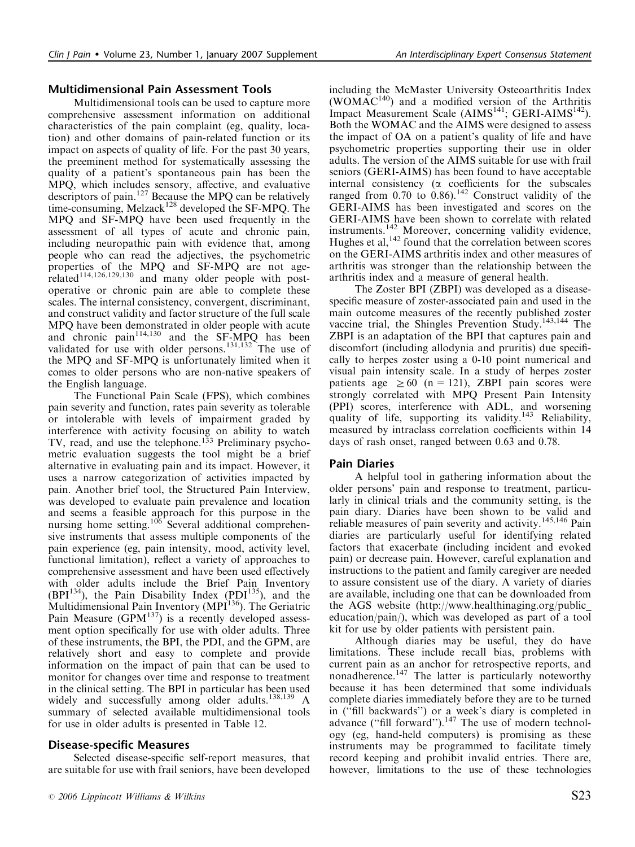#### Multidimensional Pain Assessment Tools

Multidimensional tools can be used to capture more comprehensive assessment information on additional characteristics of the pain complaint (eg, quality, location) and other domains of pain-related function or its impact on aspects of quality of life. For the past 30 years, the preeminent method for systematically assessing the quality of a patient's spontaneous pain has been the MPQ, which includes sensory, affective, and evaluative descriptors of pain.<sup>127</sup> Because the MPQ can be relatively time-consuming, Melzack<sup>128</sup> developed the SF-MPQ. The MPQ and SF-MPQ have been used frequently in the assessment of all types of acute and chronic pain, including neuropathic pain with evidence that, among people who can read the adjectives, the psychometric properties of the MPQ and SF-MPQ are not age $related^{114,126,129,130}$  and many older people with postoperative or chronic pain are able to complete these scales. The internal consistency, convergent, discriminant, and construct validity and factor structure of the full scale MPQ have been demonstrated in older people with acute and chronic  $\text{pain}^{114,130}$  and the SF-MPQ has been validated for use with older persons. $131,132$  The use of the MPQ and SF-MPQ is unfortunately limited when it comes to older persons who are non-native speakers of the English language.

The Functional Pain Scale (FPS), which combines pain severity and function, rates pain severity as tolerable or intolerable with levels of impairment graded by interference with activity focusing on ability to watch TV, read, and use the telephone.<sup>133</sup> Preliminary psychometric evaluation suggests the tool might be a brief alternative in evaluating pain and its impact. However, it uses a narrow categorization of activities impacted by pain. Another brief tool, the Structured Pain Interview, was developed to evaluate pain prevalence and location and seems a feasible approach for this purpose in the nursing home setting.<sup>106</sup> Several additional comprehensive instruments that assess multiple components of the pain experience (eg, pain intensity, mood, activity level, functional limitation), reflect a variety of approaches to comprehensive assessment and have been used effectively with older adults include the Brief Pain Inventory  $(BPI<sup>134</sup>)$ , the Pain Disability Index  $(PDI<sup>135</sup>)$ , and the Multidimensional Pain Inventory (MPI<sup>136</sup>). The Geriatric Pain Measure (GPM<sup>137</sup>) is a recently developed assessment option specifically for use with older adults. Three of these instruments, the BPI, the PDI, and the GPM, are relatively short and easy to complete and provide information on the impact of pain that can be used to monitor for changes over time and response to treatment in the clinical setting. The BPI in particular has been used widely and successfully among older adults.<sup>138,139</sup> A summary of selected available multidimensional tools for use in older adults is presented in Table 12.

## Disease-specific Measures

Selected disease-specific self-report measures, that are suitable for use with frail seniors, have been developed

including the McMaster University Osteoarthritis Index  $(WOMAC<sup>140</sup>)$  and a modified version of the Arthritis Impact Measurement Scale  $(AIMS^{141}$ ; GERI-AIMS<sup>142</sup>). Both the WOMAC and the AIMS were designed to assess the impact of OA on a patient's quality of life and have psychometric properties supporting their use in older adults. The version of the AIMS suitable for use with frail seniors (GERI-AIMS) has been found to have acceptable internal consistency  $(\alpha$  coefficients for the subscales ranged from 0.70 to 0.86).<sup>142</sup> Construct validity of the GERI-AIMS has been investigated and scores on the GERI-AIMS have been shown to correlate with related instruments.<sup>142</sup> Moreover, concerning validity evidence, Hughes et al,  $^{142}$  found that the correlation between scores on the GERI-AIMS arthritis index and other measures of arthritis was stronger than the relationship between the arthritis index and a measure of general health.

The Zoster BPI (ZBPI) was developed as a diseasespecific measure of zoster-associated pain and used in the main outcome measures of the recently published zoster vaccine trial, the Shingles Prevention Study.<sup>143,144</sup> The ZBPI is an adaptation of the BPI that captures pain and discomfort (including allodynia and pruritis) due specifically to herpes zoster using a 0-10 point numerical and visual pain intensity scale. In a study of herpes zoster patients age  $\geq 60$  (n = 121), ZBPI pain scores were strongly correlated with MPQ Present Pain Intensity (PPI) scores, interference with ADL, and worsening quality of life, supporting its validity.<sup>143</sup> Reliability, measured by intraclass correlation coefficients within 14 days of rash onset, ranged between 0.63 and 0.78.

#### Pain Diaries

A helpful tool in gathering information about the older persons' pain and response to treatment, particularly in clinical trials and the community setting, is the pain diary. Diaries have been shown to be valid and reliable measures of pain severity and activity.<sup>145,146</sup> Pain diaries are particularly useful for identifying related factors that exacerbate (including incident and evoked pain) or decrease pain. However, careful explanation and instructions to the patient and family caregiver are needed to assure consistent use of the diary. A variety of diaries are available, including one that can be downloaded from the AGS website (http://www.healthinaging.org/public\_ education/pain/), which was developed as part of a tool kit for use by older patients with persistent pain.

Although diaries may be useful, they do have limitations. These include recall bias, problems with current pain as an anchor for retrospective reports, and nonadherence.<sup>147</sup> The latter is particularly noteworthy because it has been determined that some individuals complete diaries immediately before they are to be turned in (''fill backwards'') or a week's diary is completed in advance ("fill forward").<sup>147</sup> The use of modern technology (eg, hand-held computers) is promising as these instruments may be programmed to facilitate timely record keeping and prohibit invalid entries. There are, however, limitations to the use of these technologies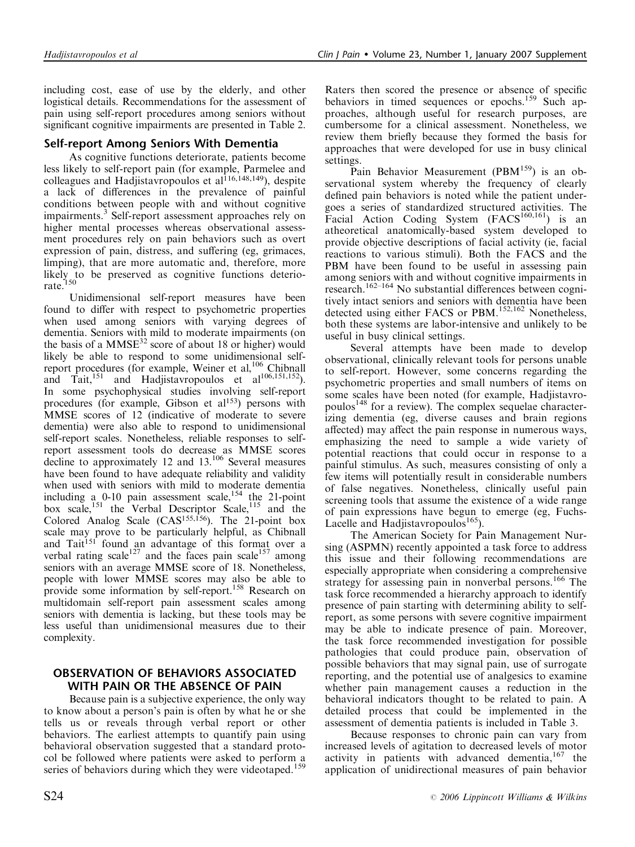including cost, ease of use by the elderly, and other logistical details. Recommendations for the assessment of pain using self-report procedures among seniors without significant cognitive impairments are presented in Table 2.

# Self-report Among Seniors With Dementia

As cognitive functions deteriorate, patients become less likely to self-report pain (for example, Parmelee and colleagues and Hadjistavropoulos et  $al<sup>116,148,149</sup>$ ), despite a lack of differences in the prevalence of painful conditions between people with and without cognitive impairments.<sup>3</sup> Self-report assessment approaches rely on higher mental processes whereas observational assessment procedures rely on pain behaviors such as overt expression of pain, distress, and suffering (eg, grimaces, limping), that are more automatic and, therefore, more likely to be preserved as cognitive functions deteriorate.<sup>150</sup>

Unidimensional self-report measures have been found to differ with respect to psychometric properties when used among seniors with varying degrees of dementia. Seniors with mild to moderate impairments (on the basis of a  $MMSE^{32}$  score of about 18 or higher) would likely be able to respond to some unidimensional selfreport procedures (for example, Weiner et al,<sup>106</sup> Chibnall and Tait,<sup>151</sup> and Hadjistavropoulos et al<sup>106,151,152</sup>). In some psychophysical studies involving self-report procedures (for example, Gibson et  $al<sup>153</sup>$ ) persons with MMSE scores of 12 (indicative of moderate to severe dementia) were also able to respond to unidimensional self-report scales. Nonetheless, reliable responses to selfreport assessment tools do decrease as MMSE scores decline to approximately 12 and 13.<sup>106</sup> Several measures have been found to have adequate reliability and validity when used with seniors with mild to moderate dementia including a 0-10 pain assessment scale,<sup>154</sup> the 21-point box scale,<sup>151</sup> the Verbal Descriptor Scale,<sup>115</sup> and the Colored Analog Scale (CAS<sup>155,156</sup>). The 21-point box scale may prove to be particularly helpful, as Chibnall and Tait<sup>151</sup> found an advantage of this format over a verbal rating scale<sup>127</sup> and the faces pain scale<sup>157</sup> among seniors with an average MMSE score of 18. Nonetheless, people with lower MMSE scores may also be able to provide some information by self-report.<sup>158</sup> Research on multidomain self-report pain assessment scales among seniors with dementia is lacking, but these tools may be less useful than unidimensional measures due to their complexity.

## OBSERVATION OF BEHAVIORS ASSOCIATED WITH PAIN OR THE ABSENCE OF PAIN

Because pain is a subjective experience, the only way to know about a person's pain is often by what he or she tells us or reveals through verbal report or other behaviors. The earliest attempts to quantify pain using behavioral observation suggested that a standard protocol be followed where patients were asked to perform a series of behaviors during which they were videotaped.<sup>159</sup>

Pain Behavior Measurement  $(PBM<sup>159</sup>)$  is an observational system whereby the frequency of clearly defined pain behaviors is noted while the patient undergoes a series of standardized structured activities. The Facial Action Coding System  $(FACS^{160,161})$  is an atheoretical anatomically-based system developed to provide objective descriptions of facial activity (ie, facial reactions to various stimuli). Both the FACS and the PBM have been found to be useful in assessing pain among seniors with and without cognitive impairments in research.162–164 No substantial differences between cognitively intact seniors and seniors with dementia have been detected using either FACS or PBM.<sup>152,162</sup> Nonetheless, both these systems are labor-intensive and unlikely to be useful in busy clinical settings.

Several attempts have been made to develop observational, clinically relevant tools for persons unable to self-report. However, some concerns regarding the psychometric properties and small numbers of items on some scales have been noted (for example, Hadjistavropoulos<sup>148</sup> for a review). The complex sequelae characterizing dementia (eg, diverse causes and brain regions affected) may affect the pain response in numerous ways, emphasizing the need to sample a wide variety of potential reactions that could occur in response to a painful stimulus. As such, measures consisting of only a few items will potentially result in considerable numbers of false negatives. Nonetheless, clinically useful pain screening tools that assume the existence of a wide range of pain expressions have begun to emerge (eg, Fuchs-Lacelle and Hadjistavropoulos<sup>165</sup>).

The American Society for Pain Management Nursing (ASPMN) recently appointed a task force to address this issue and their following recommendations are especially appropriate when considering a comprehensive strategy for assessing pain in nonverbal persons.<sup>166</sup> The task force recommended a hierarchy approach to identify presence of pain starting with determining ability to selfreport, as some persons with severe cognitive impairment may be able to indicate presence of pain. Moreover, the task force recommended investigation for possible pathologies that could produce pain, observation of possible behaviors that may signal pain, use of surrogate reporting, and the potential use of analgesics to examine whether pain management causes a reduction in the behavioral indicators thought to be related to pain. A detailed process that could be implemented in the assessment of dementia patients is included in Table 3.

Because responses to chronic pain can vary from increased levels of agitation to decreased levels of motor activity in patients with advanced dementia, $167$  the application of unidirectional measures of pain behavior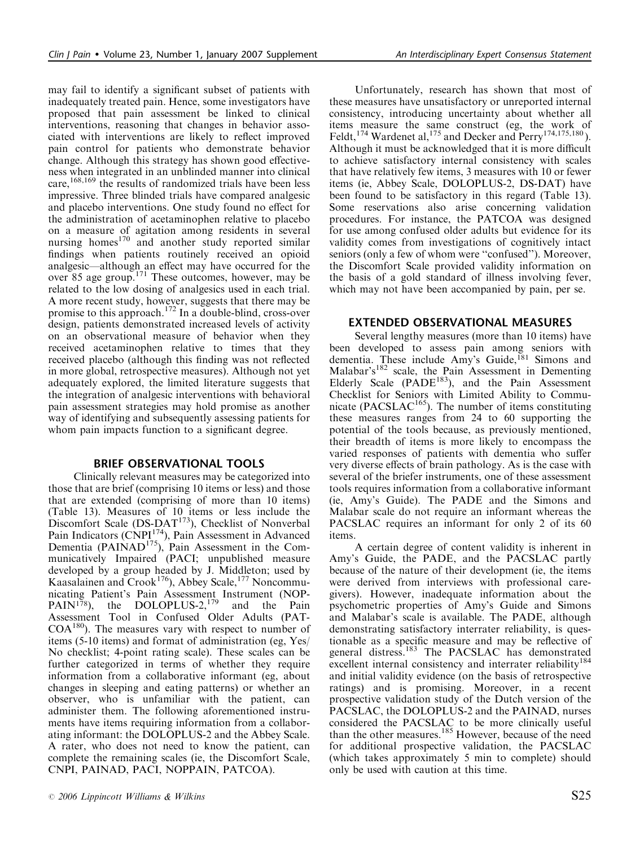may fail to identify a significant subset of patients with inadequately treated pain. Hence, some investigators have proposed that pain assessment be linked to clinical interventions, reasoning that changes in behavior associated with interventions are likely to reflect improved pain control for patients who demonstrate behavior change. Although this strategy has shown good effectiveness when integrated in an unblinded manner into clinical care,<sup>168,169</sup> the results of randomized trials have been less impressive. Three blinded trials have compared analgesic and placebo interventions. One study found no effect for the administration of acetaminophen relative to placebo on a measure of agitation among residents in several nursing homes<sup>170</sup> and another study reported similar findings when patients routinely received an opioid analgesic—although an effect may have occurred for the over 85 age group.<sup>171</sup> These outcomes, however, may be related to the low dosing of analgesics used in each trial. A more recent study, however, suggests that there may be promise to this approach.<sup>172</sup> In a double-blind, cross-over design, patients demonstrated increased levels of activity on an observational measure of behavior when they received acetaminophen relative to times that they received placebo (although this finding was not reflected in more global, retrospective measures). Although not yet adequately explored, the limited literature suggests that the integration of analgesic interventions with behavioral pain assessment strategies may hold promise as another way of identifying and subsequently assessing patients for whom pain impacts function to a significant degree.

#### BRIEF OBSERVATIONAL TOOLS

Clinically relevant measures may be categorized into those that are brief (comprising 10 items or less) and those that are extended (comprising of more than 10 items) (Table 13). Measures of 10 items or less include the Discomfort Scale  $(DS-DAT<sup>173</sup>)$ , Checklist of Nonverbal Pain Indicators (CNPI<sup>174</sup>), Pain Assessment in Advanced Dementia (PAINAD<sup>175</sup>), Pain Assessment in the Communicatively Impaired (PACI; unpublished measure developed by a group headed by J. Middleton; used by Kaasalainen and Crook<sup>176</sup>), Abbey Scale, <sup>177</sup> Noncommunicating Patient's Pain Assessment Instrument (NOP-PAIN<sup>178</sup>), the DOLOPLUS-2,<sup>179</sup> and the Pain Assessment Tool in Confused Older Adults (PAT- $COA<sup>180</sup>$ ). The measures vary with respect to number of items (5-10 items) and format of administration (eg, Yes/ No checklist; 4-point rating scale). These scales can be further categorized in terms of whether they require information from a collaborative informant (eg, about changes in sleeping and eating patterns) or whether an observer, who is unfamiliar with the patient, can administer them. The following aforementioned instruments have items requiring information from a collaborating informant: the DOLOPLUS-2 and the Abbey Scale. A rater, who does not need to know the patient, can complete the remaining scales (ie, the Discomfort Scale, CNPI, PAINAD, PACI, NOPPAIN, PATCOA).

Unfortunately, research has shown that most of these measures have unsatisfactory or unreported internal consistency, introducing uncertainty about whether all items measure the same construct (eg, the work of Feldt,<sup>174</sup> Wardenet al,<sup>175</sup> and Decker and Perry<sup>174,175,180</sup>). Although it must be acknowledged that it is more difficult to achieve satisfactory internal consistency with scales that have relatively few items, 3 measures with 10 or fewer items (ie, Abbey Scale, DOLOPLUS-2, DS-DAT) have been found to be satisfactory in this regard (Table 13). Some reservations also arise concerning validation procedures. For instance, the PATCOA was designed for use among confused older adults but evidence for its validity comes from investigations of cognitively intact seniors (only a few of whom were ''confused''). Moreover, the Discomfort Scale provided validity information on the basis of a gold standard of illness involving fever, which may not have been accompanied by pain, per se.

#### EXTENDED OBSERVATIONAL MEASURES

Several lengthy measures (more than 10 items) have been developed to assess pain among seniors with dementia. These include Amy's Guide,<sup>181</sup> Simons and Malabar's<sup>182</sup> scale, the Pain Assessment in Dementing Elderly Scale (PADE<sup>183</sup>), and the Pain Assessment Checklist for Seniors with Limited Ability to Communicate (PACSLAC $165$ ). The number of items constituting these measures ranges from 24 to 60 supporting the potential of the tools because, as previously mentioned, their breadth of items is more likely to encompass the varied responses of patients with dementia who suffer very diverse effects of brain pathology. As is the case with several of the briefer instruments, one of these assessment tools requires information from a collaborative informant (ie, Amy's Guide). The PADE and the Simons and Malabar scale do not require an informant whereas the PACSLAC requires an informant for only 2 of its 60 items.

A certain degree of content validity is inherent in Amy's Guide, the PADE, and the PACSLAC partly because of the nature of their development (ie, the items were derived from interviews with professional caregivers). However, inadequate information about the psychometric properties of Amy's Guide and Simons and Malabar's scale is available. The PADE, although demonstrating satisfactory interrater reliability, is questionable as a specific measure and may be reflective of general distress.<sup>183</sup> The PACSLAC has demonstrated excellent internal consistency and interrater reliability<sup>184</sup> and initial validity evidence (on the basis of retrospective ratings) and is promising. Moreover, in a recent prospective validation study of the Dutch version of the PACSLAC, the DOLOPLUS-2 and the PAINAD, nurses considered the PACSLAC to be more clinically useful than the other measures.<sup>185</sup> However, because of the need for additional prospective validation, the PACSLAC (which takes approximately 5 min to complete) should only be used with caution at this time.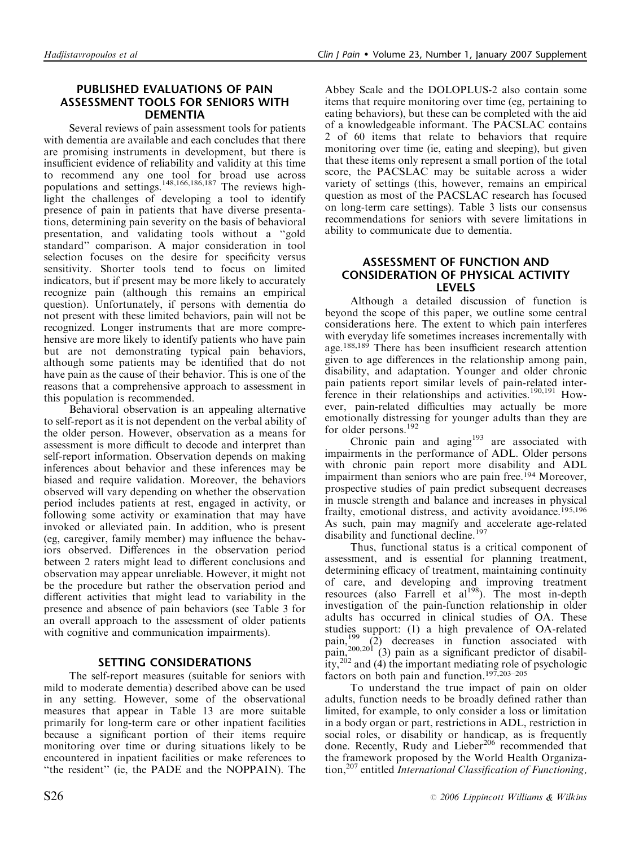## PUBLISHED EVALUATIONS OF PAIN ASSESSMENT TOOLS FOR SENIORS WITH DEMENTIA

Several reviews of pain assessment tools for patients with dementia are available and each concludes that there are promising instruments in development, but there is insufficient evidence of reliability and validity at this time to recommend any one tool for broad use across populations and settings.<sup>148,166,186,187</sup> The reviews highlight the challenges of developing a tool to identify presence of pain in patients that have diverse presentations, determining pain severity on the basis of behavioral presentation, and validating tools without a ''gold standard'' comparison. A major consideration in tool selection focuses on the desire for specificity versus sensitivity. Shorter tools tend to focus on limited indicators, but if present may be more likely to accurately recognize pain (although this remains an empirical question). Unfortunately, if persons with dementia do not present with these limited behaviors, pain will not be recognized. Longer instruments that are more comprehensive are more likely to identify patients who have pain but are not demonstrating typical pain behaviors, although some patients may be identified that do not have pain as the cause of their behavior. This is one of the reasons that a comprehensive approach to assessment in this population is recommended.

Behavioral observation is an appealing alternative to self-report as it is not dependent on the verbal ability of the older person. However, observation as a means for assessment is more difficult to decode and interpret than self-report information. Observation depends on making inferences about behavior and these inferences may be biased and require validation. Moreover, the behaviors observed will vary depending on whether the observation period includes patients at rest, engaged in activity, or following some activity or examination that may have invoked or alleviated pain. In addition, who is present (eg, caregiver, family member) may influence the behaviors observed. Differences in the observation period between 2 raters might lead to different conclusions and observation may appear unreliable. However, it might not be the procedure but rather the observation period and different activities that might lead to variability in the presence and absence of pain behaviors (see Table 3 for an overall approach to the assessment of older patients with cognitive and communication impairments).

# SETTING CONSIDERATIONS

The self-report measures (suitable for seniors with mild to moderate dementia) described above can be used in any setting. However, some of the observational measures that appear in Table 13 are more suitable primarily for long-term care or other inpatient facilities because a significant portion of their items require monitoring over time or during situations likely to be encountered in inpatient facilities or make references to ''the resident'' (ie, the PADE and the NOPPAIN). The Abbey Scale and the DOLOPLUS-2 also contain some items that require monitoring over time (eg, pertaining to eating behaviors), but these can be completed with the aid of a knowledgeable informant. The PACSLAC contains 2 of 60 items that relate to behaviors that require monitoring over time (ie, eating and sleeping), but given that these items only represent a small portion of the total score, the PACSLAC may be suitable across a wider variety of settings (this, however, remains an empirical question as most of the PACSLAC research has focused on long-term care settings). Table 3 lists our consensus recommendations for seniors with severe limitations in ability to communicate due to dementia.

# ASSESSMENT OF FUNCTION AND CONSIDERATION OF PHYSICAL ACTIVITY LEVELS

Although a detailed discussion of function is beyond the scope of this paper, we outline some central considerations here. The extent to which pain interferes with everyday life sometimes increases incrementally with age.188,189 There has been insufficient research attention given to age differences in the relationship among pain, disability, and adaptation. Younger and older chronic pain patients report similar levels of pain-related interference in their relationships and activities.<sup>190,191</sup> However, pain-related difficulties may actually be more emotionally distressing for younger adults than they are for older persons.<sup>192</sup>

Chronic pain and  $\text{aging}^{193}$  are associated with impairments in the performance of ADL. Older persons with chronic pain report more disability and ADL impairment than seniors who are pain free.<sup>194</sup> Moreover, prospective studies of pain predict subsequent decreases in muscle strength and balance and increases in physical frailty, emotional distress, and activity avoidance.<sup>195,196</sup> As such, pain may magnify and accelerate age-related disability and functional decline.<sup>197</sup>

Thus, functional status is a critical component of assessment, and is essential for planning treatment, determining efficacy of treatment, maintaining continuity of care, and developing and improving treatment resources (also Farrell et  $al^{198}$ ). The most in-depth investigation of the pain-function relationship in older adults has occurred in clinical studies of OA. These studies support: (1) a high prevalence of OA-related pain,<sup>199</sup> (2) decreases in function associated with pain,  $^{200,201}$  (3) pain as a significant predictor of disabil $iv, \frac{202}{202}$  and (4) the important mediating role of psychologic factors on both pain and function.<sup>197,203–205</sup>

To understand the true impact of pain on older adults, function needs to be broadly defined rather than limited, for example, to only consider a loss or limitation in a body organ or part, restrictions in ADL, restriction in social roles, or disability or handicap, as is frequently done. Recently, Rudy and Lieber<sup>206</sup> recommended that the framework proposed by the World Health Organization,<sup>207</sup> entitled *International Classification of Functioning*,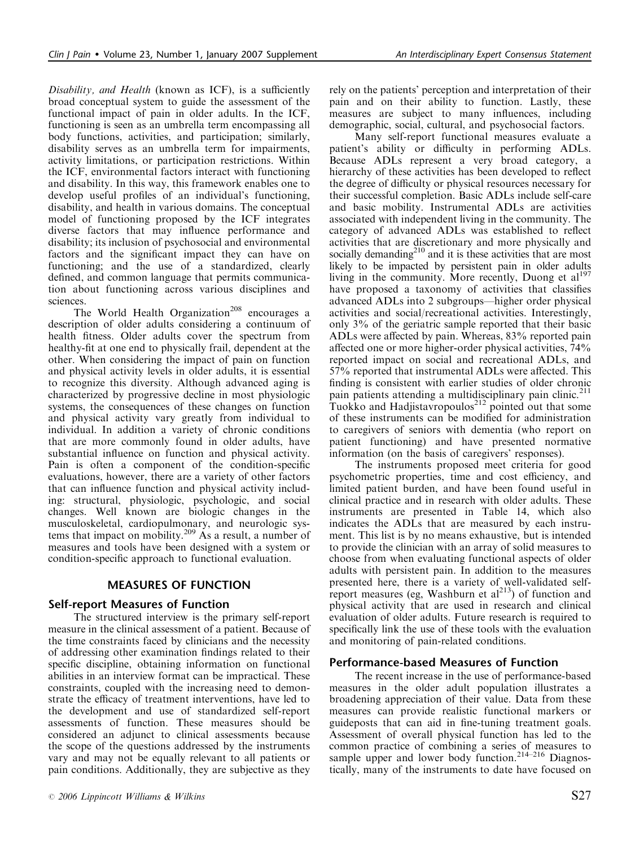Disability, and Health (known as ICF), is a sufficiently broad conceptual system to guide the assessment of the functional impact of pain in older adults. In the ICF, functioning is seen as an umbrella term encompassing all body functions, activities, and participation; similarly, disability serves as an umbrella term for impairments, activity limitations, or participation restrictions. Within the ICF, environmental factors interact with functioning and disability. In this way, this framework enables one to develop useful profiles of an individual's functioning, disability, and health in various domains. The conceptual model of functioning proposed by the ICF integrates diverse factors that may influence performance and disability; its inclusion of psychosocial and environmental factors and the significant impact they can have on functioning; and the use of a standardized, clearly defined, and common language that permits communication about functioning across various disciplines and sciences.

The World Health Organization<sup>208</sup> encourages a description of older adults considering a continuum of health fitness. Older adults cover the spectrum from healthy-fit at one end to physically frail, dependent at the other. When considering the impact of pain on function and physical activity levels in older adults, it is essential to recognize this diversity. Although advanced aging is characterized by progressive decline in most physiologic systems, the consequences of these changes on function and physical activity vary greatly from individual to individual. In addition a variety of chronic conditions that are more commonly found in older adults, have substantial influence on function and physical activity. Pain is often a component of the condition-specific evaluations, however, there are a variety of other factors that can influence function and physical activity including: structural, physiologic, psychologic, and social changes. Well known are biologic changes in the musculoskeletal, cardiopulmonary, and neurologic systems that impact on mobility.<sup>209</sup> As a result, a number of measures and tools have been designed with a system or condition-specific approach to functional evaluation.

# MEASURES OF FUNCTION

## Self-report Measures of Function

The structured interview is the primary self-report measure in the clinical assessment of a patient. Because of the time constraints faced by clinicians and the necessity of addressing other examination findings related to their specific discipline, obtaining information on functional abilities in an interview format can be impractical. These constraints, coupled with the increasing need to demonstrate the efficacy of treatment interventions, have led to the development and use of standardized self-report assessments of function. These measures should be considered an adjunct to clinical assessments because the scope of the questions addressed by the instruments vary and may not be equally relevant to all patients or pain conditions. Additionally, they are subjective as they rely on the patients' perception and interpretation of their pain and on their ability to function. Lastly, these measures are subject to many influences, including demographic, social, cultural, and psychosocial factors.

Many self-report functional measures evaluate a patient's ability or difficulty in performing ADLs. Because ADLs represent a very broad category, a hierarchy of these activities has been developed to reflect the degree of difficulty or physical resources necessary for their successful completion. Basic ADLs include self-care and basic mobility. Instrumental ADLs are activities associated with independent living in the community. The category of advanced ADLs was established to reflect activities that are discretionary and more physically and socially demanding $2^{10}$  and it is these activities that are most likely to be impacted by persistent pain in older adults living in the community. More recently, Duong et  $al^{197}$ have proposed a taxonomy of activities that classifies advanced ADLs into 2 subgroups—higher order physical activities and social/recreational activities. Interestingly, only 3% of the geriatric sample reported that their basic ADLs were affected by pain. Whereas, 83% reported pain affected one or more higher-order physical activities, 74% reported impact on social and recreational ADLs, and 57% reported that instrumental ADLs were affected. This finding is consistent with earlier studies of older chronic pain patients attending a multidisciplinary pain clinic.<sup>211</sup> Tuokko and Hadjistavropoulos<sup>212</sup> pointed out that some of these instruments can be modified for administration to caregivers of seniors with dementia (who report on patient functioning) and have presented normative information (on the basis of caregivers' responses).

The instruments proposed meet criteria for good psychometric properties, time and cost efficiency, and limited patient burden, and have been found useful in clinical practice and in research with older adults. These instruments are presented in Table 14, which also indicates the ADLs that are measured by each instrument. This list is by no means exhaustive, but is intended to provide the clinician with an array of solid measures to choose from when evaluating functional aspects of older adults with persistent pain. In addition to the measures presented here, there is a variety of well-validated selfreport measures (eg, Washburn et  $al^{213}$ ) of function and physical activity that are used in research and clinical evaluation of older adults. Future research is required to specifically link the use of these tools with the evaluation and monitoring of pain-related conditions.

## Performance-based Measures of Function

The recent increase in the use of performance-based measures in the older adult population illustrates a broadening appreciation of their value. Data from these measures can provide realistic functional markers or guideposts that can aid in fine-tuning treatment goals. Assessment of overall physical function has led to the common practice of combining a series of measures to sample upper and lower body function.<sup>214-216</sup> Diagnostically, many of the instruments to date have focused on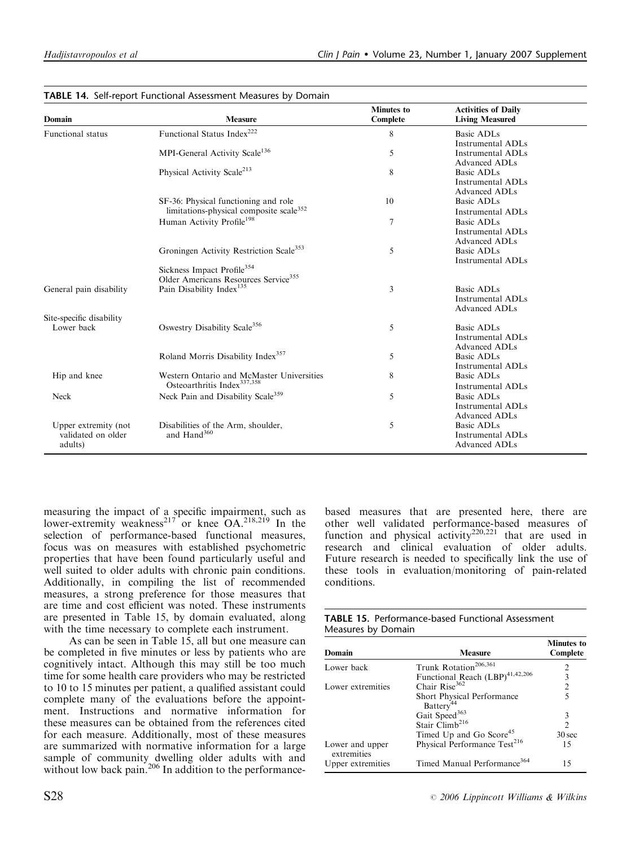|                                                       | <b>TADLE 14.</b> Self-report Furictional Assessment iviewalles by Domain                                                           |                               |                                                                       |
|-------------------------------------------------------|------------------------------------------------------------------------------------------------------------------------------------|-------------------------------|-----------------------------------------------------------------------|
| Domain                                                | <b>Measure</b>                                                                                                                     | <b>Minutes to</b><br>Complete | <b>Activities of Daily</b><br><b>Living Measured</b>                  |
| Functional status                                     | Functional Status Index <sup>222</sup>                                                                                             | 8                             | <b>Basic ADLs</b><br><b>Instrumental ADLs</b>                         |
|                                                       | MPI-General Activity Scale <sup>136</sup>                                                                                          | 5                             | <b>Instrumental ADLs</b><br><b>Advanced ADLs</b>                      |
|                                                       | Physical Activity Scale <sup>213</sup>                                                                                             | 8                             | <b>Basic ADLs</b><br>Instrumental ADLs                                |
|                                                       | SF-36: Physical functioning and role<br>limitations-physical composite scale <sup>352</sup>                                        | 10                            | <b>Advanced ADLs</b><br><b>Basic ADLs</b><br><b>Instrumental ADLs</b> |
|                                                       | Human Activity Profile <sup>198</sup>                                                                                              | $\tau$                        | <b>Basic ADLs</b><br><b>Instrumental ADLs</b><br><b>Advanced ADLs</b> |
|                                                       | Groningen Activity Restriction Scale <sup>353</sup>                                                                                | 5                             | <b>Basic ADLs</b><br><b>Instrumental ADLs</b>                         |
| General pain disability                               | Sickness Impact Profile <sup>354</sup><br>Older Americans Resources Service <sup>355</sup><br>Pain Disability Index <sup>135</sup> | 3                             | <b>Basic ADLs</b><br><b>Instrumental ADLs</b><br><b>Advanced ADLs</b> |
| Site-specific disability<br>Lower back                | Oswestry Disability Scale <sup>356</sup>                                                                                           | 5                             | <b>Basic ADLs</b><br><b>Instrumental ADLs</b><br><b>Advanced ADLs</b> |
|                                                       | Roland Morris Disability Index <sup>357</sup>                                                                                      | 5                             | <b>Basic ADLs</b><br><b>Instrumental ADLs</b>                         |
| Hip and knee                                          | Western Ontario and McMaster Universities<br>Osteoarthritis Index <sup>337,358</sup>                                               | 8                             | <b>Basic ADLs</b><br><b>Instrumental ADLs</b>                         |
| Neck                                                  | Neck Pain and Disability Scale <sup>359</sup>                                                                                      | 5                             | Basic ADLs<br>Instrumental ADLs<br><b>Advanced ADLs</b>               |
| Upper extremity (not<br>validated on older<br>adults) | Disabilities of the Arm, shoulder,<br>and Hand <sup>360</sup>                                                                      | 5                             | <b>Basic ADLs</b><br><b>Instrumental ADLs</b><br><b>Advanced ADLs</b> |

# TABLE 14. Self-report Functional Assessment Measures by Domain

measuring the impact of a specific impairment, such as lower-extremity weakness<sup>217</sup> or knee  $OA.^{218,219}$  In the selection of performance-based functional measures, focus was on measures with established psychometric properties that have been found particularly useful and well suited to older adults with chronic pain conditions. Additionally, in compiling the list of recommended measures, a strong preference for those measures that are time and cost efficient was noted. These instruments are presented in Table 15, by domain evaluated, along with the time necessary to complete each instrument.

As can be seen in Table 15, all but one measure can be completed in five minutes or less by patients who are cognitively intact. Although this may still be too much time for some health care providers who may be restricted to 10 to 15 minutes per patient, a qualified assistant could complete many of the evaluations before the appointment. Instructions and normative information for these measures can be obtained from the references cited for each measure. Additionally, most of these measures are summarized with normative information for a large sample of community dwelling older adults with and without low back pain.<sup>206</sup> In addition to the performancebased measures that are presented here, there are other well validated performance-based measures of function and physical activity<sup>220,221</sup> that are used in research and clinical evaluation of older adults. Future research is needed to specifically link the use of these tools in evaluation/monitoring of pain-related conditions.

|                    | <b>TABLE 15. Performance-based Functional Assessment</b> |  |
|--------------------|----------------------------------------------------------|--|
| Measures by Domain |                                                          |  |

| Domain                         | <b>Measure</b>                                          | <b>Minutes to</b><br>Complete |
|--------------------------------|---------------------------------------------------------|-------------------------------|
| Lower back                     | Trunk Rotation <sup>206,361</sup>                       | 2                             |
|                                | Functional Reach (LBP) <sup>41,42,206</sup>             | 3                             |
| Lower extremities              | Chair Rise $362$                                        | $\overline{c}$                |
|                                | Short Physical Performance<br>Battery <sup>44</sup>     | 5                             |
|                                | Gait Speed <sup>363</sup><br>Stair Climb <sup>216</sup> | 3                             |
|                                |                                                         | $\mathcal{D}$                 |
|                                | Timed Up and Go Score <sup>45</sup>                     | 30 <sub>sec</sub>             |
| Lower and upper<br>extremities | Physical Performance Test <sup>216</sup>                | 15                            |
| <b>Upper</b> extremities       | Timed Manual Performance <sup>364</sup>                 | 15                            |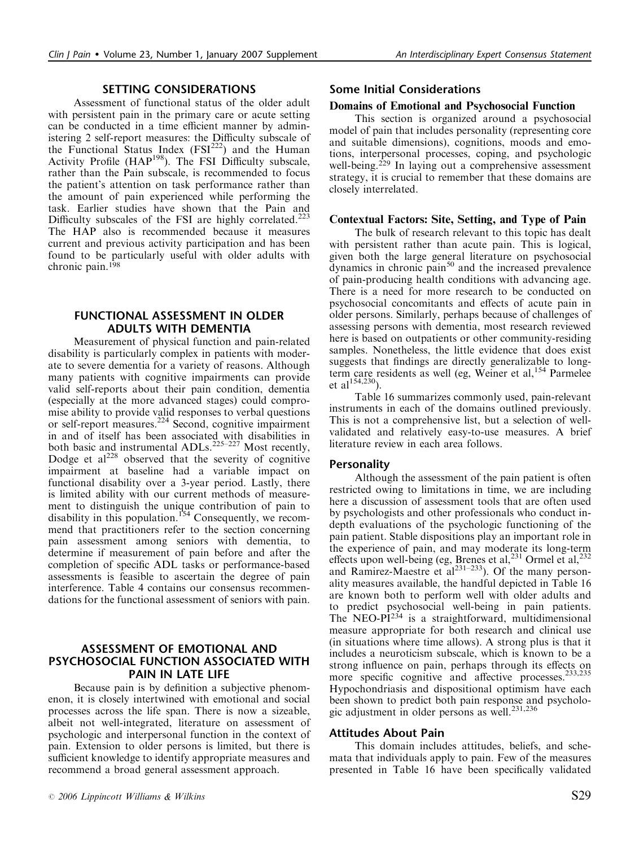#### SETTING CONSIDERATIONS

Assessment of functional status of the older adult with persistent pain in the primary care or acute setting can be conducted in a time efficient manner by administering 2 self-report measures: the Difficulty subscale of the Functional Status Index (FSI<sup>222</sup>) and the Human Activity Profile (HAP<sup>198</sup>). The FSI Difficulty subscale, rather than the Pain subscale, is recommended to focus the patient's attention on task performance rather than the amount of pain experienced while performing the task. Earlier studies have shown that the Pain and Difficulty subscales of the FSI are highly correlated.<sup>223</sup> The HAP also is recommended because it measures current and previous activity participation and has been found to be particularly useful with older adults with chronic pain.<sup>198</sup>

#### FUNCTIONAL ASSESSMENT IN OLDER ADULTS WITH DEMENTIA

Measurement of physical function and pain-related disability is particularly complex in patients with moderate to severe dementia for a variety of reasons. Although many patients with cognitive impairments can provide valid self-reports about their pain condition, dementia (especially at the more advanced stages) could compromise ability to provide valid responses to verbal questions or self-report measures.<sup>224</sup> Second, cognitive impairment in and of itself has been associated with disabilities in both basic and instrumental ADLs.<sup>225–227</sup> Most recently, Dodge et  $al^{228}$  observed that the severity of cognitive impairment at baseline had a variable impact on functional disability over a 3-year period. Lastly, there is limited ability with our current methods of measurement to distinguish the unique contribution of pain to disability in this population.<sup>154</sup> Consequently, we recommend that practitioners refer to the section concerning pain assessment among seniors with dementia, to determine if measurement of pain before and after the completion of specific ADL tasks or performance-based assessments is feasible to ascertain the degree of pain interference. Table 4 contains our consensus recommendations for the functional assessment of seniors with pain.

## ASSESSMENT OF EMOTIONAL AND PSYCHOSOCIAL FUNCTION ASSOCIATED WITH PAIN IN LATE LIFE

Because pain is by definition a subjective phenomenon, it is closely intertwined with emotional and social processes across the life span. There is now a sizeable, albeit not well-integrated, literature on assessment of psychologic and interpersonal function in the context of pain. Extension to older persons is limited, but there is sufficient knowledge to identify appropriate measures and recommend a broad general assessment approach.

#### Some Initial Considerations

#### Domains of Emotional and Psychosocial Function

This section is organized around a psychosocial model of pain that includes personality (representing core and suitable dimensions), cognitions, moods and emotions, interpersonal processes, coping, and psychologic well-being.<sup>229</sup> In laying out a comprehensive assessment strategy, it is crucial to remember that these domains are closely interrelated.

#### Contextual Factors: Site, Setting, and Type of Pain

The bulk of research relevant to this topic has dealt with persistent rather than acute pain. This is logical, given both the large general literature on psychosocial  $d$ ynamics in chronic pain $^{50}$  and the increased prevalence of pain-producing health conditions with advancing age. There is a need for more research to be conducted on psychosocial concomitants and effects of acute pain in older persons. Similarly, perhaps because of challenges of assessing persons with dementia, most research reviewed here is based on outpatients or other community-residing samples. Nonetheless, the little evidence that does exist suggests that findings are directly generalizable to longterm care residents as well (eg, Weiner et al,<sup>154</sup> Parmelee et al<sup>154,230</sup>).

Table 16 summarizes commonly used, pain-relevant instruments in each of the domains outlined previously. This is not a comprehensive list, but a selection of wellvalidated and relatively easy-to-use measures. A brief literature review in each area follows.

#### **Personality**

Although the assessment of the pain patient is often restricted owing to limitations in time, we are including here a discussion of assessment tools that are often used by psychologists and other professionals who conduct indepth evaluations of the psychologic functioning of the pain patient. Stable dispositions play an important role in the experience of pain, and may moderate its long-term effects upon well-being (eg, Brenes et al,  $^{231}$  Ormel et al,  $^{232}$ and Ramirez-Maestre et  $a^{231-233}$ ). Of the many personality measures available, the handful depicted in Table 16 are known both to perform well with older adults and to predict psychosocial well-being in pain patients. The NEO-PI<sup>234</sup> is a straightforward, multidimensional measure appropriate for both research and clinical use (in situations where time allows). A strong plus is that it includes a neuroticism subscale, which is known to be a strong influence on pain, perhaps through its effects on more specific cognitive and affective processes.<sup>233,235</sup> Hypochondriasis and dispositional optimism have each been shown to predict both pain response and psychologic adjustment in older persons as well.231,236

#### Attitudes About Pain

This domain includes attitudes, beliefs, and schemata that individuals apply to pain. Few of the measures presented in Table 16 have been specifically validated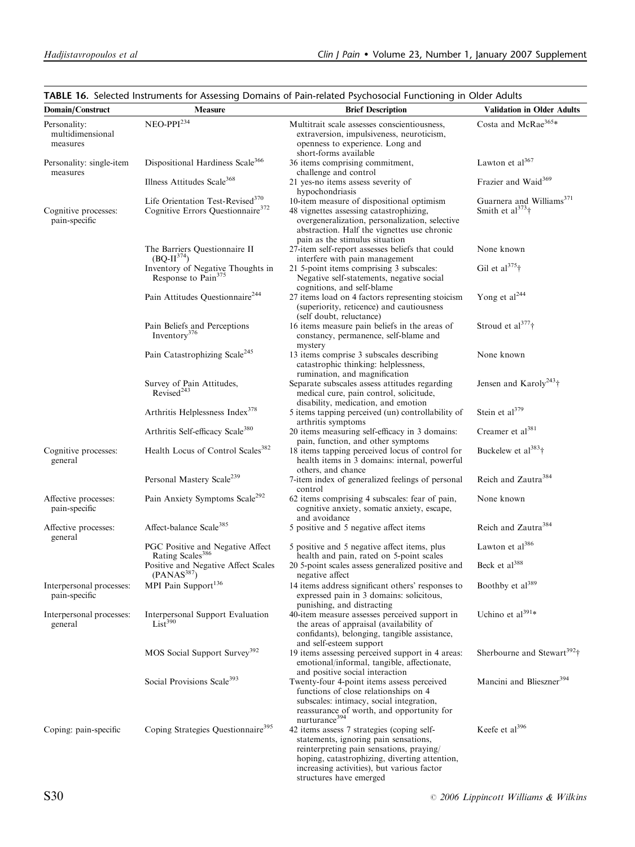| Domain/Construct                          | <b>Measure</b>                                                       | <b>Brief Description</b>                                                                                                                                                                                                                                  | <b>Validation in Older Adults</b>       |
|-------------------------------------------|----------------------------------------------------------------------|-----------------------------------------------------------------------------------------------------------------------------------------------------------------------------------------------------------------------------------------------------------|-----------------------------------------|
| Personality:                              | $NEO-PPI234$                                                         | Multitrait scale assesses conscientiousness,                                                                                                                                                                                                              | Costa and McRae <sup>365*</sup>         |
| multidimensional<br>measures              |                                                                      | extraversion, impulsiveness, neuroticism,<br>openness to experience. Long and<br>short-forms available                                                                                                                                                    |                                         |
| Personality: single-item                  | Dispositional Hardiness Scale <sup>366</sup>                         | 36 items comprising commitment,<br>challenge and control                                                                                                                                                                                                  | Lawton et al <sup>367</sup>             |
| measures                                  | Illness Attitudes Scale <sup>368</sup>                               | 21 yes-no items assess severity of<br>hypochondriasis                                                                                                                                                                                                     | Frazier and Waid <sup>369</sup>         |
|                                           | Life Orientation Test-Revised <sup>370</sup>                         | 10-item measure of dispositional optimism                                                                                                                                                                                                                 | Guarnera and Williams <sup>371</sup>    |
| Cognitive processes:<br>pain-specific     | Cognitive Errors Questionnaire <sup>372</sup>                        | 48 vignettes assessing catastrophizing,<br>overgeneralization, personalization, selective<br>abstraction. Half the vignettes use chronic<br>pain as the stimulus situation                                                                                | Smith et al <sup>373</sup> $\dagger$    |
|                                           | The Barriers Questionnaire II<br>$(BO-II374)$                        | 27-item self-report assesses beliefs that could<br>interfere with pain management                                                                                                                                                                         | None known                              |
|                                           | Inventory of Negative Thoughts in<br>Response to Pain <sup>375</sup> | 21 5-point items comprising 3 subscales:<br>Negative self-statements, negative social<br>cognitions, and self-blame                                                                                                                                       | Gil et al $375$ <sup>+</sup>            |
|                                           | Pain Attitudes Questionnaire <sup>244</sup>                          | 27 items load on 4 factors representing stoicism<br>(superiority, reticence) and cautiousness                                                                                                                                                             | Yong et al <sup>244</sup>               |
|                                           | Pain Beliefs and Perceptions<br>Inventory <sup>376</sup>             | (self doubt, reluctance)<br>16 items measure pain beliefs in the areas of<br>constancy, permanence, self-blame and<br>mystery                                                                                                                             | Stroud et al <sup>377</sup> $\dagger$   |
|                                           | Pain Catastrophizing Scale <sup>245</sup>                            | 13 items comprise 3 subscales describing<br>catastrophic thinking: helplessness,<br>rumination, and magnification                                                                                                                                         | None known                              |
|                                           | Survey of Pain Attitudes,<br>Revised <sup>243</sup>                  | Separate subscales assess attitudes regarding<br>medical cure, pain control, solicitude,<br>disability, medication, and emotion                                                                                                                           | Jensen and Karoly <sup>243</sup> †      |
|                                           | Arthritis Helplessness Index <sup>378</sup>                          | 5 items tapping perceived (un) controllability of<br>arthritis symptoms                                                                                                                                                                                   | Stein et al <sup>379</sup>              |
|                                           | Arthritis Self-efficacy Scale <sup>380</sup>                         | 20 items measuring self-efficacy in 3 domains:<br>pain, function, and other symptoms                                                                                                                                                                      | Creamer et al <sup>381</sup>            |
| Cognitive processes:<br>general           | Health Locus of Control Scales <sup>382</sup>                        | 18 items tapping perceived locus of control for<br>health items in 3 domains: internal, powerful<br>others, and chance                                                                                                                                    | Buckelew et $al^{383}$ †                |
|                                           | Personal Mastery Scale <sup>239</sup>                                | 7-item index of generalized feelings of personal<br>control                                                                                                                                                                                               | Reich and Zautra <sup>384</sup>         |
| Affective processes:<br>pain-specific     | Pain Anxiety Symptoms Scale <sup>292</sup>                           | 62 items comprising 4 subscales: fear of pain,<br>cognitive anxiety, somatic anxiety, escape,<br>and avoidance                                                                                                                                            | None known                              |
| Affective processes:<br>general           | Affect-balance Scale <sup>385</sup>                                  | 5 positive and 5 negative affect items                                                                                                                                                                                                                    | Reich and Zautra <sup>384</sup>         |
|                                           | PGC Positive and Negative Affect<br>Rating Scales <sup>386</sup>     | 5 positive and 5 negative affect items, plus<br>health and pain, rated on 5-point scales                                                                                                                                                                  | Lawton et al <sup>386</sup>             |
|                                           | Positive and Negative Affect Scales<br>(PANAS <sup>387</sup> )       | 20 5-point scales assess generalized positive and<br>negative affect                                                                                                                                                                                      | Beck et al <sup>388</sup>               |
| Interpersonal processes:<br>pain-specific | MPI Pain Support <sup>136</sup>                                      | 14 items address significant others' responses to<br>expressed pain in 3 domains: solicitous,<br>punishing, and distracting                                                                                                                               | Boothby et al <sup>389</sup>            |
| Interpersonal processes:<br>general       | Interpersonal Support Evaluation<br>$List^{390}$                     | 40-item measure assesses perceived support in<br>the areas of appraisal (availability of<br>confidants), belonging, tangible assistance,<br>and self-esteem support                                                                                       | Uchino et al <sup>391</sup> *           |
|                                           | MOS Social Support Survey <sup>392</sup>                             | 19 items assessing perceived support in 4 areas:<br>emotional/informal, tangible, affectionate,<br>and positive social interaction                                                                                                                        | Sherbourne and Stewart <sup>392</sup> † |
|                                           | Social Provisions Scale <sup>393</sup>                               | Twenty-four 4-point items assess perceived<br>functions of close relationships on 4<br>subscales: intimacy, social integration,<br>reassurance of worth, and opportunity for<br>nurturance <sup>394</sup>                                                 | Mancini and Blieszner <sup>394</sup>    |
| Coping: pain-specific                     | Coping Strategies Questionnaire <sup>395</sup>                       | 42 items assess 7 strategies (coping self-<br>statements, ignoring pain sensations,<br>reinterpreting pain sensations, praying/<br>hoping, catastrophizing, diverting attention,<br>increasing activities), but various factor<br>structures have emerged | Keefe et al <sup>396</sup>              |

|  | <b>TABLE 16.</b> Selected Instruments for Assessing Domains of Pain-related Psychosocial Functioning in Older Adults |  |  |  |
|--|----------------------------------------------------------------------------------------------------------------------|--|--|--|
|  |                                                                                                                      |  |  |  |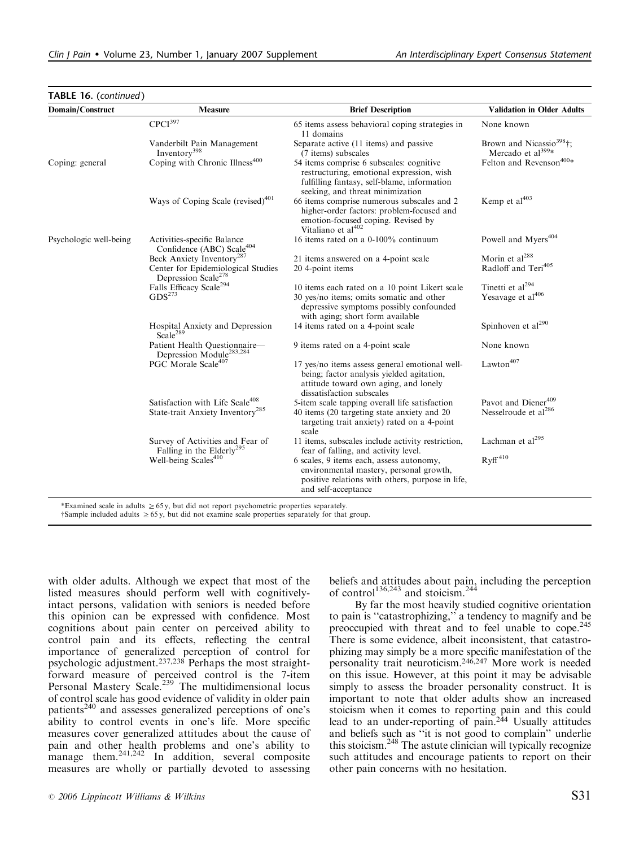| Domain/Construct       | <b>Measure</b>                                                            | <b>Brief Description</b>                                                                                                                                                  | <b>Validation in Older Adults</b>                                     |
|------------------------|---------------------------------------------------------------------------|---------------------------------------------------------------------------------------------------------------------------------------------------------------------------|-----------------------------------------------------------------------|
|                        | CPCI <sup>397</sup>                                                       | 65 items assess behavioral coping strategies in<br>11 domains                                                                                                             | None known                                                            |
|                        | Vanderbilt Pain Management<br>Inventory <sup>398</sup>                    | Separate active (11 items) and passive<br>(7 items) subscales                                                                                                             | Brown and Nicassio <sup>398</sup> †;<br>Mercado et al <sup>399*</sup> |
| Coping: general        | Coping with Chronic Illness <sup>400</sup>                                | 54 items comprise 6 subscales: cognitive<br>restructuring, emotional expression, wish<br>fulfilling fantasy, self-blame, information<br>seeking, and threat minimization  | Felton and Revenson <sup>400*</sup>                                   |
|                        | Ways of Coping Scale (revised) <sup>401</sup>                             | 66 items comprise numerous subscales and 2<br>higher-order factors: problem-focused and<br>emotion-focused coping. Revised by<br>Vitaliano et al <sup>402</sup>           | Kemp et $al403$                                                       |
| Psychologic well-being | Activities-specific Balance<br>Confidence (ABC) Scale <sup>404</sup>      | 16 items rated on a 0-100% continuum                                                                                                                                      | Powell and Myers <sup>404</sup>                                       |
|                        | Beck Anxiety Inventory <sup>287</sup>                                     | 21 items answered on a 4-point scale                                                                                                                                      | Morin et al <sup>288</sup>                                            |
|                        | Center for Epidemiological Studies<br>Depression Scale <sup>278</sup>     | 20 4-point items                                                                                                                                                          | Radloff and Teri <sup>405</sup>                                       |
|                        | Falls Efficacy Scale <sup>294</sup><br>GDS <sup>273</sup>                 | 10 items each rated on a 10 point Likert scale<br>30 yes/no items; omits somatic and other<br>depressive symptoms possibly confounded<br>with aging; short form available | Tinetti et al <sup>294</sup><br>Yesavage et al <sup>406</sup>         |
|                        | Hospital Anxiety and Depression<br>Scale <sup>289</sup>                   | 14 items rated on a 4-point scale                                                                                                                                         | Spinhoven et al <sup>290</sup>                                        |
|                        | Patient Health Questionnaire-<br>Depression Module <sup>283,284</sup>     | 9 items rated on a 4-point scale                                                                                                                                          | None known                                                            |
|                        | PGC Morale Scale <sup>407</sup>                                           | 17 yes/no items assess general emotional well-<br>being; factor analysis yielded agitation,<br>attitude toward own aging, and lonely<br>dissatisfaction subscales         | Lawton <sup>407</sup>                                                 |
|                        | Satisfaction with Life Scale <sup>408</sup>                               | 5-item scale tapping overall life satisfaction                                                                                                                            | Pavot and Diener <sup>409</sup>                                       |
|                        | State-trait Anxiety Inventory <sup>285</sup>                              | 40 items (20 targeting state anxiety and 20<br>targeting trait anxiety) rated on a 4-point<br>scale                                                                       | Nesselroude et al <sup>286</sup>                                      |
|                        | Survey of Activities and Fear of<br>Falling in the Elderly <sup>295</sup> | 11 items, subscales include activity restriction,<br>fear of falling, and activity level.                                                                                 | Lachman et al <sup>295</sup>                                          |
|                        | Well-being Scales <sup>410</sup>                                          | 6 scales, 9 items each, assess autonomy,<br>environmental mastery, personal growth,<br>positive relations with others, purpose in life,<br>and self-acceptance            | $Ryff^{410}$                                                          |

TABLE 16. (continued )

\*Examined scale in adults  $\geq 65$  y, but did not report psychometric properties separately.<br>†Sample included adults  $\geq 65$  y, but did not examine scale properties separately for that group.

with older adults. Although we expect that most of the listed measures should perform well with cognitivelyintact persons, validation with seniors is needed before this opinion can be expressed with confidence. Most cognitions about pain center on perceived ability to control pain and its effects, reflecting the central importance of generalized perception of control for psychologic adjustment.<sup>237,238</sup> Perhaps the most straightforward measure of perceived control is the 7-item Personal Mastery Scale.<sup>239</sup> The multidimensional locus of control scale has good evidence of validity in older pain patients<sup>240</sup> and assesses generalized perceptions of one's ability to control events in one's life. More specific measures cover generalized attitudes about the cause of pain and other health problems and one's ability to manage them. $241,242$  In addition, several composite measures are wholly or partially devoted to assessing

beliefs and attitudes about pain, including the perception of control<sup>136,243</sup> and stoicism.<sup>244</sup>

By far the most heavily studied cognitive orientation to pain is ''catastrophizing,'' a tendency to magnify and be preoccupied with threat and to feel unable to cope.<sup>245</sup> There is some evidence, albeit inconsistent, that catastrophizing may simply be a more specific manifestation of the personality trait neuroticism.246,247 More work is needed on this issue. However, at this point it may be advisable simply to assess the broader personality construct. It is important to note that older adults show an increased stoicism when it comes to reporting pain and this could lead to an under-reporting of pain.244 Usually attitudes and beliefs such as ''it is not good to complain'' underlie this stoicism.<sup>248</sup> The astute clinician will typically recognize such attitudes and encourage patients to report on their other pain concerns with no hesitation.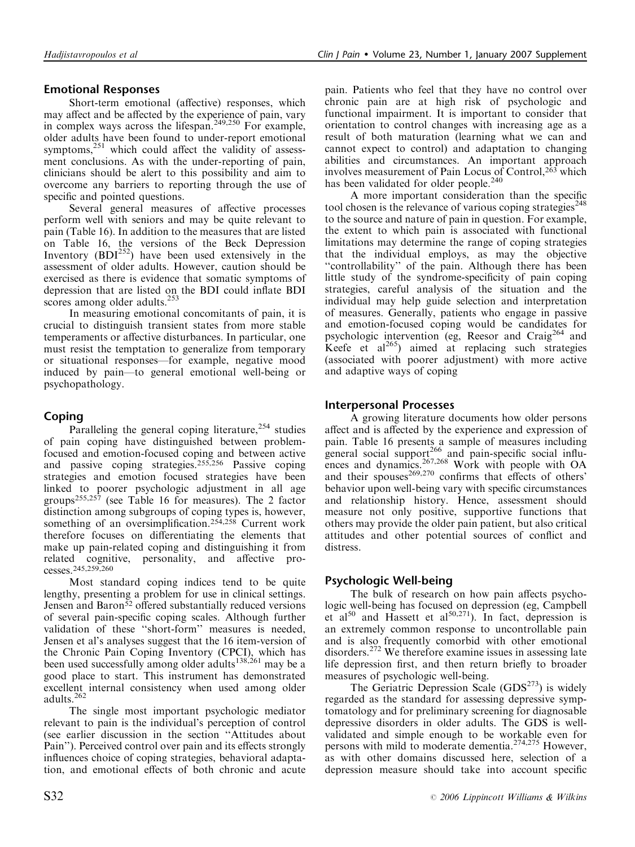# Emotional Responses

Short-term emotional (affective) responses, which may affect and be affected by the experience of pain, vary in complex ways across the lifespan.<sup>249,250</sup> For example, older adults have been found to under-report emotional symptoms, $251$  which could affect the validity of assessment conclusions. As with the under-reporting of pain, clinicians should be alert to this possibility and aim to overcome any barriers to reporting through the use of specific and pointed questions.

Several general measures of affective processes perform well with seniors and may be quite relevant to pain (Table 16). In addition to the measures that are listed on Table 16, the versions of the Beck Depression Inventory  $(BDI<sup>252</sup>)$  have been used extensively in the assessment of older adults. However, caution should be exercised as there is evidence that somatic symptoms of depression that are listed on the BDI could inflate BDI scores among older adults.<sup>253</sup>

In measuring emotional concomitants of pain, it is crucial to distinguish transient states from more stable temperaments or affective disturbances. In particular, one must resist the temptation to generalize from temporary or situational responses—for example, negative mood induced by pain—to general emotional well-being or psychopathology.

# Coping

Paralleling the general coping literature,  $254$  studies of pain coping have distinguished between problemfocused and emotion-focused coping and between active and passive coping strategies.255,256 Passive coping strategies and emotion focused strategies have been linked to poorer psychologic adjustment in all age groups255,257 (see Table 16 for measures). The 2 factor distinction among subgroups of coping types is, however, something of an oversimplification.<sup>254,258</sup> Current work therefore focuses on differentiating the elements that make up pain-related coping and distinguishing it from related cognitive, personality, and affective processes.<sup>245,259,260</sup>

Most standard coping indices tend to be quite lengthy, presenting a problem for use in clinical settings. Jensen and Baron<sup>52</sup> offered substantially reduced versions of several pain-specific coping scales. Although further validation of these ''short-form'' measures is needed, Jensen et al's analyses suggest that the 16 item-version of the Chronic Pain Coping Inventory (CPCI), which has been used successfully among older adults<sup>138,261</sup> may be a good place to start. This instrument has demonstrated excellent internal consistency when used among older adults.<sup>262</sup>

The single most important psychologic mediator relevant to pain is the individual's perception of control (see earlier discussion in the section ''Attitudes about Pain''). Perceived control over pain and its effects strongly influences choice of coping strategies, behavioral adaptation, and emotional effects of both chronic and acute

pain. Patients who feel that they have no control over chronic pain are at high risk of psychologic and functional impairment. It is important to consider that orientation to control changes with increasing age as a result of both maturation (learning what we can and cannot expect to control) and adaptation to changing abilities and circumstances. An important approach involves measurement of Pain Locus of Control,<sup>263</sup> which has been validated for older people.<sup>240</sup>

A more important consideration than the specific tool chosen is the relevance of various coping strategies<sup> $248$ </sup> to the source and nature of pain in question. For example, the extent to which pain is associated with functional limitations may determine the range of coping strategies that the individual employs, as may the objective "controllability" of the pain. Although there has been little study of the syndrome-specificity of pain coping strategies, careful analysis of the situation and the individual may help guide selection and interpretation of measures. Generally, patients who engage in passive and emotion-focused coping would be candidates for psychologic intervention (eg, Reesor and Craig<sup>264</sup> and Keefe et  $al^{265}$ ) aimed at replacing such strategies (associated with poorer adjustment) with more active and adaptive ways of coping

# Interpersonal Processes

A growing literature documents how older persons affect and is affected by the experience and expression of pain. Table 16 presents a sample of measures including general social support<sup>266</sup> and pain-specific social influences and dynamics.<sup>267,268</sup> Work with people with OA and their spouses $269,270$  confirms that effects of others' behavior upon well-being vary with specific circumstances and relationship history. Hence, assessment should measure not only positive, supportive functions that others may provide the older pain patient, but also critical attitudes and other potential sources of conflict and distress.

# Psychologic Well-being

The bulk of research on how pain affects psychologic well-being has focused on depression (eg, Campbell et al<sup>50</sup> and Hassett et al<sup>50,271</sup>). In fact, depression is an extremely common response to uncontrollable pain and is also frequently comorbid with other emotional disorders.<sup>272</sup> We therefore examine issues in assessing late life depression first, and then return briefly to broader measures of psychologic well-being.

The Geriatric Depression Scale  $(GDS<sup>273</sup>)$  is widely regarded as the standard for assessing depressive symptomatology and for preliminary screening for diagnosable depressive disorders in older adults. The GDS is wellvalidated and simple enough to be workable even for persons with mild to moderate dementia. $274,275$  However, as with other domains discussed here, selection of a depression measure should take into account specific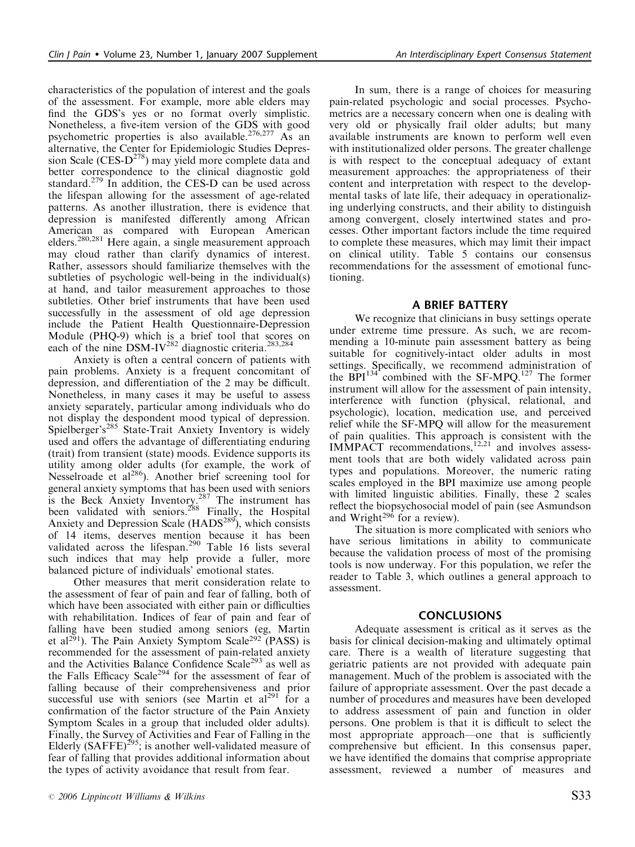characteristics of the population of interest and the goals of the assessment. For example, more able elders may find the GDS's yes or no format overly simplistic. Nonetheless, a five-item version of the GDS with good psychometric properties is also available.<sup>276,277</sup> As an alternative, the Center for Epidemiologic Studies Depression Scale (CES- $D^{278}$ ) may yield more complete data and better correspondence to the clinical diagnostic gold standard.<sup>279</sup> In addition, the CES-D can be used across the lifespan allowing for the assessment of age-related patterns. As another illustration, there is evidence that depression is manifested differently among African American as compared with European American elders.<sup>280,281</sup> Here again, a single measurement approach may cloud rather than clarify dynamics of interest. Rather, assessors should familiarize themselves with the subtleties of psychologic well-being in the individual(s) at hand, and tailor measurement approaches to those subtleties. Other brief instruments that have been used successfully in the assessment of old age depression include the Patient Health Questionnaire-Depression Module (PHQ-9) which is a brief tool that scores on each of the nine DSM-IV<sup>282</sup> diagnostic criteria.<sup>283,284</sup>

Anxiety is often a central concern of patients with pain problems. Anxiety is a frequent concomitant of depression, and differentiation of the 2 may be difficult. Nonetheless, in many cases it may be useful to assess anxiety separately, particular among individuals who do not display the despondent mood typical of depression. Spielberger's<sup>285</sup> State-Trait Anxiety Inventory is widely used and offers the advantage of differentiating enduring (trait) from transient (state) moods. Evidence supports its utility among older adults (for example, the work of Nesselroade et al<sup>286</sup>). Another brief screening tool for general anxiety symptoms that has been used with seniors is the Beck Anxiety Inventory.<sup>287</sup> The instrument has been validated with seniors.<sup>288</sup> Finally, the Hospital Anxiety and Depression Scale  $(HADS<sup>289</sup>)$ , which consists of 14 items, deserves mention because it has been validated across the lifespan.<sup>290</sup> Table 16 lists several such indices that may help provide a fuller, more balanced picture of individuals' emotional states.

Other measures that merit consideration relate to the assessment of fear of pain and fear of falling, both of which have been associated with either pain or difficulties with rehabilitation. Indices of fear of pain and fear of falling have been studied among seniors (eg, Martin et al<sup>291</sup>). The Pain Anxiety Symptom Scale<sup>292</sup> (PASS) is recommended for the assessment of pain-related anxiety and the Activities Balance Confidence Scale<sup>293</sup> as well as the Falls Efficacy Scale<sup>294</sup> for the assessment of fear of falling because of their comprehensiveness and prior successful use with seniors (see Martin et  $al^{291}$  for a confirmation of the factor structure of the Pain Anxiety Symptom Scales in a group that included older adults). Finally, the Survey of Activities and Fear of Falling in the Elderly (SAFFE)<sup>295</sup>; is another well-validated measure of fear of falling that provides additional information about the types of activity avoidance that result from fear.

In sum, there is a range of choices for measuring pain-related psychologic and social processes. Psychometrics are a necessary concern when one is dealing with very old or physically frail older adults; but many available instruments are known to perform well even with institutionalized older persons. The greater challenge is with respect to the conceptual adequacy of extant measurement approaches: the appropriateness of their content and interpretation with respect to the developmental tasks of late life, their adequacy in operationalizing underlying constructs, and their ability to distinguish among convergent, closely intertwined states and processes. Other important factors include the time required to complete these measures, which may limit their impact on clinical utility. Table 5 contains our consensus recommendations for the assessment of emotional functioning.

## A BRIEF BATTERY

We recognize that clinicians in busy settings operate under extreme time pressure. As such, we are recommending a 10-minute pain assessment battery as being suitable for cognitively-intact older adults in most settings. Specifically, we recommend administration of the BPI<sup>134</sup> combined with the SF-MPQ.<sup>127</sup> The former instrument will allow for the assessment of pain intensity, interference with function (physical, relational, and psychologic), location, medication use, and perceived relief while the SF-MPQ will allow for the measurement of pain qualities. This approach is consistent with the  $IMMPACT$  recommendations,<sup>12,21</sup> and involves assessment tools that are both widely validated across pain types and populations. Moreover, the numeric rating scales employed in the BPI maximize use among people with limited linguistic abilities. Finally, these 2 scales reflect the biopsychosocial model of pain (see Asmundson and Wright<sup>29 $\overline{6}$ </sup> for a review).

The situation is more complicated with seniors who have serious limitations in ability to communicate because the validation process of most of the promising tools is now underway. For this population, we refer the reader to Table 3, which outlines a general approach to assessment.

## **CONCLUSIONS**

Adequate assessment is critical as it serves as the basis for clinical decision-making and ultimately optimal care. There is a wealth of literature suggesting that geriatric patients are not provided with adequate pain management. Much of the problem is associated with the failure of appropriate assessment. Over the past decade a number of procedures and measures have been developed to address assessment of pain and function in older persons. One problem is that it is difficult to select the most appropriate approach—one that is sufficiently comprehensive but efficient. In this consensus paper, we have identified the domains that comprise appropriate assessment, reviewed a number of measures and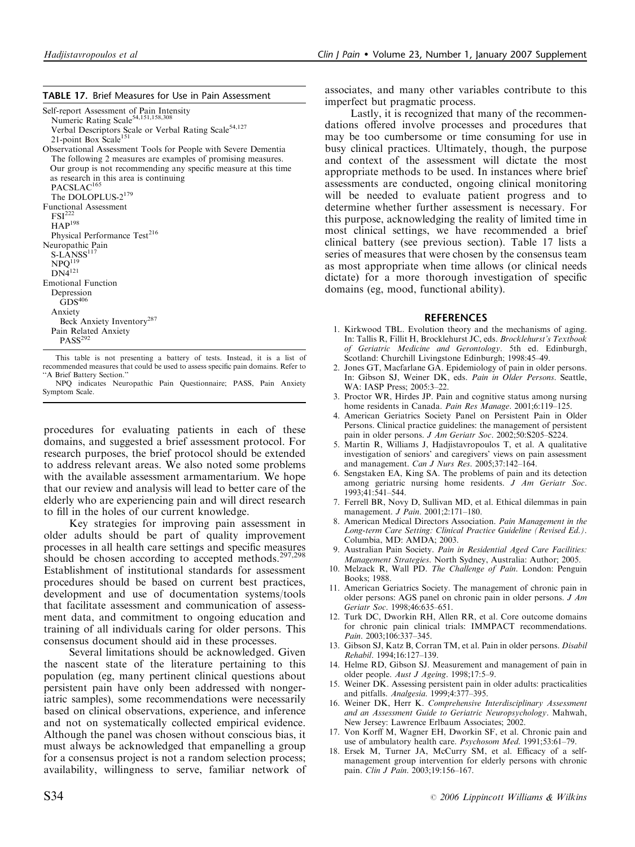#### TABLE 17. Brief Measures for Use in Pain Assessment

| Self-report Assessment of Pain Intensity<br>Numeric Rating Scale <sup>54,151,158,308</sup><br>Verbal Descriptors Scale or Verbal Rating Scale <sup>54,127</sup><br>21-point Box Scale <sup>151</sup> |
|------------------------------------------------------------------------------------------------------------------------------------------------------------------------------------------------------|
| Observational Assessment Tools for People with Severe Dementia                                                                                                                                       |
| The following 2 measures are examples of promising measures.                                                                                                                                         |
| Our group is not recommending any specific measure at this time                                                                                                                                      |
| as research in this area is continuing                                                                                                                                                               |
| PACSLAC <sup>165</sup>                                                                                                                                                                               |
| The DOLOPLUS-2 <sup>179</sup>                                                                                                                                                                        |
| <b>Functional Assessment</b>                                                                                                                                                                         |
| FSI <sup>222</sup>                                                                                                                                                                                   |
| $HAP^{198}$                                                                                                                                                                                          |
| Physical Performance Test <sup>216</sup>                                                                                                                                                             |
| Neuropathic Pain                                                                                                                                                                                     |
| $S-LÂNSS117$                                                                                                                                                                                         |
| NPQ <sup>119</sup>                                                                                                                                                                                   |
| $DN4^{121}$                                                                                                                                                                                          |
| <b>Emotional Function</b>                                                                                                                                                                            |
| Depression                                                                                                                                                                                           |
| $\overline{G}DS^{406}$                                                                                                                                                                               |
| Anxiety                                                                                                                                                                                              |
| Beck Anxiety Inventory <sup>287</sup>                                                                                                                                                                |
| Pain Related Anxiety                                                                                                                                                                                 |
| PASS <sup>292</sup>                                                                                                                                                                                  |

This table is not presenting a battery of tests. Instead, it is a list of recommended measures that could be used to assess specific pain domains. Refer to ''A Brief Battery Section.''

NPQ indicates Neuropathic Pain Questionnaire; PASS, Pain Anxiety Symptom Scale.

procedures for evaluating patients in each of these domains, and suggested a brief assessment protocol. For research purposes, the brief protocol should be extended to address relevant areas. We also noted some problems with the available assessment armamentarium. We hope that our review and analysis will lead to better care of the elderly who are experiencing pain and will direct research to fill in the holes of our current knowledge.

Key strategies for improving pain assessment in older adults should be part of quality improvement processes in all health care settings and specific measures should be chosen according to accepted methods.<sup>297,298</sup> Establishment of institutional standards for assessment procedures should be based on current best practices, development and use of documentation systems/tools that facilitate assessment and communication of assessment data, and commitment to ongoing education and training of all individuals caring for older persons. This consensus document should aid in these processes.

Several limitations should be acknowledged. Given the nascent state of the literature pertaining to this population (eg, many pertinent clinical questions about persistent pain have only been addressed with nongeriatric samples), some recommendations were necessarily based on clinical observations, experience, and inference and not on systematically collected empirical evidence. Although the panel was chosen without conscious bias, it must always be acknowledged that empanelling a group for a consensus project is not a random selection process; availability, willingness to serve, familiar network of associates, and many other variables contribute to this imperfect but pragmatic process.

Lastly, it is recognized that many of the recommendations offered involve processes and procedures that may be too cumbersome or time consuming for use in busy clinical practices. Ultimately, though, the purpose and context of the assessment will dictate the most appropriate methods to be used. In instances where brief assessments are conducted, ongoing clinical monitoring will be needed to evaluate patient progress and to determine whether further assessment is necessary. For this purpose, acknowledging the reality of limited time in most clinical settings, we have recommended a brief clinical battery (see previous section). Table 17 lists a series of measures that were chosen by the consensus team as most appropriate when time allows (or clinical needs dictate) for a more thorough investigation of specific domains (eg, mood, functional ability).

#### REFERENCES

- 1. Kirkwood TBL. Evolution theory and the mechanisms of aging. In: Tallis R, Fillit H, Brocklehurst JC, eds. Brocklehurst's Textbook of Geriatric Medicine and Gerontology. 5th ed. Edinburgh, Scotland: Churchill Livingstone Edinburgh; 1998:45–49.
- 2. Jones GT, Macfarlane GA. Epidemiology of pain in older persons. In: Gibson SJ, Weiner DK, eds. Pain in Older Persons. Seattle, WA: IASP Press; 2005:3–22.
- 3. Proctor WR, Hirdes JP. Pain and cognitive status among nursing home residents in Canada. Pain Res Manage. 2001;6:119-125.
- 4. American Geriatrics Society Panel on Persistent Pain in Older Persons. Clinical practice guidelines: the management of persistent pain in older persons. J Am Geriatr Soc. 2002;50:S205-S224.
- 5. Martin R, Williams J, Hadjistavropoulos T, et al. A qualitative investigation of seniors' and caregivers' views on pain assessment and management. Can J Nurs Res. 2005;37:142–164.
- 6. Sengstaken EA, King SA. The problems of pain and its detection among geriatric nursing home residents. J Am Geriatr Soc. 1993;41:541–544.
- 7. Ferrell BR, Novy D, Sullivan MD, et al. Ethical dilemmas in pain management. J Pain. 2001;2:171–180.
- 8. American Medical Directors Association. Pain Management in the Long-term Care Setting: Clinical Practice Guideline (Revised Ed.). Columbia, MD: AMDA; 2003.
- 9. Australian Pain Society. Pain in Residential Aged Care Facilities: Management Strategies. North Sydney, Australia: Author; 2005.
- 10. Melzack R, Wall PD. The Challenge of Pain. London: Penguin Books; 1988.
- 11. American Geriatrics Society. The management of chronic pain in older persons: AGS panel on chronic pain in older persons. J Am Geriatr Soc. 1998;46:635–651.
- 12. Turk DC, Dworkin RH, Allen RR, et al. Core outcome domains for chronic pain clinical trials: IMMPACT recommendations. Pain. 2003;106:337–345.
- 13. Gibson SJ, Katz B, Corran TM, et al. Pain in older persons. Disabil Rehabil. 1994;16:127–139.
- 14. Helme RD, Gibson SJ. Measurement and management of pain in older people. Aust J Ageing. 1998;17:5–9.
- 15. Weiner DK. Assessing persistent pain in older adults: practicalities and pitfalls. Analgesia. 1999;4:377–395.
- 16. Weiner DK, Herr K. Comprehensive Interdisciplinary Assessment and an Assessment Guide to Geriatric Neuropsychology. Mahwah, New Jersey: Lawrence Erlbaum Associates; 2002.
- 17. Von Korff M, Wagner EH, Dworkin SF, et al. Chronic pain and use of ambulatory health care. Psychosom Med. 1991;53:61-79.
- 18. Ersek M, Turner JA, McCurry SM, et al. Efficacy of a selfmanagement group intervention for elderly persons with chronic pain. Clin J Pain. 2003;19:156–167.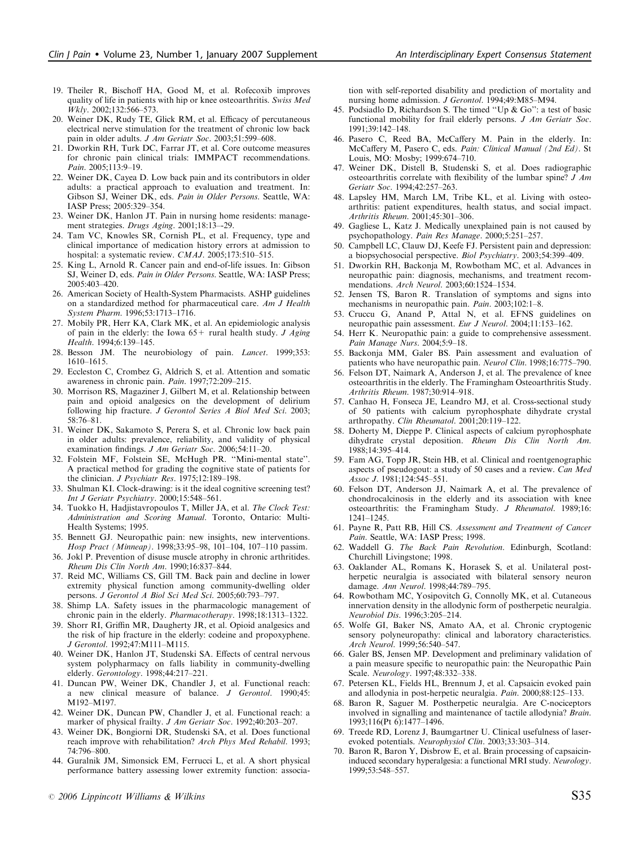- 19. Theiler R, Bischoff HA, Good M, et al. Rofecoxib improves quality of life in patients with hip or knee osteoarthritis. Swiss Med Wkly. 2002;132:566–573.
- 20. Weiner DK, Rudy TE, Glick RM, et al. Efficacy of percutaneous electrical nerve stimulation for the treatment of chronic low back pain in older adults. J Am Geriatr Soc. 2003;51:599-608.
- 21. Dworkin RH, Turk DC, Farrar JT, et al. Core outcome measures for chronic pain clinical trials: IMMPACT recommendations. Pain. 2005;113:9–19.
- 22. Weiner DK, Cayea D. Low back pain and its contributors in older adults: a practical approach to evaluation and treatment. In: Gibson SJ, Weiner DK, eds. Pain in Older Persons. Seattle, WA: IASP Press; 2005:329–354.
- 23. Weiner DK, Hanlon JT. Pain in nursing home residents: management strategies. Drugs Aging. 2001;18:13–-29.
- 24. Tam VC, Knowles SR, Cornish PL, et al. Frequency, type and clinical importance of medication history errors at admission to hospital: a systematic review. CMAJ. 2005;173:510-515.
- 25. King L, Arnold R. Cancer pain and end-of-life issues. In: Gibson SJ, Weiner D, eds. Pain in Older Persons. Seattle, WA: IASP Press; 2005:403–420.
- 26. American Society of Health-System Pharmacists. ASHP guidelines on a standardized method for pharmaceutical care. Am J Health System Pharm. 1996;53:1713–1716.
- 27. Mobily PR, Herr KA, Clark MK, et al. An epidemiologic analysis of pain in the elderly: the Iowa  $65+$  rural health study. *J Aging* Health. 1994;6:139–145.
- 28. Besson JM. The neurobiology of pain. Lancet. 1999;353: 1610–1615.
- 29. Eccleston C, Crombez G, Aldrich S, et al. Attention and somatic awareness in chronic pain. Pain. 1997;72:209–215.
- 30. Morrison RS, Magaziner J, Gilbert M, et al. Relationship between pain and opioid analgesics on the development of delirium following hip fracture. J Gerontol Series A Biol Med Sci. 2003; 58:76–81.
- 31. Weiner DK, Sakamoto S, Perera S, et al. Chronic low back pain in older adults: prevalence, reliability, and validity of physical examination findings. J Am Geriatr Soc. 2006;54:11–20.
- 32. Folstein MF, Folstein SE, McHugh PR. ''Mini-mental state''. A practical method for grading the cognitive state of patients for the clinician. J Psychiatr Res. 1975;12:189–198.
- 33. Shulman KI. Clock-drawing: is it the ideal cognitive screening test? Int J Geriatr Psychiatry. 2000;15:548–561.
- 34. Tuokko H, Hadjistavropoulos T, Miller JA, et al. The Clock Test: Administration and Scoring Manual. Toronto, Ontario: Multi-Health Systems; 1995.
- 35. Bennett GJ. Neuropathic pain: new insights, new interventions. Hosp Pract (Minneap). 1998;33:95–98, 101–104, 107–110 passim.
- 36. Jokl P. Prevention of disuse muscle atrophy in chronic arthritides. Rheum Dis Clin North Am. 1990;16:837–844.
- 37. Reid MC, Williams CS, Gill TM. Back pain and decline in lower extremity physical function among community-dwelling older persons. J Gerontol A Biol Sci Med Sci. 2005;60:793–797.
- 38. Shimp LA. Safety issues in the pharmacologic management of chronic pain in the elderly. Pharmacotherapy. 1998;18:1313–1322.
- 39. Shorr RI, Griffin MR, Daugherty JR, et al. Opioid analgesics and the risk of hip fracture in the elderly: codeine and propoxyphene. J Gerontol. 1992;47:M111–M115.
- 40. Weiner DK, Hanlon JT, Studenski SA. Effects of central nervous system polypharmacy on falls liability in community-dwelling elderly. Gerontology. 1998;44:217–221.
- 41. Duncan PW, Weiner DK, Chandler J, et al. Functional reach: a new clinical measure of balance. J Gerontol. 1990;45: M192–M197.
- 42. Weiner DK, Duncan PW, Chandler J, et al. Functional reach: a marker of physical frailty. J Am Geriatr Soc. 1992;40:203-207.
- 43. Weiner DK, Bongiorni DR, Studenski SA, et al. Does functional reach improve with rehabilitation? Arch Phys Med Rehabil. 1993;  $74.796 - 800$
- 44. Guralnik JM, Simonsick EM, Ferrucci L, et al. A short physical performance battery assessing lower extremity function: associa-

tion with self-reported disability and prediction of mortality and nursing home admission. J Gerontol. 1994;49:M85–M94.

- 45. Podsiadlo D, Richardson S. The timed ''Up & Go'': a test of basic functional mobility for frail elderly persons. *J Am Geriatr Soc.* 1991;39:142–148.
- 46. Pasero C, Reed BA, McCaffery M. Pain in the elderly. In: McCaffery M, Pasero C, eds. Pain: Clinical Manual (2nd Ed). St Louis, MO: Mosby; 1999:674–710.
- 47. Weiner DK, Distell B, Studenski S, et al. Does radiographic osteoarthritis correlate with flexibility of the lumbar spine?  $J$  Am Geriatr Soc. 1994;42:257–263.
- 48. Lapsley HM, March LM, Tribe KL, et al. Living with osteoarthritis: patient expenditures, health status, and social impact. Arthritis Rheum. 2001;45:301–306.
- 49. Gagliese L, Katz J. Medically unexplained pain is not caused by psychopathology. Pain Res Manage. 2000;5:251–257.
- Campbell LC, Clauw DJ, Keefe FJ. Persistent pain and depression: a biopsychosocial perspective. Biol Psychiatry. 2003;54:399–409.
- 51. Dworkin RH, Backonja M, Rowbotham MC, et al. Advances in neuropathic pain: diagnosis, mechanisms, and treatment recommendations. Arch Neurol. 2003;60:1524–1534.
- 52. Jensen TS, Baron R. Translation of symptoms and signs into mechanisms in neuropathic pain. Pain. 2003;102:1–8.
- 53. Cruccu G, Anand P, Attal N, et al. EFNS guidelines on neuropathic pain assessment. Eur J Neurol. 2004;11:153–162.
- 54. Herr K. Neuropathic pain: a guide to comprehensive assessment. Pain Manage Nurs. 2004;5:9–18.
- 55. Backonja MM, Galer BS. Pain assessment and evaluation of patients who have neuropathic pain. Neurol Clin. 1998;16:775–790.
- 56. Felson DT, Naimark A, Anderson J, et al. The prevalence of knee osteoarthritis in the elderly. The Framingham Osteoarthritis Study. Arthritis Rheum. 1987;30:914–918.
- 57. Canhao H, Fonseca JE, Leandro MJ, et al. Cross-sectional study of 50 patients with calcium pyrophosphate dihydrate crystal arthropathy. Clin Rheumatol. 2001;20:119–122.
- 58. Doherty M, Dieppe P. Clinical aspects of calcium pyrophosphate dihydrate crystal deposition. Rheum Dis Clin North Am. 1988;14:395–414.
- 59. Fam AG, Topp JR, Stein HB, et al. Clinical and roentgenographic aspects of pseudogout: a study of 50 cases and a review. Can Med Assoc J. 1981;124:545-551.
- 60. Felson DT, Anderson JJ, Naimark A, et al. The prevalence of chondrocalcinosis in the elderly and its association with knee osteoarthritis: the Framingham Study. J Rheumatol. 1989;16: 1241–1245.
- 61. Payne R, Patt RB, Hill CS. Assessment and Treatment of Cancer Pain. Seattle, WA: IASP Press; 1998.
- Waddell G. The Back Pain Revolution. Edinburgh, Scotland: Churchill Livingstone; 1998.
- 63. Oaklander AL, Romans K, Horasek S, et al. Unilateral postherpetic neuralgia is associated with bilateral sensory neuron damage. Ann Neurol. 1998;44:789–795.
- 64. Rowbotham MC, Yosipovitch G, Connolly MK, et al. Cutaneous innervation density in the allodynic form of postherpetic neuralgia. Neurobiol Dis. 1996;3:205–214.
- 65. Wolfe GI, Baker NS, Amato AA, et al. Chronic cryptogenic sensory polyneuropathy: clinical and laboratory characteristics. Arch Neurol. 1999;56:540–547.
- 66. Galer BS, Jensen MP. Development and preliminary validation of a pain measure specific to neuropathic pain: the Neuropathic Pain Scale. Neurology. 1997;48:332–338.
- 67. Petersen KL, Fields HL, Brennum J, et al. Capsaicin evoked pain and allodynia in post-herpetic neuralgia. Pain. 2000;88:125–133.
- 68. Baron R, Saguer M. Postherpetic neuralgia. Are C-nociceptors involved in signalling and maintenance of tactile allodynia? Brain. 1993;116(Pt 6):1477–1496.
- 69. Treede RD, Lorenz J, Baumgartner U. Clinical usefulness of laserevoked potentials. Neurophysiol Clin. 2003;33:303-314.
- 70. Baron R, Baron Y, Disbrow E, et al. Brain processing of capsaicininduced secondary hyperalgesia: a functional MRI study. Neurology. 1999;53:548–557.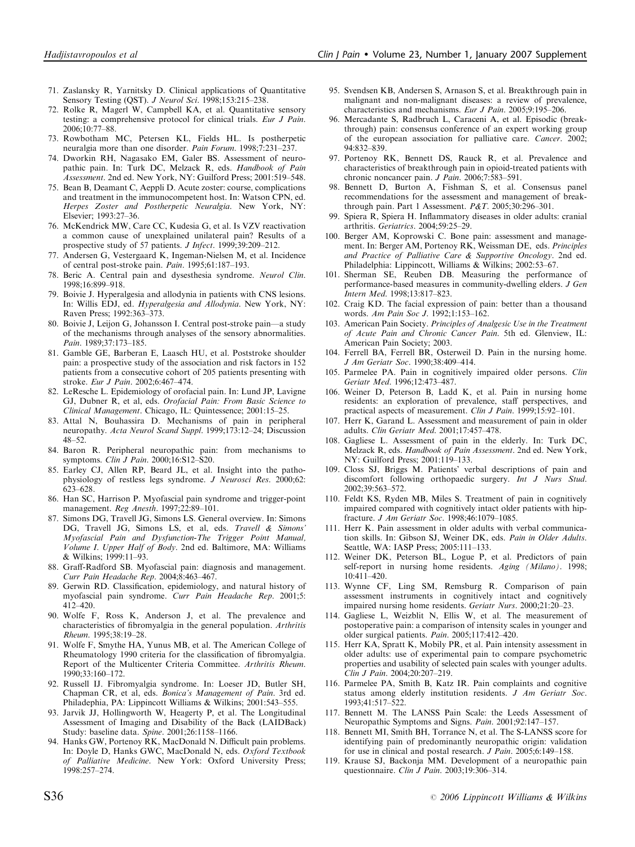- 71. Zaslansky R, Yarnitsky D. Clinical applications of Quantitative Sensory Testing (QST). J Neurol Sci. 1998;153:215-238.
- 72. Rolke R, Magerl W, Campbell KA, et al. Quantitative sensory testing: a comprehensive protocol for clinical trials. Eur J Pain. 2006;10:77–88.
- 73. Rowbotham MC, Petersen KL, Fields HL. Is postherpetic neuralgia more than one disorder. Pain Forum. 1998;7:231–237.
- 74. Dworkin RH, Nagasako EM, Galer BS. Assessment of neuropathic pain. In: Turk DC, Melzack R, eds. Handbook of Pain Assessment. 2nd ed. New York, NY: Guilford Press; 2001:519–548.
- 75. Bean B, Deamant C, Aeppli D. Acute zoster: course, complications and treatment in the immunocompetent host. In: Watson CPN, ed. Herpes Zoster and Postherpetic Neuralgia. New York, NY: Elsevier; 1993:27–36.
- 76. McKendrick MW, Care CC, Kudesia G, et al. Is VZV reactivation a common cause of unexplained unilateral pain? Results of a prospective study of 57 patients. J Infect. 1999;39:209–212.
- 77. Andersen G, Vestergaard K, Ingeman-Nielsen M, et al. Incidence of central post-stroke pain. Pain. 1995;61:187–193.
- 78. Beric A. Central pain and dysesthesia syndrome. Neurol Clin. 1998;16:899–918.
- 79. Boivie J. Hyperalgesia and allodynia in patients with CNS lesions. In: Willis EDJ, ed. Hyperalgesia and Allodynia. New York, NY: Raven Press; 1992:363–373.
- 80. Boivie J, Leijon G, Johansson I. Central post-stroke pain—a study of the mechanisms through analyses of the sensory abnormalities. Pain. 1989;37:173–185.
- 81. Gamble GE, Barberan E, Laasch HU, et al. Poststroke shoulder pain: a prospective study of the association and risk factors in 152 patients from a consecutive cohort of 205 patients presenting with stroke. Eur J Pain. 2002;6:467–474.
- 82. LeResche L. Epidemiology of orofacial pain. In: Lund JP, Lavigne GJ, Dubner R, et al, eds. Orofacial Pain: From Basic Science to Clinical Management. Chicago, IL: Quintessence; 2001:15–25.
- 83. Attal N, Bouhassira D. Mechanisms of pain in peripheral neuropathy. Acta Neurol Scand Suppl. 1999;173:12-24; Discussion 48–52.
- 84. Baron R. Peripheral neuropathic pain: from mechanisms to symptoms. Clin J Pain. 2000;16:S12–S20.
- 85. Earley CJ, Allen RP, Beard JL, et al. Insight into the pathophysiology of restless legs syndrome. J Neurosci Res. 2000;62: 623–628.
- 86. Han SC, Harrison P. Myofascial pain syndrome and trigger-point management. Reg Anesth. 1997;22:89–101.
- 87. Simons DG, Travell JG, Simons LS. General overview. In: Simons DG, Travell JG, Simons LS, et al, eds. Travell & Simons' Myofascial Pain and Dysfunction-The Trigger Point Manual, Volume I. Upper Half of Body. 2nd ed. Baltimore, MA: Williams & Wilkins; 1999:11–93.
- 88. Graff-Radford SB. Myofascial pain: diagnosis and management. Curr Pain Headache Rep. 2004;8:463–467.
- 89. Gerwin RD. Classification, epidemiology, and natural history of myofascial pain syndrome. Curr Pain Headache Rep. 2001;5: 412–420.
- 90. Wolfe F, Ross K, Anderson J, et al. The prevalence and characteristics of fibromyalgia in the general population. Arthritis Rheum. 1995;38:19–28.
- 91. Wolfe F, Smythe HA, Yunus MB, et al. The American College of Rheumatology 1990 criteria for the classification of fibromyalgia. Report of the Multicenter Criteria Committee. Arthritis Rheum. 1990;33:160–172.
- 92. Russell IJ. Fibromyalgia syndrome. In: Loeser JD, Butler SH, Chapman CR, et al, eds. Bonica's Management of Pain. 3rd ed. Philadephia, PA: Lippincott Williams & Wilkins; 2001:543–555.
- 93. Jarvik JJ, Hollingworth W, Heagerty P, et al. The Longitudinal Assessment of Imaging and Disability of the Back (LAIDBack) Study: baseline data. Spine. 2001;26:1158–1166.
- 94. Hanks GW, Portenoy RK, MacDonald N. Difficult pain problems. In: Doyle D, Hanks GWC, MacDonald N, eds. Oxford Textbook of Palliative Medicine. New York: Oxford University Press; 1998:257–274.
- 95. Svendsen KB, Andersen S, Arnason S, et al. Breakthrough pain in malignant and non-malignant diseases: a review of prevalence, characteristics and mechanisms. Eur J Pain. 2005;9:195–206.
- 96. Mercadante S, Radbruch L, Caraceni A, et al. Episodic (breakthrough) pain: consensus conference of an expert working group of the european association for palliative care. Cancer. 2002; 94:832–839.
- 97. Portenoy RK, Bennett DS, Rauck R, et al. Prevalence and characteristics of breakthrough pain in opioid-treated patients with chronic noncancer pain. J Pain. 2006;7:583–591.
- 98. Bennett D, Burton A, Fishman S, et al. Consensus panel recommendations for the assessment and management of breakthrough pain. Part 1 Assessment. P&T. 2005;30:296–301.
- 99. Spiera R, Spiera H. Inflammatory diseases in older adults: cranial arthritis. Geriatrics. 2004;59:25–29.
- 100. Berger AM, Koprowski C. Bone pain: assessment and management. In: Berger AM, Portenoy RK, Weissman DE, eds. Principles and Practice of Palliative Care & Supportive Oncology. 2nd ed. Philadelphia: Lippincott, Williams & Wilkins; 2002:53–67.
- 101. Sherman SE, Reuben DB. Measuring the performance of performance-based measures in community-dwelling elders. J Gen Intern Med. 1998;13:817–823.
- 102. Craig KD. The facial expression of pain: better than a thousand words. Am Pain Soc J. 1992;1:153–162.
- 103. American Pain Society. Principles of Analgesic Use in the Treatment of Acute Pain and Chronic Cancer Pain. 5th ed. Glenview, IL: American Pain Society; 2003.
- 104. Ferrell BA, Ferrell BR, Osterweil D. Pain in the nursing home. J Am Geriatr Soc. 1990;38:409–414.
- 105. Parmelee PA. Pain in cognitively impaired older persons. Clin Geriatr Med. 1996;12:473–487.
- 106. Weiner D, Peterson B, Ladd K, et al. Pain in nursing home residents: an exploration of prevalence, staff perspectives, and practical aspects of measurement. Clin J Pain. 1999;15:92-101.
- 107. Herr K, Garand L. Assessment and measurement of pain in older adults. Clin Geriatr Med. 2001;17:457–478.
- 108. Gagliese L. Assessment of pain in the elderly. In: Turk DC, Melzack R, eds. Handbook of Pain Assessment. 2nd ed. New York, NY: Guilford Press; 2001:119–133.
- 109. Closs SJ, Briggs M. Patients' verbal descriptions of pain and discomfort following orthopaedic surgery. Int J Nurs Stud. 2002;39:563–572.
- 110. Feldt KS, Ryden MB, Miles S. Treatment of pain in cognitively impaired compared with cognitively intact older patients with hipfracture. J Am Geriatr Soc. 1998;46:1079–1085.
- 111. Herr K. Pain assessment in older adults with verbal communication skills. In: Gibson SJ, Weiner DK, eds. Pain in Older Adults. Seattle, WA: IASP Press; 2005:111–133.
- 112. Weiner DK, Peterson BL, Logue P, et al. Predictors of pain self-report in nursing home residents. Aging (Milano). 1998; 10:411–420.
- 113. Wynne CF, Ling SM, Remsburg R. Comparison of pain assessment instruments in cognitively intact and cognitively impaired nursing home residents. Geriatr Nurs. 2000;21:20–23.
- 114. Gagliese L, Weizblit N, Ellis W, et al. The measurement of postoperative pain: a comparison of intensity scales in younger and older surgical patients. Pain. 2005;117:412–420.
- 115. Herr KA, Spratt K, Mobily PR, et al. Pain intensity assessment in older adults: use of experimental pain to compare psychometric properties and usability of selected pain scales with younger adults. Clin J Pain. 2004;20:207–219.
- 116. Parmelee PA, Smith B, Katz IR. Pain complaints and cognitive status among elderly institution residents. J Am Geriatr Soc. 1993;41:517–522.
- 117. Bennett M. The LANSS Pain Scale: the Leeds Assessment of Neuropathic Symptoms and Signs. Pain. 2001;92:147-157.
- 118. Bennett MI, Smith BH, Torrance N, et al. The S-LANSS score for identifying pain of predominantly neuropathic origin: validation for use in clinical and postal research. *J Pain.* 2005;6:149–158.
- 119. Krause SJ, Backonja MM. Development of a neuropathic pain questionnaire. Clin J Pain. 2003;19:306-314.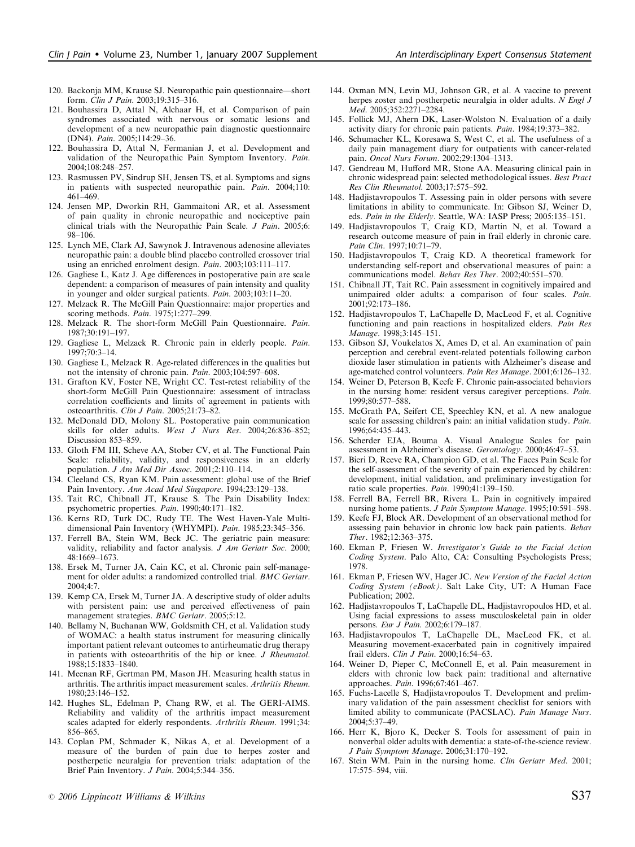- 120. Backonja MM, Krause SJ. Neuropathic pain questionnaire—short form. Clin J Pain. 2003;19:315–316.
- 121. Bouhassira D, Attal N, Alchaar H, et al. Comparison of pain syndromes associated with nervous or somatic lesions and development of a new neuropathic pain diagnostic questionnaire (DN4). Pain. 2005;114:29–36.
- 122. Bouhassira D, Attal N, Fermanian J, et al. Development and validation of the Neuropathic Pain Symptom Inventory. Pain. 2004;108:248–257.
- 123. Rasmussen PV, Sindrup SH, Jensen TS, et al. Symptoms and signs in patients with suspected neuropathic pain. Pain. 2004;110: 461–469.
- 124. Jensen MP, Dworkin RH, Gammaitoni AR, et al. Assessment of pain quality in chronic neuropathic and nociceptive pain clinical trials with the Neuropathic Pain Scale. J Pain. 2005;6: 98–106.
- 125. Lynch ME, Clark AJ, Sawynok J. Intravenous adenosine alleviates neuropathic pain: a double blind placebo controlled crossover trial using an enriched enrolment design. Pain. 2003;103:111–117.
- 126. Gagliese L, Katz J. Age differences in postoperative pain are scale dependent: a comparison of measures of pain intensity and quality in younger and older surgical patients. Pain. 2003;103:11–20.
- 127. Melzack R. The McGill Pain Questionnaire: major properties and scoring methods. Pain. 1975;1:277–299.
- 128. Melzack R. The short-form McGill Pain Questionnaire. Pain. 1987;30:191–197.
- 129. Gagliese L, Melzack R. Chronic pain in elderly people. Pain. 1997;70:3–14.
- 130. Gagliese L, Melzack R. Age-related differences in the qualities but not the intensity of chronic pain. Pain. 2003;104:597–608.
- 131. Grafton KV, Foster NE, Wright CC. Test-retest reliability of the short-form McGill Pain Questionnaire: assessment of intraclass correlation coefficients and limits of agreement in patients with osteoarthritis. Clin J Pain. 2005;21:73–82.
- 132. McDonald DD, Molony SL. Postoperative pain communication skills for older adults. West J Nurs Res. 2004;26:836–852; Discussion 853–859.
- 133. Gloth FM III, Scheve AA, Stober CV, et al. The Functional Pain Scale: reliability, validity, and responsiveness in an elderly population. J Am Med Dir Assoc. 2001;2:110-114.
- 134. Cleeland CS, Ryan KM. Pain assessment: global use of the Brief Pain Inventory. Ann Acad Med Singapore. 1994;23:129-138.
- 135. Tait RC, Chibnall JT, Krause S. The Pain Disability Index: psychometric properties. Pain. 1990;40:171–182.
- 136. Kerns RD, Turk DC, Rudy TE. The West Haven-Yale Multidimensional Pain Inventory (WHYMPI). Pain. 1985;23:345–356.
- 137. Ferrell BA, Stein WM, Beck JC. The geriatric pain measure: validity, reliability and factor analysis. J Am Geriatr Soc. 2000; 48:1669–1673.
- 138. Ersek M, Turner JA, Cain KC, et al. Chronic pain self-management for older adults: a randomized controlled trial. BMC Geriatr. 2004;4:7.
- 139. Kemp CA, Ersek M, Turner JA. A descriptive study of older adults with persistent pain: use and perceived effectiveness of pain management strategies. BMC Geriatr. 2005;5:12.
- 140. Bellamy N, Buchanan WW, Goldsmith CH, et al. Validation study of WOMAC: a health status instrument for measuring clinically important patient relevant outcomes to antirheumatic drug therapy in patients with osteoarthritis of the hip or knee. J Rheumatol. 1988;15:1833–1840.
- 141. Meenan RF, Gertman PM, Mason JH. Measuring health status in arthritis. The arthritis impact measurement scales. Arthritis Rheum. 1980;23:146–152.
- 142. Hughes SL, Edelman P, Chang RW, et al. The GERI-AIMS. Reliability and validity of the arthritis impact measurement scales adapted for elderly respondents. Arthritis Rheum. 1991;34: 856–865.
- 143. Coplan PM, Schmader K, Nikas A, et al. Development of a measure of the burden of pain due to herpes zoster and postherpetic neuralgia for prevention trials: adaptation of the Brief Pain Inventory. J Pain. 2004;5:344–356.
- 144. Oxman MN, Levin MJ, Johnson GR, et al. A vaccine to prevent herpes zoster and postherpetic neuralgia in older adults. N Engl J Med. 2005;352:2271–2284.
- 145. Follick MJ, Ahern DK, Laser-Wolston N. Evaluation of a daily activity diary for chronic pain patients. Pain. 1984;19:373–382.
- 146. Schumacher KL, Koresawa S, West C, et al. The usefulness of a daily pain management diary for outpatients with cancer-related pain. Oncol Nurs Forum. 2002;29:1304–1313.
- 147. Gendreau M, Hufford MR, Stone AA. Measuring clinical pain in chronic widespread pain: selected methodological issues. Best Pract Res Clin Rheumatol. 2003;17:575–592.
- 148. Hadjistavropoulos T. Assessing pain in older persons with severe limitations in ability to communicate. In: Gibson SJ, Weiner D, eds. Pain in the Elderly. Seattle, WA: IASP Press; 2005:135–151.
- 149. Hadjistavropoulos T, Craig KD, Martin N, et al. Toward a research outcome measure of pain in frail elderly in chronic care. Pain Clin. 1997;10:71–79.
- 150. Hadjistavropoulos T, Craig KD. A theoretical framework for understanding self-report and observational measures of pain: a communications model. Behav Res Ther. 2002;40:551–570.
- 151. Chibnall JT, Tait RC. Pain assessment in cognitively impaired and unimpaired older adults: a comparison of four scales. Pain. 2001;92:173–186.
- 152. Hadjistavropoulos T, LaChapelle D, MacLeod F, et al. Cognitive functioning and pain reactions in hospitalized elders. Pain Res Manage. 1998;3:145–151.
- 153. Gibson SJ, Voukelatos X, Ames D, et al. An examination of pain perception and cerebral event-related potentials following carbon dioxide laser stimulation in patients with Alzheimer's disease and age-matched control volunteers. Pain Res Manage. 2001;6:126–132.
- 154. Weiner D, Peterson B, Keefe F. Chronic pain-associated behaviors in the nursing home: resident versus caregiver perceptions. Pain. 1999;80:577–588.
- 155. McGrath PA, Seifert CE, Speechley KN, et al. A new analogue scale for assessing children's pain: an initial validation study. Pain. 1996;64:435–443.
- 156. Scherder EJA, Bouma A. Visual Analogue Scales for pain assessment in Alzheimer's disease. Gerontology. 2000;46:47–53.
- 157. Bieri D, Reeve RA, Champion GD, et al. The Faces Pain Scale for the self-assessment of the severity of pain experienced by children: development, initial validation, and preliminary investigation for ratio scale properties. Pain. 1990;41:139–150.
- 158. Ferrell BA, Ferrell BR, Rivera L. Pain in cognitively impaired nursing home patients. J Pain Symptom Manage. 1995;10:591–598.
- 159. Keefe FJ, Block AR. Development of an observational method for assessing pain behavior in chronic low back pain patients. Behav Ther. 1982;12:363–375.
- 160. Ekman P, Friesen W. Investigator's Guide to the Facial Action Coding System. Palo Alto, CA: Consulting Psychologists Press; 1978.
- 161. Ekman P, Friesen WV, Hager JC. New Version of the Facial Action Coding System (eBook). Salt Lake City, UT: A Human Face Publication; 2002.
- 162. Hadjistavropoulos T, LaChapelle DL, Hadjistavropoulos HD, et al. Using facial expressions to assess musculoskeletal pain in older persons. Eur J Pain. 2002;6:179–187.
- 163. Hadjistavropoulos T, LaChapelle DL, MacLeod FK, et al. Measuring movement-exacerbated pain in cognitively impaired frail elders. Clin J Pain. 2000;16:54-63.
- 164. Weiner D, Pieper C, McConnell E, et al. Pain measurement in elders with chronic low back pain: traditional and alternative approaches. Pain. 1996;67:461–467.
- 165. Fuchs-Lacelle S, Hadjistavropoulos T. Development and preliminary validation of the pain assessment checklist for seniors with limited ability to communicate (PACSLAC). Pain Manage Nurs. 2004;5:37–49.
- 166. Herr K, Bjoro K, Decker S. Tools for assessment of pain in nonverbal older adults with dementia: a state-of-the-science review. J Pain Symptom Manage. 2006;31:170–192.
- 167. Stein WM. Pain in the nursing home. Clin Geriatr Med. 2001; 17:575–594, viii.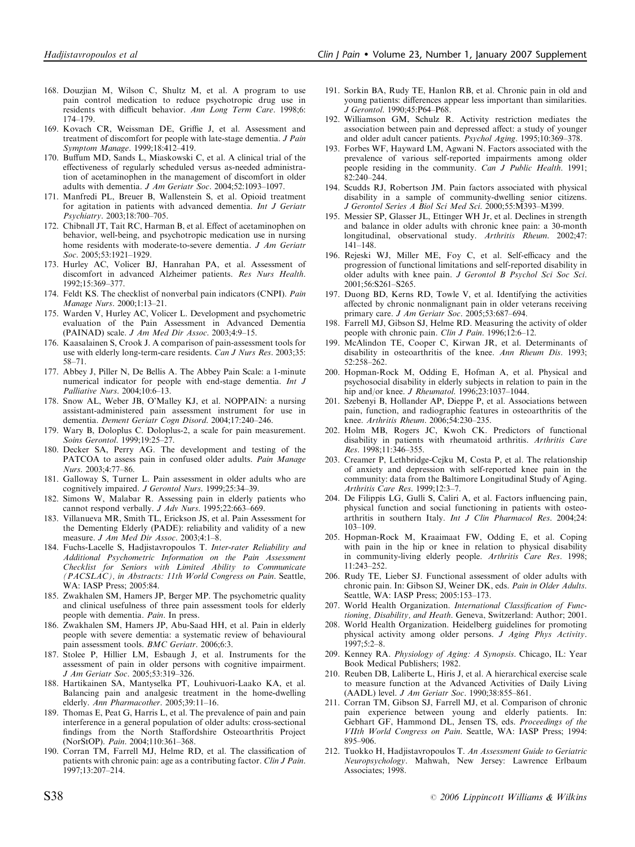- 168. Douzjian M, Wilson C, Shultz M, et al. A program to use pain control medication to reduce psychotropic drug use in residents with difficult behavior. Ann Long Term Care. 1998;6: 174–179.
- 169. Kovach CR, Weissman DE, Griffie J, et al. Assessment and treatment of discomfort for people with late-stage dementia. J Pain Symptom Manage. 1999;18:412–419.
- 170. Buffum MD, Sands L, Miaskowski C, et al. A clinical trial of the effectiveness of regularly scheduled versus as-needed administration of acetaminophen in the management of discomfort in older adults with dementia. J Am Geriatr Soc. 2004;52:1093–1097.
- 171. Manfredi PL, Breuer B, Wallenstein S, et al. Opioid treatment for agitation in patients with advanced dementia. Int J Geriatr Psychiatry. 2003;18:700–705.
- 172. Chibnall JT, Tait RC, Harman B, et al. Effect of acetaminophen on behavior, well-being, and psychotropic medication use in nursing home residents with moderate-to-severe dementia. J Am Geriatr Soc. 2005;53:1921-1929.
- 173. Hurley AC, Volicer BJ, Hanrahan PA, et al. Assessment of discomfort in advanced Alzheimer patients. Res Nurs Health. 1992;15:369–377.
- 174. Feldt KS. The checklist of nonverbal pain indicators (CNPI). Pain Manage Nurs. 2000;1:13–21.
- 175. Warden V, Hurley AC, Volicer L. Development and psychometric evaluation of the Pain Assessment in Advanced Dementia (PAINAD) scale. *J Am Med Dir Assoc.* 2003;4:9-15.
- 176. Kaasalainen S, Crook J. A comparison of pain-assessment tools for use with elderly long-term-care residents. Can J Nurs Res. 2003;35: 58–71.
- 177. Abbey J, Piller N, De Bellis A. The Abbey Pain Scale: a 1-minute numerical indicator for people with end-stage dementia. Int J Palliative Nurs. 2004;10:6–13.
- 178. Snow AL, Weber JB, O'Malley KJ, et al. NOPPAIN: a nursing assistant-administered pain assessment instrument for use in dementia. Dement Geriatr Cogn Disord. 2004;17:240–246.
- 179. Wary B, Doloplus C. Doloplus-2, a scale for pain measurement. Soins Gerontol. 1999;19:25–27.
- 180. Decker SA, Perry AG. The development and testing of the PATCOA to assess pain in confused older adults. Pain Manage Nurs. 2003;4:77–86.
- 181. Galloway S, Turner L. Pain assessment in older adults who are cognitively impaired. J Gerontol Nurs. 1999;25:34–39.
- 182. Simons W, Malabar R. Assessing pain in elderly patients who cannot respond verbally. J Adv Nurs. 1995;22:663–669.
- 183. Villanueva MR, Smith TL, Erickson JS, et al. Pain Assessment for the Dementing Elderly (PADE): reliability and validity of a new measure. *J Am Med Dir Assoc.* 2003;4:1-8.
- 184. Fuchs-Lacelle S, Hadjistavropoulos T. Inter-rater Reliability and Additional Psychometric Information on the Pain Assessment Checklist for Seniors with Limited Ability to Communicate (PACSLAC), in Abstracts: 11th World Congress on Pain. Seattle, WA: IASP Press; 2005:84.
- 185. Zwakhalen SM, Hamers JP, Berger MP. The psychometric quality and clinical usefulness of three pain assessment tools for elderly people with dementia. Pain. In press.
- 186. Zwakhalen SM, Hamers JP, Abu-Saad HH, et al. Pain in elderly people with severe dementia: a systematic review of behavioural pain assessment tools. BMC Geriatr. 2006;6:3.
- 187. Stolee P, Hillier LM, Esbaugh J, et al. Instruments for the assessment of pain in older persons with cognitive impairment. J Am Geriatr Soc. 2005;53:319–326.
- 188. Hartikainen SA, Mantyselka PT, Louhivuori-Laako KA, et al. Balancing pain and analgesic treatment in the home-dwelling elderly. Ann Pharmacother. 2005;39:11–16.
- 189. Thomas E, Peat G, Harris L, et al. The prevalence of pain and pain interference in a general population of older adults: cross-sectional findings from the North Staffordshire Osteoarthritis Project (NorStOP). Pain. 2004;110:361–368.
- 190. Corran TM, Farrell MJ, Helme RD, et al. The classification of patients with chronic pain: age as a contributing factor. Clin J Pain. 1997;13:207–214.
- 191. Sorkin BA, Rudy TE, Hanlon RB, et al. Chronic pain in old and young patients: differences appear less important than similarities. J Gerontol. 1990;45:P64–P68.
- 192. Williamson GM, Schulz R. Activity restriction mediates the association between pain and depressed affect: a study of younger and older adult cancer patients. Psychol Aging. 1995;10:369–378.
- 193. Forbes WF, Hayward LM, Agwani N. Factors associated with the prevalence of various self-reported impairments among older people residing in the community. Can J Public Health. 1991; 82:240–244.
- 194. Scudds RJ, Robertson JM. Pain factors associated with physical disability in a sample of community-dwelling senior citizens. J Gerontol Series A Biol Sci Med Sci. 2000;55:M393–M399.
- 195. Messier SP, Glasser JL, Ettinger WH Jr, et al. Declines in strength and balance in older adults with chronic knee pain: a 30-month longitudinal, observational study. Arthritis Rheum. 2002;47: 141–148.
- 196. Rejeski WJ, Miller ME, Foy C, et al. Self-efficacy and the progression of functional limitations and self-reported disability in older adults with knee pain. J Gerontol B Psychol Sci Soc Sci. 2001;56:S261–S265.
- 197. Duong BD, Kerns RD, Towle V, et al. Identifying the activities affected by chronic nonmalignant pain in older veterans receiving primary care. J Am Geriatr Soc. 2005;53:687-694.
- 198. Farrell MJ, Gibson SJ, Helme RD. Measuring the activity of older people with chronic pain. Clin J Pain. 1996;12:6–12.
- 199. McAlindon TE, Cooper C, Kirwan JR, et al. Determinants of disability in osteoarthritis of the knee. Ann Rheum Dis. 1993; 52:258–262.
- 200. Hopman-Rock M, Odding E, Hofman A, et al. Physical and psychosocial disability in elderly subjects in relation to pain in the hip and/or knee. *J Rheumatol*. 1996;23:1037-1044.
- 201. Szebenyi B, Hollander AP, Dieppe P, et al. Associations between pain, function, and radiographic features in osteoarthritis of the knee. Arthritis Rheum. 2006;54:230–235.
- 202. Holm MB, Rogers JC, Kwoh CK. Predictors of functional disability in patients with rheumatoid arthritis. Arthritis Care Res. 1998;11:346–355.
- 203. Creamer P, Lethbridge-Cejku M, Costa P, et al. The relationship of anxiety and depression with self-reported knee pain in the community: data from the Baltimore Longitudinal Study of Aging. Arthritis Care Res. 1999;12:3–7.
- 204. De Filippis LG, Gulli S, Caliri A, et al. Factors influencing pain, physical function and social functioning in patients with osteoarthritis in southern Italy. Int J Clin Pharmacol Res. 2004;24: 103–109.
- 205. Hopman-Rock M, Kraaimaat FW, Odding E, et al. Coping with pain in the hip or knee in relation to physical disability in community-living elderly people. Arthritis Care Res. 1998; 11:243–252.
- 206. Rudy TE, Lieber SJ. Functional assessment of older adults with chronic pain. In: Gibson SJ, Weiner DK, eds. Pain in Older Adults. Seattle, WA: IASP Press; 2005:153–173.
- 207. World Health Organization. International Classification of Functioning, Disability, and Heath. Geneva, Switzerland: Author; 2001.
- 208. World Health Organization. Heidelberg guidelines for promoting physical activity among older persons. J Aging Phys Activity. 1997;5:2–8.
- 209. Kenney RA. Physiology of Aging: A Synopsis. Chicago, IL: Year Book Medical Publishers; 1982.
- 210. Reuben DB, Laliberte L, Hiris J, et al. A hierarchical exercise scale to measure function at the Advanced Activities of Daily Living (AADL) level. J Am Geriatr Soc. 1990;38:855–861.
- 211. Corran TM, Gibson SJ, Farrell MJ, et al. Comparison of chronic pain experience between young and elderly patients. In: Gebhart GF, Hammond DL, Jensen TS, eds. Proceedings of the VIIth World Congress on Pain. Seattle, WA: IASP Press; 1994: 895–906.
- 212. Tuokko H, Hadjistavropoulos T. An Assessment Guide to Geriatric Neuropsychology. Mahwah, New Jersey: Lawrence Erlbaum Associates; 1998.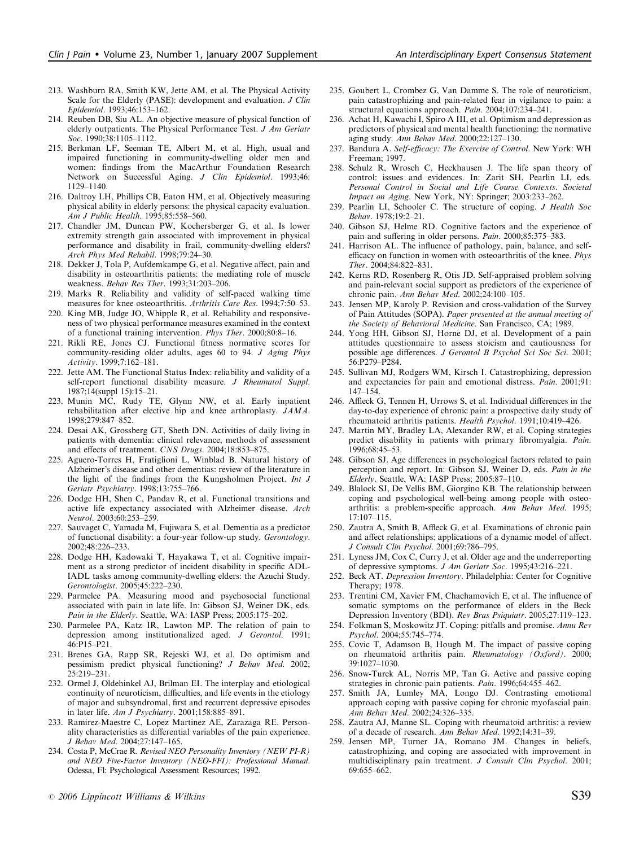- 213. Washburn RA, Smith KW, Jette AM, et al. The Physical Activity Scale for the Elderly (PASE): development and evaluation. *J Clin* Epidemiol. 1993;46:153–162.
- 214. Reuben DB, Siu AL. An objective measure of physical function of elderly outpatients. The Physical Performance Test. J Am Geriatr Soc. 1990;38:1105-1112.
- 215. Berkman LF, Seeman TE, Albert M, et al. High, usual and impaired functioning in community-dwelling older men and women: findings from the MacArthur Foundation Research Network on Successful Aging. J Clin Epidemiol. 1993;46: 1129–1140.
- 216. Daltroy LH, Phillips CB, Eaton HM, et al. Objectively measuring physical ability in elderly persons: the physical capacity evaluation. Am J Public Health. 1995;85:558–560.
- 217. Chandler JM, Duncan PW, Kochersberger G, et al. Is lower extremity strength gain associated with improvement in physical performance and disability in frail, community-dwelling elders? Arch Phys Med Rehabil. 1998;79:24–30.
- 218. Dekker J, Tola P, Aufdemkampe G, et al. Negative affect, pain and disability in osteoarthritis patients: the mediating role of muscle weakness. Behav Res Ther. 1993;31:203–206.
- 219. Marks R. Reliability and validity of self-paced walking time measures for knee osteoarthritis. Arthritis Care Res. 1994;7:50–53.
- 220. King MB, Judge JO, Whipple R, et al. Reliability and responsiveness of two physical performance measures examined in the context of a functional training intervention. Phys Ther. 2000;80:8–16.
- 221. Rikli RE, Jones CJ. Functional fitness normative scores for community-residing older adults, ages 60 to 94. J Aging Phys Activity. 1999;7:162–181.
- 222. Jette AM. The Functional Status Index: reliability and validity of a self-report functional disability measure. J Rheumatol Suppl. 1987;14(suppl 15):15–21.
- 223. Munin MC, Rudy TE, Glynn NW, et al. Early inpatient rehabilitation after elective hip and knee arthroplasty. JAMA. 1998;279:847–852.
- 224. Desai AK, Grossberg GT, Sheth DN. Activities of daily living in patients with dementia: clinical relevance, methods of assessment and effects of treatment. CNS Drugs. 2004;18:853–875.
- 225. Aguero-Torres H, Fratiglioni L, Winblad B. Natural history of Alzheimer's disease and other dementias: review of the literature in the light of the findings from the Kungsholmen Project. Int J Geriatr Psychiatry. 1998;13:755–766.
- 226. Dodge HH, Shen C, Pandav R, et al. Functional transitions and active life expectancy associated with Alzheimer disease. Arch Neurol. 2003;60:253–259.
- 227. Sauvaget C, Yamada M, Fujiwara S, et al. Dementia as a predictor of functional disability: a four-year follow-up study. Gerontology. 2002;48:226–233.
- 228. Dodge HH, Kadowaki T, Hayakawa T, et al. Cognitive impairment as a strong predictor of incident disability in specific ADL-IADL tasks among community-dwelling elders: the Azuchi Study. Gerontologist. 2005;45:222–230.
- 229. Parmelee PA. Measuring mood and psychosocial functional associated with pain in late life. In: Gibson SJ, Weiner DK, eds. Pain in the Elderly. Seattle, WA: IASP Press; 2005:175–202.
- 230. Parmelee PA, Katz IR, Lawton MP. The relation of pain to depression among institutionalized aged. J Gerontol. 1991;  $46 \cdot P15 - P21$
- 231. Brenes GA, Rapp SR, Rejeski WJ, et al. Do optimism and pessimism predict physical functioning? J Behav Med. 2002; 25:219–231.
- 232. Ormel J, Oldehinkel AJ, Brilman EI. The interplay and etiological continuity of neuroticism, difficulties, and life events in the etiology of major and subsyndromal, first and recurrent depressive episodes in later life. Am J Psychiatry. 2001;158:885–891.
- 233. Ramirez-Maestre C, Lopez Martinez AE, Zarazaga RE. Personality characteristics as differential variables of the pain experience. J Behav Med. 2004;27:147–165.
- 234. Costa P, McCrae R. Revised NEO Personality Inventory (NEW PI-R) and NEO Five-Factor Inventory (NEO-FFI): Professional Manual. Odessa, Fl: Psychological Assessment Resources; 1992.
- 235. Goubert L, Crombez G, Van Damme S. The role of neuroticism, pain catastrophizing and pain-related fear in vigilance to pain: a structural equations approach. Pain. 2004;107:234–241.
- 236. Achat H, Kawachi I, Spiro A III, et al. Optimism and depression as predictors of physical and mental health functioning: the normative aging study. Ann Behav Med. 2000;22:127–130.
- 237. Bandura A. Self-efficacy: The Exercise of Control. New York: WH Freeman; 1997.
- 238. Schulz R, Wrosch C, Heckhausen J. The life span theory of control: issues and evidences. In: Zarit SH, Pearlin LI, eds. Personal Control in Social and Life Course Contexts. Societal Impact on Aging. New York, NY: Springer; 2003:233–262.
- 239. Pearlin LI, Schooler C. The structure of coping. J Health Soc Behav. 1978;19:2–21.
- 240. Gibson SJ, Helme RD. Cognitive factors and the experience of pain and suffering in older persons. Pain. 2000;85:375-383.
- 241. Harrison AL. The influence of pathology, pain, balance, and selfefficacy on function in women with osteoarthritis of the knee. Phys Ther. 2004;84:822–831.
- 242. Kerns RD, Rosenberg R, Otis JD. Self-appraised problem solving and pain-relevant social support as predictors of the experience of chronic pain. Ann Behav Med. 2002;24:100–105.
- 243. Jensen MP, Karoly P. Revision and cross-validation of the Survey of Pain Attitudes (SOPA). Paper presented at the annual meeting of the Society of Behavioral Medicine. San Francisco, CA; 1989.
- 244. Yong HH, Gibson SJ, Horne DJ, et al. Development of a pain attitudes questionnaire to assess stoicism and cautiousness for possible age differences. J Gerontol B Psychol Sci Soc Sci. 2001; 56:P279–P284.
- 245. Sullivan MJ, Rodgers WM, Kirsch I. Catastrophizing, depression and expectancies for pain and emotional distress. Pain. 2001;91: 147–154.
- 246. Affleck G, Tennen H, Urrows S, et al. Individual differences in the day-to-day experience of chronic pain: a prospective daily study of rheumatoid arthritis patients. Health Psychol. 1991;10:419–426.
- 247. Martin MY, Bradley LA, Alexander RW, et al. Coping strategies predict disability in patients with primary fibromyalgia. Pain. 1996;68:45–53.
- 248. Gibson SJ. Age differences in psychological factors related to pain perception and report. In: Gibson SJ, Weiner D, eds. Pain in the Elderly. Seattle, WA: IASP Press; 2005:87–110.
- 249. Blalock SJ, De Vellis BM, Giorgino KB. The relationship between coping and psychological well-being among people with osteoarthritis: a problem-specific approach. Ann Behav Med. 1995;  $17:107-115$ .
- 250. Zautra A, Smith B, Affleck G, et al. Examinations of chronic pain and affect relationships: applications of a dynamic model of affect. J Consult Clin Psychol. 2001;69:786–795.
- 251. Lyness JM, Cox C, Curry J, et al. Older age and the underreporting of depressive symptoms. J Am Geriatr Soc. 1995;43:216–221.
- 252. Beck AT. Depression Inventory. Philadelphia: Center for Cognitive Therapy; 1978.
- 253. Trentini CM, Xavier FM, Chachamovich E, et al. The influence of somatic symptoms on the performance of elders in the Beck Depression Inventory (BDI). Rev Bras Psiquiatr. 2005;27:119–123.
- 254. Folkman S, Moskowitz JT. Coping: pitfalls and promise. Annu Rev Psychol. 2004;55:745–774.
- 255. Covic T, Adamson B, Hough M. The impact of passive coping on rheumatoid arthritis pain. Rheumatology (Oxford). 2000; 39:1027–1030.
- 256. Snow-Turek AL, Norris MP, Tan G. Active and passive coping strategies in chronic pain patients. Pain. 1996;64:455–462.
- 257. Smith JA, Lumley MA, Longo DJ. Contrasting emotional approach coping with passive coping for chronic myofascial pain. Ann Behav Med. 2002;24:326–335.
- 258. Zautra AJ, Manne SL. Coping with rheumatoid arthritis: a review of a decade of research. Ann Behav Med. 1992;14:31–39.
- 259. Jensen MP, Turner JA, Romano JM. Changes in beliefs, catastrophizing, and coping are associated with improvement in multidisciplinary pain treatment. J Consult Clin Psychol. 2001; 69:655–662.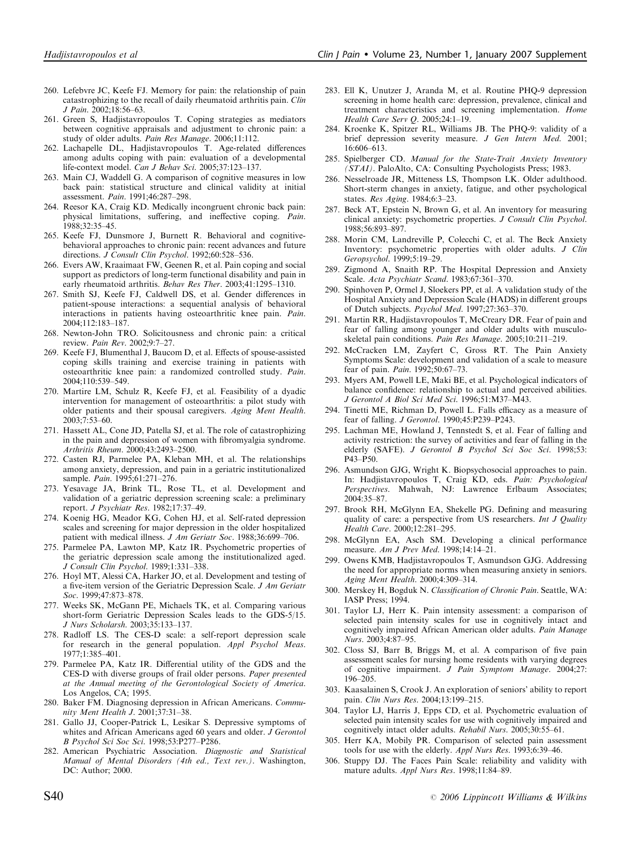- 260. Lefebvre JC, Keefe FJ. Memory for pain: the relationship of pain catastrophizing to the recall of daily rheumatoid arthritis pain. Clin J Pain. 2002;18:56–63.
- 261. Green S, Hadjistavropoulos T. Coping strategies as mediators between cognitive appraisals and adjustment to chronic pain: a study of older adults. Pain Res Manage. 2006;11:112.
- 262. Lachapelle DL, Hadjistavropoulos T. Age-related differences among adults coping with pain: evaluation of a developmental life-context model. Can J Behav Sci. 2005;37:123–137.
- 263. Main CJ, Waddell G. A comparison of cognitive measures in low back pain: statistical structure and clinical validity at initial assessment. Pain. 1991;46:287–298.
- 264. Reesor KA, Craig KD. Medically incongruent chronic back pain: physical limitations, suffering, and ineffective coping. Pain. 1988;32:35–45.
- 265. Keefe FJ, Dunsmore J, Burnett R. Behavioral and cognitivebehavioral approaches to chronic pain: recent advances and future directions. *J Consult Clin Psychol*. 1992;60:528–536.
- 266. Evers AW, Kraaimaat FW, Geenen R, et al. Pain coping and social support as predictors of long-term functional disability and pain in early rheumatoid arthritis. Behav Res Ther. 2003;41:1295–1310.
- 267. Smith SJ, Keefe FJ, Caldwell DS, et al. Gender differences in patient-spouse interactions: a sequential analysis of behavioral interactions in patients having osteoarthritic knee pain. Pain. 2004;112:183–187.
- 268. Newton-John TRO. Solicitousness and chronic pain: a critical review. Pain Rev. 2002;9:7–27.
- 269. Keefe FJ, Blumenthal J, Baucom D, et al. Effects of spouse-assisted coping skills training and exercise training in patients with osteoarthritic knee pain: a randomized controlled study. Pain. 2004;110:539–549.
- 270. Martire LM, Schulz R, Keefe FJ, et al. Feasibility of a dyadic intervention for management of osteoarthritis: a pilot study with older patients and their spousal caregivers. Aging Ment Health. 2003;7:53–60.
- 271. Hassett AL, Cone JD, Patella SJ, et al. The role of catastrophizing in the pain and depression of women with fibromyalgia syndrome. Arthritis Rheum. 2000;43:2493–2500.
- 272. Casten RJ, Parmelee PA, Kleban MH, et al. The relationships among anxiety, depression, and pain in a geriatric institutionalized sample. Pain. 1995;61:271-276.
- 273. Yesavage JA, Brink TL, Rose TL, et al. Development and validation of a geriatric depression screening scale: a preliminary report. J Psychiatr Res. 1982;17:37–49.
- 274. Koenig HG, Meador KG, Cohen HJ, et al. Self-rated depression scales and screening for major depression in the older hospitalized patient with medical illness. *J Am Geriatr Soc.* 1988;36:699-706.
- 275. Parmelee PA, Lawton MP, Katz IR. Psychometric properties of the geriatric depression scale among the institutionalized aged. J Consult Clin Psychol. 1989;1:331–338.
- 276. Hoyl MT, Alessi CA, Harker JO, et al. Development and testing of a five-item version of the Geriatric Depression Scale. J Am Geriatr Soc. 1999;47:873–878.
- 277. Weeks SK, McGann PE, Michaels TK, et al. Comparing various short-form Geriatric Depression Scales leads to the GDS-5/15. J Nurs Scholarsh. 2003;35:133–137.
- 278. Radloff LS. The CES-D scale: a self-report depression scale for research in the general population. Appl Psychol Meas. 1977;1:385–401.
- 279. Parmelee PA, Katz IR. Differential utility of the GDS and the CES-D with diverse groups of frail older persons. Paper presented at the Annual meeting of the Gerontological Society of America. Los Angelos, CA; 1995.
- 280. Baker FM. Diagnosing depression in African Americans. Community Ment Health J. 2001;37:31–38.
- 281. Gallo JJ, Cooper-Patrick L, Lesikar S. Depressive symptoms of whites and African Americans aged 60 years and older.  $\hat{J}$  Gerontol B Psychol Sci Soc Sci. 1998;53:P277–P286.
- 282. American Psychiatric Association. Diagnostic and Statistical Manual of Mental Disorders (4th ed., Text rev.). Washington, DC: Author; 2000.
- 283. Ell K, Unutzer J, Aranda M, et al. Routine PHQ-9 depression screening in home health care: depression, prevalence, clinical and treatment characteristics and screening implementation. Home Health Care Serv Q. 2005;24:1–19.
- 284. Kroenke K, Spitzer RL, Williams JB. The PHQ-9: validity of a brief depression severity measure. J Gen Intern Med. 2001; 16:606–613.
- 285. Spielberger CD. Manual for the State-Trait Anxiety Inventory (STAI). PaloAlto, CA: Consulting Psychologists Press; 1983.
- 286. Nesselroade JR, Mitteness LS, Thompson LK. Older adulthood. Short-sterm changes in anxiety, fatigue, and other psychological states. Res Aging. 1984;6:3–23.
- 287. Beck AT, Epstein N, Brown G, et al. An inventory for measuring clinical anxiety: psychometric properties. J Consult Clin Psychol. 1988;56:893–897.
- 288. Morin CM, Landreville P, Colecchi C, et al. The Beck Anxiety Inventory: psychometric properties with older adults. J Clin Geropsychol. 1999;5:19–29.
- 289. Zigmond A, Snaith RP. The Hospital Depression and Anxiety Scale. Acta Psychiatr Scand. 1983;67:361–370.
- 290. Spinhoven P, Ormel J, Sloekers PP, et al. A validation study of the Hospital Anxiety and Depression Scale (HADS) in different groups of Dutch subjects. Psychol Med. 1997;27:363–370.
- 291. Martin RR, Hadjistavropoulos T, McCreary DR. Fear of pain and fear of falling among younger and older adults with musculoskeletal pain conditions. Pain Res Manage. 2005;10:211–219.
- 292. McCracken LM, Zayfert C, Gross RT. The Pain Anxiety Symptoms Scale: development and validation of a scale to measure fear of pain. Pain. 1992;50:67–73.
- 293. Myers AM, Powell LE, Maki BE, et al. Psychological indicators of balance confidence: relationship to actual and perceived abilities. J Gerontol A Biol Sci Med Sci. 1996;51:M37–M43.
- 294. Tinetti ME, Richman D, Powell L. Falls efficacy as a measure of fear of falling. J Gerontol. 1990;45:P239–P243.
- 295. Lachman ME, Howland J, Tennstedt S, et al. Fear of falling and activity restriction: the survey of activities and fear of falling in the elderly (SAFE). J Gerontol B Psychol Sci Soc Sci. 1998;53: P43–P50.
- 296. Asmundson GJG, Wright K. Biopsychosocial approaches to pain. In: Hadjistavropoulos T, Craig KD, eds. Pain: Psychological Perspectives. Mahwah, NJ: Lawrence Erlbaum Associates; 2004:35–87.
- 297. Brook RH, McGlynn EA, Shekelle PG. Defining and measuring quality of care: a perspective from US researchers. Int J Quality Health Care. 2000;12:281–295.
- 298. McGlynn EA, Asch SM. Developing a clinical performance measure. Am J Prev Med. 1998;14:14–21.
- 299. Owens KMB, Hadjistavropoulos T, Asmundson GJG. Addressing the need for appropriate norms when measuring anxiety in seniors. Aging Ment Health. 2000;4:309–314.
- 300. Merskey H, Bogduk N. Classification of Chronic Pain. Seattle, WA: IASP Press; 1994.
- 301. Taylor LJ, Herr K. Pain intensity assessment: a comparison of selected pain intensity scales for use in cognitively intact and cognitively impaired African American older adults. Pain Manage Nurs. 2003;4:87–95.
- 302. Closs SJ, Barr B, Briggs M, et al. A comparison of five pain assessment scales for nursing home residents with varying degrees of cognitive impairment. J Pain Symptom Manage. 2004;27: 196–205.
- 303. Kaasalainen S, Crook J. An exploration of seniors' ability to report pain. Clin Nurs Res. 2004;13:199–215.
- 304. Taylor LJ, Harris J, Epps CD, et al. Psychometric evaluation of selected pain intensity scales for use with cognitively impaired and cognitively intact older adults. Rehabil Nurs. 2005;30:55–61.
- 305. Herr KA, Mobily PR. Comparison of selected pain assessment tools for use with the elderly. Appl Nurs Res. 1993;6:39–46.
- 306. Stuppy DJ. The Faces Pain Scale: reliability and validity with mature adults. Appl Nurs Res. 1998;11:84–89.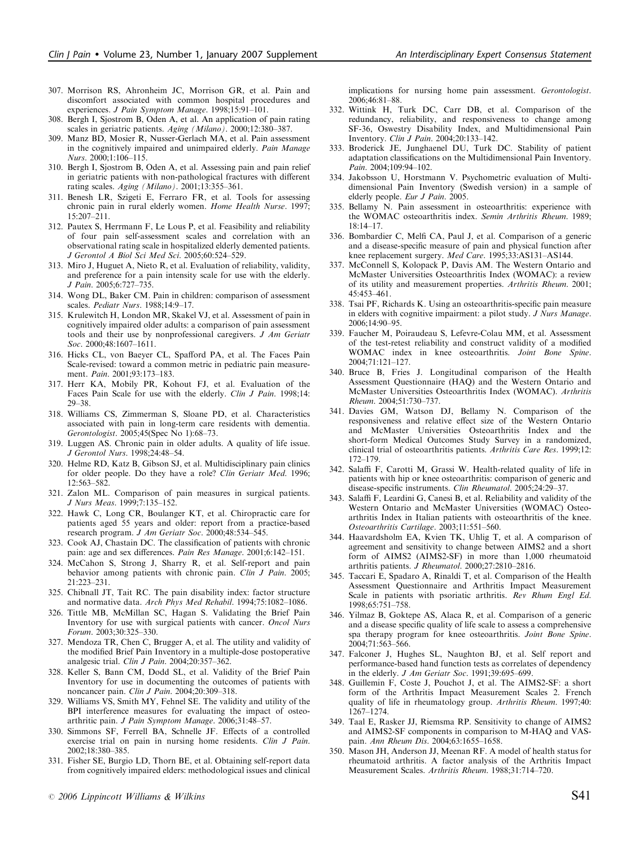- 307. Morrison RS, Ahronheim JC, Morrison GR, et al. Pain and discomfort associated with common hospital procedures and experiences. J Pain Symptom Manage. 1998;15:91–101.
- 308. Bergh I, Sjostrom B, Oden A, et al. An application of pain rating scales in geriatric patients. Aging (Milano). 2000;12:380–387.
- 309. Manz BD, Mosier R, Nusser-Gerlach MA, et al. Pain assessment in the cognitively impaired and unimpaired elderly. Pain Manage Nurs. 2000;1:106–115.
- 310. Bergh I, Sjostrom B, Oden A, et al. Assessing pain and pain relief in geriatric patients with non-pathological fractures with different rating scales. Aging (Milano). 2001;13:355–361.
- 311. Benesh LR, Szigeti E, Ferraro FR, et al. Tools for assessing chronic pain in rural elderly women. Home Health Nurse. 1997; 15:207–211.
- 312. Pautex S, Herrmann F, Le Lous P, et al. Feasibility and reliability of four pain self-assessment scales and correlation with an observational rating scale in hospitalized elderly demented patients. J Gerontol A Biol Sci Med Sci. 2005;60:524–529.
- 313. Miro J, Huguet A, Nieto R, et al. Evaluation of reliability, validity, and preference for a pain intensity scale for use with the elderly. J Pain. 2005;6:727–735.
- 314. Wong DL, Baker CM. Pain in children: comparison of assessment scales. Pediatr Nurs. 1988;14:9–17.
- 315. Krulewitch H, London MR, Skakel VJ, et al. Assessment of pain in cognitively impaired older adults: a comparison of pain assessment tools and their use by nonprofessional caregivers. J Am Geriatr Soc. 2000;48:1607-1611.
- 316. Hicks CL, von Baeyer CL, Spafford PA, et al. The Faces Pain Scale-revised: toward a common metric in pediatric pain measurement. Pain. 2001;93:173–183.
- 317. Herr KA, Mobily PR, Kohout FJ, et al. Evaluation of the Faces Pain Scale for use with the elderly. Clin J Pain. 1998;14: 29–38.
- 318. Williams CS, Zimmerman S, Sloane PD, et al. Characteristics associated with pain in long-term care residents with dementia. Gerontologist. 2005;45(Spec No 1):68–73.
- 319. Luggen AS. Chronic pain in older adults. A quality of life issue. J Gerontol Nurs. 1998;24:48–54.
- 320. Helme RD, Katz B, Gibson SJ, et al. Multidisciplinary pain clinics for older people. Do they have a role? Clin Geriatr Med. 1996; 12:563–582.
- 321. Zalon ML. Comparison of pain measures in surgical patients. J Nurs Meas. 1999;7:135–152.
- 322. Hawk C, Long CR, Boulanger KT, et al. Chiropractic care for patients aged 55 years and older: report from a practice-based research program. J Am Geriatr Soc. 2000;48:534–545.
- 323. Cook AJ, Chastain DC. The classification of patients with chronic pain: age and sex differences. Pain Res Manage. 2001;6:142–151.
- 324. McCahon S, Strong J, Sharry R, et al. Self-report and pain behavior among patients with chronic pain. Clin J Pain. 2005; 21:223–231.
- 325. Chibnall JT, Tait RC. The pain disability index: factor structure and normative data. Arch Phys Med Rehabil. 1994;75:1082–1086.
- 326. Tittle MB, McMillan SC, Hagan S. Validating the Brief Pain Inventory for use with surgical patients with cancer. Oncol Nurs Forum. 2003;30:325–330.
- 327. Mendoza TR, Chen C, Brugger A, et al. The utility and validity of the modified Brief Pain Inventory in a multiple-dose postoperative analgesic trial. Clin J Pain. 2004;20:357–362.
- 328. Keller S, Bann CM, Dodd SL, et al. Validity of the Brief Pain Inventory for use in documenting the outcomes of patients with noncancer pain. Clin J Pain. 2004;20:309–318.
- 329. Williams VS, Smith MY, Fehnel SE. The validity and utility of the BPI interference measures for evaluating the impact of osteoarthritic pain. J Pain Symptom Manage. 2006;31:48–57.
- 330. Simmons SF, Ferrell BA, Schnelle JF. Effects of a controlled exercise trial on pain in nursing home residents. Clin J Pain. 2002;18:380–385.
- 331. Fisher SE, Burgio LD, Thorn BE, et al. Obtaining self-report data from cognitively impaired elders: methodological issues and clinical

implications for nursing home pain assessment. Gerontologist. 2006;46:81–88.

- 332. Wittink H, Turk DC, Carr DB, et al. Comparison of the redundancy, reliability, and responsiveness to change among SF-36, Oswestry Disability Index, and Multidimensional Pain Inventory. Clin J Pain. 2004;20:133–142.
- 333. Broderick JE, Junghaenel DU, Turk DC. Stability of patient adaptation classifications on the Multidimensional Pain Inventory. Pain. 2004;109:94–102.
- 334. Jakobsson U, Horstmann V. Psychometric evaluation of Multidimensional Pain Inventory (Swedish version) in a sample of elderly people. Eur J Pain. 2005.
- 335. Bellamy N. Pain assessment in osteoarthritis: experience with the WOMAC osteoarthritis index. Semin Arthritis Rheum. 1989; 18:14–17.
- 336. Bombardier C, Melfi CA, Paul J, et al. Comparison of a generic and a disease-specific measure of pain and physical function after knee replacement surgery. Med Care. 1995;33:AS131–AS144.
- 337. McConnell S, Kolopack P, Davis AM. The Western Ontario and McMaster Universities Osteoarthritis Index (WOMAC): a review of its utility and measurement properties. Arthritis Rheum. 2001; 45:453–461.
- 338. Tsai PF, Richards K. Using an osteoarthritis-specific pain measure in elders with cognitive impairment: a pilot study. J Nurs Manage. 2006;14:90–95.
- 339. Faucher M, Poiraudeau S, Lefevre-Colau MM, et al. Assessment of the test-retest reliability and construct validity of a modified WOMAC index in knee osteoarthritis. Joint Bone Spine. 2004;71:121–127.
- 340. Bruce B, Fries J. Longitudinal comparison of the Health Assessment Questionnaire (HAQ) and the Western Ontario and McMaster Universities Osteoarthritis Index (WOMAC). Arthritis Rheum. 2004;51:730–737.
- 341. Davies GM, Watson DJ, Bellamy N. Comparison of the responsiveness and relative effect size of the Western Ontario and McMaster Universities Osteoarthritis Index and the short-form Medical Outcomes Study Survey in a randomized, clinical trial of osteoarthritis patients. Arthritis Care Res. 1999;12: 172–179.
- 342. Salaffi F, Carotti M, Grassi W. Health-related quality of life in patients with hip or knee osteoarthritis: comparison of generic and disease-specific instruments. Clin Rheumatol. 2005;24:29–37.
- 343. Salaffi F, Leardini G, Canesi B, et al. Reliability and validity of the Western Ontario and McMaster Universities (WOMAC) Osteoarthritis Index in Italian patients with osteoarthritis of the knee. Osteoarthritis Cartilage. 2003;11:551–560.
- 344. Haavardsholm EA, Kvien TK, Uhlig T, et al. A comparison of agreement and sensitivity to change between AIMS2 and a short form of AIMS2 (AIMS2-SF) in more than 1,000 rheumatoid arthritis patients. J Rheumatol. 2000;27:2810–2816.
- 345. Taccari E, Spadaro A, Rinaldi T, et al. Comparison of the Health Assessment Questionnaire and Arthritis Impact Measurement Scale in patients with psoriatic arthritis. Rev Rhum Engl Ed. 1998;65:751–758.
- 346. Yilmaz B, Goktepe AS, Alaca R, et al. Comparison of a generic and a disease specific quality of life scale to assess a comprehensive spa therapy program for knee osteoarthritis. Joint Bone Spine. 2004;71:563–566.
- 347. Falconer J, Hughes SL, Naughton BJ, et al. Self report and performance-based hand function tests as correlates of dependency in the elderly. *J Am Geriatr Soc.* 1991;39:695–699.
- 348. Guillemin F, Coste J, Pouchot J, et al. The AIMS2-SF: a short form of the Arthritis Impact Measurement Scales 2. French quality of life in rheumatology group. Arthritis Rheum. 1997;40: 1267–1274.
- 349. Taal E, Rasker JJ, Riemsma RP. Sensitivity to change of AIMS2 and AIMS2-SF components in comparison to M-HAQ and VASpain. Ann Rheum Dis. 2004;63:1655–1658.
- 350. Mason JH, Anderson JJ, Meenan RF. A model of health status for rheumatoid arthritis. A factor analysis of the Arthritis Impact Measurement Scales. Arthritis Rheum. 1988;31:714–720.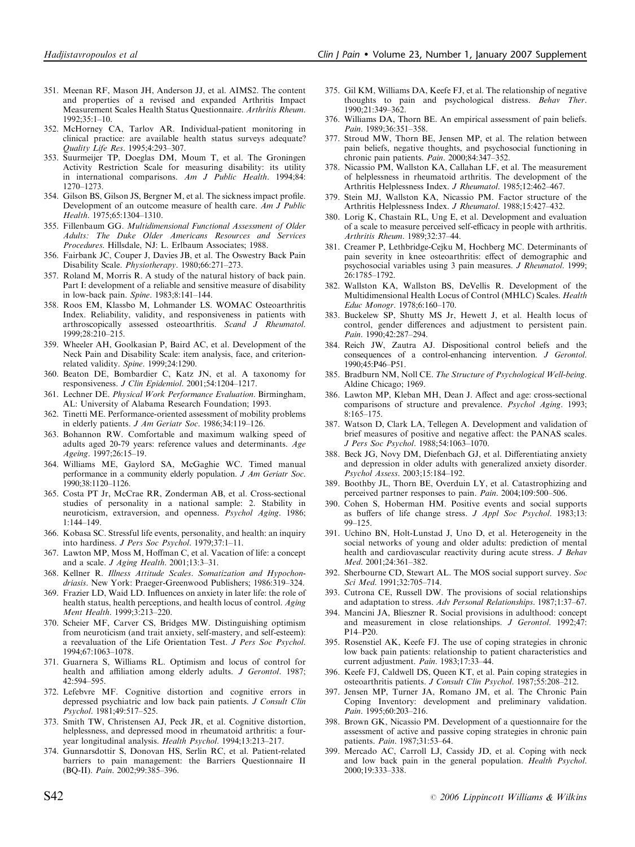- 351. Meenan RF, Mason JH, Anderson JJ, et al. AIMS2. The content and properties of a revised and expanded Arthritis Impact Measurement Scales Health Status Questionnaire. Arthritis Rheum. 1992;35:1–10.
- 352. McHorney CA, Tarlov AR. Individual-patient monitoring in clinical practice: are available health status surveys adequate? Quality Life Res. 1995;4:293–307.
- 353. Suurmeijer TP, Doeglas DM, Moum T, et al. The Groningen Activity Restriction Scale for measuring disability: its utility in international comparisons. Am J Public Health. 1994;84: 1270–1273.
- 354. Gilson BS, Gilson JS, Bergner M, et al. The sickness impact profile. Development of an outcome measure of health care. Am J Public Health. 1975;65:1304–1310.
- 355. Fillenbaum GG. Multidimensional Functional Assessment of Older Adults: The Duke Older Americans Resources and Services Procedures. Hillsdale, NJ: L. Erlbaum Associates; 1988.
- 356. Fairbank JC, Couper J, Davies JB, et al. The Oswestry Back Pain Disability Scale. Physiotherapy. 1980;66:271–273.
- 357. Roland M, Morris R. A study of the natural history of back pain. Part I: development of a reliable and sensitive measure of disability in low-back pain. Spine. 1983;8:141–144.
- 358. Roos EM, Klassbo M, Lohmander LS. WOMAC Osteoarthritis Index. Reliability, validity, and responsiveness in patients with arthroscopically assessed osteoarthritis. Scand J Rheumatol. 1999;28:210–215.
- 359. Wheeler AH, Goolkasian P, Baird AC, et al. Development of the Neck Pain and Disability Scale: item analysis, face, and criterionrelated validity. Spine. 1999;24:1290.
- 360. Beaton DE, Bombardier C, Katz JN, et al. A taxonomy for responsiveness. J Clin Epidemiol. 2001;54:1204–1217.
- 361. Lechner DE. Physical Work Performance Evaluation. Birmingham, AL: University of Alabama Research Foundation; 1993.
- 362. Tinetti ME. Performance-oriented assessment of mobility problems in elderly patients. J Am Geriatr Soc. 1986;34:119–126.
- 363. Bohannon RW. Comfortable and maximum walking speed of adults aged 20-79 years: reference values and determinants. Age Ageing. 1997;26:15–19.
- 364. Williams ME, Gaylord SA, McGaghie WC. Timed manual performance in a community elderly population. J Am Geriatr Soc. 1990;38:1120–1126.
- 365. Costa PT Jr, McCrae RR, Zonderman AB, et al. Cross-sectional studies of personality in a national sample: 2. Stability in neuroticism, extraversion, and openness. Psychol Aging. 1986; 1:144–149.
- 366. Kobasa SC. Stressful life events, personality, and health: an inquiry into hardiness. J Pers Soc Psychol. 1979;37:1–11.
- 367. Lawton MP, Moss M, Hoffman C, et al. Vacation of life: a concept and a scale. *J Aging Health*. 2001;13:3-31.
- 368. Kellner R. Illness Attitude Scales. Somatization and Hypochondriasis. New York: Praeger-Greenwood Publishers; 1986:319–324.
- 369. Frazier LD, Waid LD. Influences on anxiety in later life: the role of health status, health perceptions, and health locus of control. Aging Ment Health. 1999;3:213–220.
- 370. Scheier MF, Carver CS, Bridges MW. Distinguishing optimism from neuroticism (and trait anxiety, self-mastery, and self-esteem): a reevaluation of the Life Orientation Test. J Pers Soc Psychol. 1994;67:1063–1078.
- 371. Guarnera S, Williams RL. Optimism and locus of control for health and affiliation among elderly adults. J Gerontol. 1987; 42:594–595.
- 372. Lefebvre MF. Cognitive distortion and cognitive errors in depressed psychiatric and low back pain patients. J Consult Clin Psychol. 1981;49:517–525.
- 373. Smith TW, Christensen AJ, Peck JR, et al. Cognitive distortion, helplessness, and depressed mood in rheumatoid arthritis: a fouryear longitudinal analysis. Health Psychol. 1994;13:213–217.
- 374. Gunnarsdottir S, Donovan HS, Serlin RC, et al. Patient-related barriers to pain management: the Barriers Questionnaire II (BQ-II). Pain. 2002;99:385–396.
- 375. Gil KM, Williams DA, Keefe FJ, et al. The relationship of negative thoughts to pain and psychological distress. Behav Ther. 1990;21:349–362.
- 376. Williams DA, Thorn BE. An empirical assessment of pain beliefs. Pain. 1989;36:351-358.
- 377. Stroud MW, Thorn BE, Jensen MP, et al. The relation between pain beliefs, negative thoughts, and psychosocial functioning in chronic pain patients. Pain. 2000;84:347–352.
- 378. Nicassio PM, Wallston KA, Callahan LF, et al. The measurement of helplessness in rheumatoid arthritis. The development of the Arthritis Helplessness Index. J Rheumatol. 1985;12:462–467.
- 379. Stein MJ, Wallston KA, Nicassio PM. Factor structure of the Arthritis Helplessness Index. J Rheumatol. 1988;15:427–432.
- 380. Lorig K, Chastain RL, Ung E, et al. Development and evaluation of a scale to measure perceived self-efficacy in people with arthritis. Arthritis Rheum. 1989;32:37–44.
- 381. Creamer P, Lethbridge-Cejku M, Hochberg MC. Determinants of pain severity in knee osteoarthritis: effect of demographic and psychosocial variables using 3 pain measures. J Rheumatol. 1999; 26:1785–1792.
- 382. Wallston KA, Wallston BS, DeVellis R. Development of the Multidimensional Health Locus of Control (MHLC) Scales. Health Educ Monogr. 1978;6:160–170.
- 383. Buckelew SP, Shutty MS Jr, Hewett J, et al. Health locus of control, gender differences and adjustment to persistent pain. Pain. 1990;42:287–294.
- 384. Reich JW, Zautra AJ. Dispositional control beliefs and the consequences of a control-enhancing intervention. J Gerontol. 1990;45:P46–P51.
- 385. Bradburn NM, Noll CE. The Structure of Psychological Well-being. Aldine Chicago; 1969.
- 386. Lawton MP, Kleban MH, Dean J. Affect and age: cross-sectional comparisons of structure and prevalence. Psychol Aging. 1993; 8:165–175.
- 387. Watson D, Clark LA, Tellegen A. Development and validation of brief measures of positive and negative affect: the PANAS scales. J Pers Soc Psychol. 1988;54:1063–1070.
- 388. Beck JG, Novy DM, Diefenbach GJ, et al. Differentiating anxiety and depression in older adults with generalized anxiety disorder. Psychol Assess. 2003;15:184–192.
- 389. Boothby JL, Thorn BE, Overduin LY, et al. Catastrophizing and perceived partner responses to pain. Pain. 2004;109:500–506.
- 390. Cohen S, Hoberman HM. Positive events and social supports as buffers of life change stress. J Appl Soc Psychol. 1983;13: 99–125.
- 391. Uchino BN, Holt-Lunstad J, Uno D, et al. Heterogeneity in the social networks of young and older adults: prediction of mental health and cardiovascular reactivity during acute stress. J Behav Med. 2001;24:361–382.
- 392. Sherbourne CD, Stewart AL. The MOS social support survey. Soc Sci Med. 1991;32:705-714.
- 393. Cutrona CE, Russell DW. The provisions of social relationships and adaptation to stress. Adv Personal Relationships. 1987;1:37–67.
- 394. Mancini JA, Blieszner R. Social provisions in adulthood: concept and measurement in close relationships. J Gerontol. 1992;47: P14–P20.
- 395. Rosenstiel AK, Keefe FJ. The use of coping strategies in chronic low back pain patients: relationship to patient characteristics and current adjustment. Pain. 1983;17:33–44.
- 396. Keefe FJ, Caldwell DS, Queen KT, et al. Pain coping strategies in osteoarthritis patients. J Consult Clin Psychol. 1987;55:208–212.
- 397. Jensen MP, Turner JA, Romano JM, et al. The Chronic Pain Coping Inventory: development and preliminary validation. Pain. 1995;60:203–216.
- 398. Brown GK, Nicassio PM. Development of a questionnaire for the assessment of active and passive coping strategies in chronic pain patients. Pain. 1987;31:53-64.
- 399. Mercado AC, Carroll LJ, Cassidy JD, et al. Coping with neck and low back pain in the general population. Health Psychol. 2000;19:333–338.